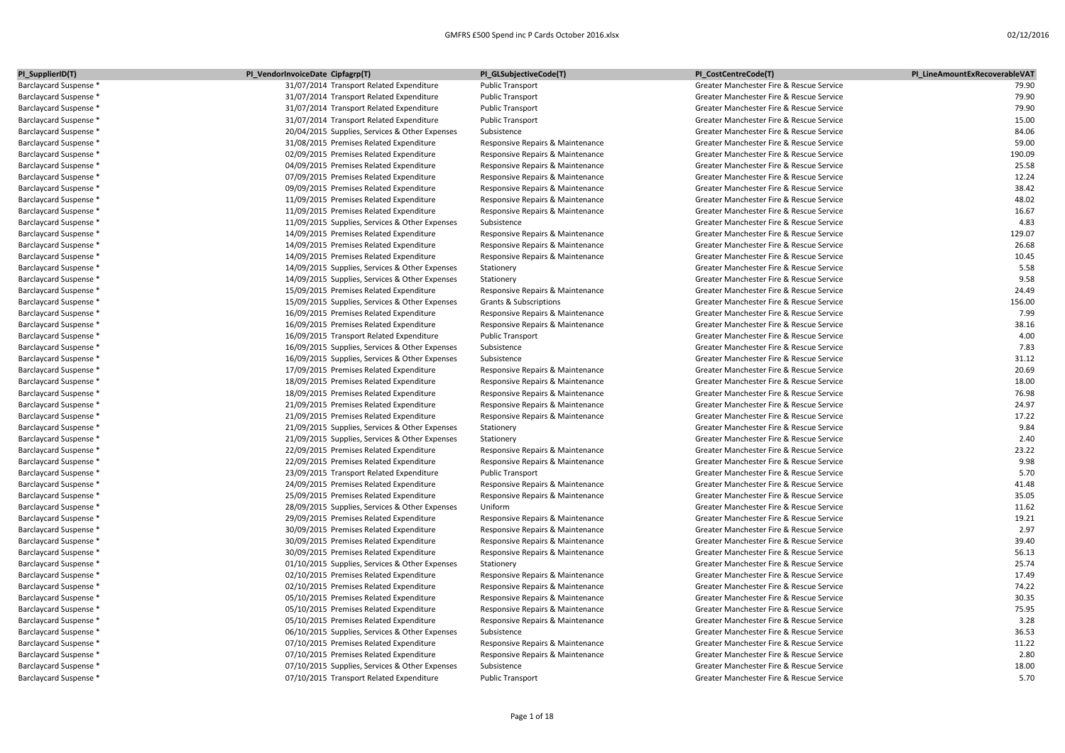| PI_SupplierID(T)       | PI_VendorInvoiceDate Cipfagrp(T)               | PI_GLSubjectiveCode(T)            | PI_CostCentreCode(T)                     | PI_LineAmountExRecoverableVAT |
|------------------------|------------------------------------------------|-----------------------------------|------------------------------------------|-------------------------------|
| Barclaycard Suspense * | 31/07/2014 Transport Related Expenditure       | <b>Public Transport</b>           | Greater Manchester Fire & Rescue Service | 79.90                         |
| Barclaycard Suspense * | 31/07/2014 Transport Related Expenditure       | <b>Public Transport</b>           | Greater Manchester Fire & Rescue Service | 79.90                         |
| Barclaycard Suspense * | 31/07/2014 Transport Related Expenditure       | <b>Public Transport</b>           | Greater Manchester Fire & Rescue Service | 79.90                         |
| Barclaycard Suspense * | 31/07/2014 Transport Related Expenditure       | <b>Public Transport</b>           | Greater Manchester Fire & Rescue Service | 15.00                         |
| Barclaycard Suspense * | 20/04/2015 Supplies, Services & Other Expenses | Subsistence                       | Greater Manchester Fire & Rescue Service | 84.06                         |
| Barclaycard Suspense * | 31/08/2015 Premises Related Expenditure        | Responsive Repairs & Maintenance  | Greater Manchester Fire & Rescue Service | 59.00                         |
| Barclaycard Suspense * | 02/09/2015 Premises Related Expenditure        | Responsive Repairs & Maintenance  | Greater Manchester Fire & Rescue Service | 190.09                        |
| Barclaycard Suspense * | 04/09/2015 Premises Related Expenditure        | Responsive Repairs & Maintenance  | Greater Manchester Fire & Rescue Service | 25.58                         |
| Barclaycard Suspense * | 07/09/2015 Premises Related Expenditure        | Responsive Repairs & Maintenance  | Greater Manchester Fire & Rescue Service | 12.24                         |
| Barclaycard Suspense * | 09/09/2015 Premises Related Expenditure        | Responsive Repairs & Maintenance  | Greater Manchester Fire & Rescue Service | 38.42                         |
| Barclaycard Suspense * | 11/09/2015 Premises Related Expenditure        | Responsive Repairs & Maintenance  | Greater Manchester Fire & Rescue Service | 48.02                         |
| Barclaycard Suspense * | 11/09/2015 Premises Related Expenditure        | Responsive Repairs & Maintenance  | Greater Manchester Fire & Rescue Service | 16.67                         |
| Barclaycard Suspense * | 11/09/2015 Supplies, Services & Other Expenses | Subsistence                       | Greater Manchester Fire & Rescue Service | 4.83                          |
| Barclaycard Suspense * | 14/09/2015 Premises Related Expenditure        | Responsive Repairs & Maintenance  | Greater Manchester Fire & Rescue Service | 129.07                        |
| Barclaycard Suspense * | 14/09/2015 Premises Related Expenditure        | Responsive Repairs & Maintenance  | Greater Manchester Fire & Rescue Service | 26.68                         |
| Barclaycard Suspense * | 14/09/2015 Premises Related Expenditure        | Responsive Repairs & Maintenance  | Greater Manchester Fire & Rescue Service | 10.45                         |
| Barclaycard Suspense * | 14/09/2015 Supplies, Services & Other Expenses | Stationery                        | Greater Manchester Fire & Rescue Service | 5.58                          |
| Barclaycard Suspense * | 14/09/2015 Supplies, Services & Other Expenses | Stationery                        | Greater Manchester Fire & Rescue Service | 9.58                          |
| Barclaycard Suspense * | 15/09/2015 Premises Related Expenditure        | Responsive Repairs & Maintenance  | Greater Manchester Fire & Rescue Service | 24.49                         |
| Barclaycard Suspense * | 15/09/2015 Supplies, Services & Other Expenses | <b>Grants &amp; Subscriptions</b> | Greater Manchester Fire & Rescue Service | 156.00                        |
| Barclaycard Suspense * | 16/09/2015 Premises Related Expenditure        | Responsive Repairs & Maintenance  | Greater Manchester Fire & Rescue Service | 7.99                          |
| Barclaycard Suspense * | 16/09/2015 Premises Related Expenditure        | Responsive Repairs & Maintenance  | Greater Manchester Fire & Rescue Service | 38.16                         |
| Barclaycard Suspense * | 16/09/2015 Transport Related Expenditure       | <b>Public Transport</b>           | Greater Manchester Fire & Rescue Service | 4.00                          |
| Barclaycard Suspense * | 16/09/2015 Supplies, Services & Other Expenses | Subsistence                       | Greater Manchester Fire & Rescue Service | 7.83                          |
| Barclaycard Suspense * | 16/09/2015 Supplies, Services & Other Expenses | Subsistence                       | Greater Manchester Fire & Rescue Service | 31.12                         |
| Barclaycard Suspense * | 17/09/2015 Premises Related Expenditure        | Responsive Repairs & Maintenance  | Greater Manchester Fire & Rescue Service | 20.69                         |
| Barclaycard Suspense * | 18/09/2015 Premises Related Expenditure        | Responsive Repairs & Maintenance  | Greater Manchester Fire & Rescue Service | 18.00                         |
| Barclaycard Suspense * | 18/09/2015 Premises Related Expenditure        | Responsive Repairs & Maintenance  | Greater Manchester Fire & Rescue Service | 76.98                         |
| Barclaycard Suspense * | 21/09/2015 Premises Related Expenditure        | Responsive Repairs & Maintenance  | Greater Manchester Fire & Rescue Service | 24.97                         |
| Barclaycard Suspense * | 21/09/2015 Premises Related Expenditure        | Responsive Repairs & Maintenance  | Greater Manchester Fire & Rescue Service | 17.22                         |
| Barclaycard Suspense * | 21/09/2015 Supplies, Services & Other Expenses | Stationery                        | Greater Manchester Fire & Rescue Service | 9.84                          |
| Barclaycard Suspense * | 21/09/2015 Supplies, Services & Other Expenses | Stationery                        | Greater Manchester Fire & Rescue Service | 2.40                          |
| Barclaycard Suspense * | 22/09/2015 Premises Related Expenditure        | Responsive Repairs & Maintenance  | Greater Manchester Fire & Rescue Service | 23.22                         |
| Barclaycard Suspense * | 22/09/2015 Premises Related Expenditure        | Responsive Repairs & Maintenance  | Greater Manchester Fire & Rescue Service | 9.98                          |
| Barclaycard Suspense * | 23/09/2015 Transport Related Expenditure       | <b>Public Transport</b>           | Greater Manchester Fire & Rescue Service | 5.70                          |
| Barclaycard Suspense * | 24/09/2015 Premises Related Expenditure        | Responsive Repairs & Maintenance  | Greater Manchester Fire & Rescue Service | 41.48                         |
| Barclaycard Suspense * | 25/09/2015 Premises Related Expenditure        | Responsive Repairs & Maintenance  | Greater Manchester Fire & Rescue Service | 35.05                         |
| Barclaycard Suspense * | 28/09/2015 Supplies, Services & Other Expenses | Uniform                           | Greater Manchester Fire & Rescue Service | 11.62                         |
| Barclaycard Suspense * | 29/09/2015 Premises Related Expenditure        | Responsive Repairs & Maintenance  | Greater Manchester Fire & Rescue Service | 19.21                         |
| Barclaycard Suspense * | 30/09/2015 Premises Related Expenditure        | Responsive Repairs & Maintenance  | Greater Manchester Fire & Rescue Service | 2.97                          |
| Barclaycard Suspense * | 30/09/2015 Premises Related Expenditure        | Responsive Repairs & Maintenance  | Greater Manchester Fire & Rescue Service | 39.40                         |
| Barclaycard Suspense * | 30/09/2015 Premises Related Expenditure        | Responsive Repairs & Maintenance  | Greater Manchester Fire & Rescue Service | 56.13                         |
| Barclaycard Suspense * | 01/10/2015 Supplies, Services & Other Expenses | Stationery                        | Greater Manchester Fire & Rescue Service | 25.74                         |
| Barclaycard Suspense * | 02/10/2015 Premises Related Expenditure        | Responsive Repairs & Maintenance  | Greater Manchester Fire & Rescue Service | 17.49                         |
| Barclaycard Suspense * | 02/10/2015 Premises Related Expenditure        | Responsive Repairs & Maintenance  | Greater Manchester Fire & Rescue Service | 74.22                         |
| Barclaycard Suspense * | 05/10/2015 Premises Related Expenditure        | Responsive Repairs & Maintenance  | Greater Manchester Fire & Rescue Service | 30.35                         |
| Barclaycard Suspense * | 05/10/2015 Premises Related Expenditure        | Responsive Repairs & Maintenance  | Greater Manchester Fire & Rescue Service | 75.95                         |
| Barclaycard Suspense * | 05/10/2015 Premises Related Expenditure        | Responsive Repairs & Maintenance  | Greater Manchester Fire & Rescue Service | 3.28                          |
| Barclaycard Suspense * | 06/10/2015 Supplies, Services & Other Expenses | Subsistence                       | Greater Manchester Fire & Rescue Service | 36.53                         |
| Barclaycard Suspense * | 07/10/2015 Premises Related Expenditure        | Responsive Repairs & Maintenance  | Greater Manchester Fire & Rescue Service | 11.22                         |
| Barclaycard Suspense * | 07/10/2015 Premises Related Expenditure        | Responsive Repairs & Maintenance  | Greater Manchester Fire & Rescue Service | 2.80                          |
| Barclaycard Suspense * | 07/10/2015 Supplies, Services & Other Expenses | Subsistence                       | Greater Manchester Fire & Rescue Service | 18.00                         |
| Barclaycard Suspense * | 07/10/2015 Transport Related Expenditure       | <b>Public Transport</b>           | Greater Manchester Fire & Rescue Service | 5.70                          |
|                        |                                                |                                   |                                          |                               |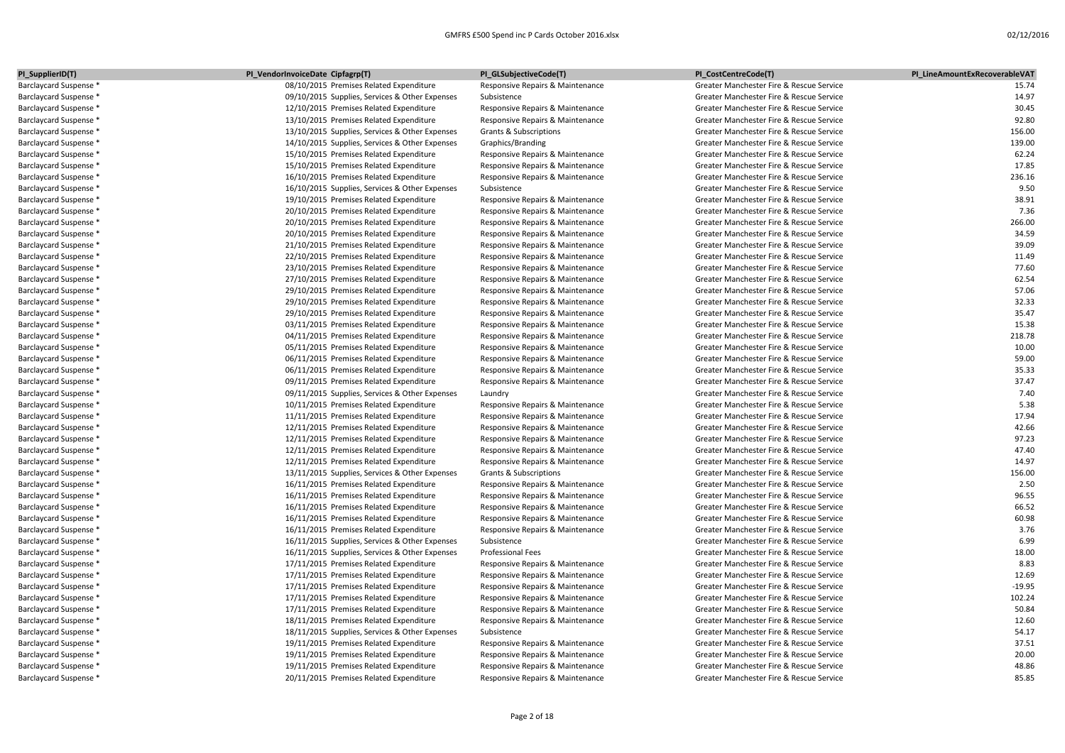| PI_SupplierID(T)       | PI_VendorInvoiceDate Cipfagrp(T)               | PI_GLSubjectiveCode(T)           | PI_CostCentreCode(T)                     | PI_LineAmountExRecoverableVAT |
|------------------------|------------------------------------------------|----------------------------------|------------------------------------------|-------------------------------|
| Barclaycard Suspense * | 08/10/2015 Premises Related Expenditure        | Responsive Repairs & Maintenance | Greater Manchester Fire & Rescue Service | 15.74                         |
| Barclaycard Suspense * | 09/10/2015 Supplies, Services & Other Expenses | Subsistence                      | Greater Manchester Fire & Rescue Service | 14.97                         |
| Barclaycard Suspense * | 12/10/2015 Premises Related Expenditure        | Responsive Repairs & Maintenance | Greater Manchester Fire & Rescue Service | 30.45                         |
| Barclaycard Suspense * | 13/10/2015 Premises Related Expenditure        | Responsive Repairs & Maintenance | Greater Manchester Fire & Rescue Service | 92.80                         |
| Barclaycard Suspense * | 13/10/2015 Supplies, Services & Other Expenses | Grants & Subscriptions           | Greater Manchester Fire & Rescue Service | 156.00                        |
| Barclaycard Suspense * | 14/10/2015 Supplies, Services & Other Expenses | Graphics/Branding                | Greater Manchester Fire & Rescue Service | 139.00                        |
| Barclaycard Suspense * | 15/10/2015 Premises Related Expenditure        | Responsive Repairs & Maintenance | Greater Manchester Fire & Rescue Service | 62.24                         |
| Barclaycard Suspense * | 15/10/2015 Premises Related Expenditure        | Responsive Repairs & Maintenance | Greater Manchester Fire & Rescue Service | 17.85                         |
| Barclaycard Suspense * | 16/10/2015 Premises Related Expenditure        | Responsive Repairs & Maintenance | Greater Manchester Fire & Rescue Service | 236.16                        |
| Barclaycard Suspense * | 16/10/2015 Supplies, Services & Other Expenses | Subsistence                      | Greater Manchester Fire & Rescue Service | 9.50                          |
| Barclaycard Suspense * | 19/10/2015 Premises Related Expenditure        | Responsive Repairs & Maintenance | Greater Manchester Fire & Rescue Service | 38.91                         |
| Barclaycard Suspense * | 20/10/2015 Premises Related Expenditure        | Responsive Repairs & Maintenance | Greater Manchester Fire & Rescue Service | 7.36                          |
| Barclaycard Suspense * | 20/10/2015 Premises Related Expenditure        | Responsive Repairs & Maintenance | Greater Manchester Fire & Rescue Service | 266.00                        |
| Barclaycard Suspense * | 20/10/2015 Premises Related Expenditure        | Responsive Repairs & Maintenance | Greater Manchester Fire & Rescue Service | 34.59                         |
| Barclaycard Suspense * | 21/10/2015 Premises Related Expenditure        | Responsive Repairs & Maintenance | Greater Manchester Fire & Rescue Service | 39.09                         |
| Barclaycard Suspense * | 22/10/2015 Premises Related Expenditure        | Responsive Repairs & Maintenance | Greater Manchester Fire & Rescue Service | 11.49                         |
| Barclaycard Suspense * | 23/10/2015 Premises Related Expenditure        | Responsive Repairs & Maintenance | Greater Manchester Fire & Rescue Service | 77.60                         |
| Barclaycard Suspense * | 27/10/2015 Premises Related Expenditure        | Responsive Repairs & Maintenance | Greater Manchester Fire & Rescue Service | 62.54                         |
| Barclaycard Suspense * | 29/10/2015 Premises Related Expenditure        | Responsive Repairs & Maintenance | Greater Manchester Fire & Rescue Service | 57.06                         |
| Barclaycard Suspense * | 29/10/2015 Premises Related Expenditure        | Responsive Repairs & Maintenance | Greater Manchester Fire & Rescue Service | 32.33                         |
| Barclaycard Suspense * | 29/10/2015 Premises Related Expenditure        | Responsive Repairs & Maintenance | Greater Manchester Fire & Rescue Service | 35.47                         |
| Barclaycard Suspense * | 03/11/2015 Premises Related Expenditure        | Responsive Repairs & Maintenance | Greater Manchester Fire & Rescue Service | 15.38                         |
| Barclaycard Suspense * | 04/11/2015 Premises Related Expenditure        | Responsive Repairs & Maintenance | Greater Manchester Fire & Rescue Service | 218.78                        |
| Barclaycard Suspense * | 05/11/2015 Premises Related Expenditure        | Responsive Repairs & Maintenance | Greater Manchester Fire & Rescue Service | 10.00                         |
| Barclaycard Suspense * | 06/11/2015 Premises Related Expenditure        | Responsive Repairs & Maintenance | Greater Manchester Fire & Rescue Service | 59.00                         |
| Barclaycard Suspense * | 06/11/2015 Premises Related Expenditure        | Responsive Repairs & Maintenance | Greater Manchester Fire & Rescue Service | 35.33                         |
| Barclaycard Suspense * | 09/11/2015 Premises Related Expenditure        | Responsive Repairs & Maintenance | Greater Manchester Fire & Rescue Service | 37.47                         |
| Barclaycard Suspense * | 09/11/2015 Supplies, Services & Other Expenses | Laundry                          | Greater Manchester Fire & Rescue Service | 7.40                          |
| Barclaycard Suspense * | 10/11/2015 Premises Related Expenditure        | Responsive Repairs & Maintenance | Greater Manchester Fire & Rescue Service | 5.38                          |
| Barclaycard Suspense * | 11/11/2015 Premises Related Expenditure        | Responsive Repairs & Maintenance | Greater Manchester Fire & Rescue Service | 17.94                         |
| Barclaycard Suspense * | 12/11/2015 Premises Related Expenditure        | Responsive Repairs & Maintenance | Greater Manchester Fire & Rescue Service | 42.66                         |
| Barclaycard Suspense * | 12/11/2015 Premises Related Expenditure        | Responsive Repairs & Maintenance | Greater Manchester Fire & Rescue Service | 97.23                         |
| Barclaycard Suspense * | 12/11/2015 Premises Related Expenditure        | Responsive Repairs & Maintenance | Greater Manchester Fire & Rescue Service | 47.40                         |
| Barclaycard Suspense * | 12/11/2015 Premises Related Expenditure        | Responsive Repairs & Maintenance | Greater Manchester Fire & Rescue Service | 14.97                         |
| Barclaycard Suspense * | 13/11/2015 Supplies, Services & Other Expenses | Grants & Subscriptions           | Greater Manchester Fire & Rescue Service | 156.00                        |
| Barclaycard Suspense * | 16/11/2015 Premises Related Expenditure        | Responsive Repairs & Maintenance | Greater Manchester Fire & Rescue Service | 2.50                          |
| Barclaycard Suspense * | 16/11/2015 Premises Related Expenditure        | Responsive Repairs & Maintenance | Greater Manchester Fire & Rescue Service | 96.55                         |
| Barclaycard Suspense * | 16/11/2015 Premises Related Expenditure        | Responsive Repairs & Maintenance | Greater Manchester Fire & Rescue Service | 66.52                         |
| Barclaycard Suspense * | 16/11/2015 Premises Related Expenditure        | Responsive Repairs & Maintenance | Greater Manchester Fire & Rescue Service | 60.98                         |
| Barclaycard Suspense * | 16/11/2015 Premises Related Expenditure        | Responsive Repairs & Maintenance | Greater Manchester Fire & Rescue Service | 3.76                          |
| Barclaycard Suspense * | 16/11/2015 Supplies, Services & Other Expenses | Subsistence                      | Greater Manchester Fire & Rescue Service | 6.99                          |
| Barclaycard Suspense * | 16/11/2015 Supplies, Services & Other Expenses | <b>Professional Fees</b>         | Greater Manchester Fire & Rescue Service | 18.00                         |
| Barclaycard Suspense * | 17/11/2015 Premises Related Expenditure        | Responsive Repairs & Maintenance | Greater Manchester Fire & Rescue Service | 8.83                          |
| Barclaycard Suspense * | 17/11/2015 Premises Related Expenditure        | Responsive Repairs & Maintenance | Greater Manchester Fire & Rescue Service | 12.69                         |
| Barclaycard Suspense * | 17/11/2015 Premises Related Expenditure        | Responsive Repairs & Maintenance | Greater Manchester Fire & Rescue Service | $-19.95$                      |
| Barclaycard Suspense * | 17/11/2015 Premises Related Expenditure        | Responsive Repairs & Maintenance | Greater Manchester Fire & Rescue Service | 102.24                        |
| Barclaycard Suspense * | 17/11/2015 Premises Related Expenditure        | Responsive Repairs & Maintenance | Greater Manchester Fire & Rescue Service | 50.84                         |
| Barclaycard Suspense * | 18/11/2015 Premises Related Expenditure        | Responsive Repairs & Maintenance | Greater Manchester Fire & Rescue Service | 12.60                         |
| Barclaycard Suspense * | 18/11/2015 Supplies, Services & Other Expenses | Subsistence                      | Greater Manchester Fire & Rescue Service | 54.17                         |
| Barclaycard Suspense * | 19/11/2015 Premises Related Expenditure        | Responsive Repairs & Maintenance | Greater Manchester Fire & Rescue Service | 37.51                         |
| Barclaycard Suspense * | 19/11/2015 Premises Related Expenditure        | Responsive Repairs & Maintenance | Greater Manchester Fire & Rescue Service | 20.00                         |
| Barclaycard Suspense * | 19/11/2015 Premises Related Expenditure        | Responsive Repairs & Maintenance | Greater Manchester Fire & Rescue Service | 48.86                         |
| Barclaycard Suspense * | 20/11/2015 Premises Related Expenditure        | Responsive Repairs & Maintenance | Greater Manchester Fire & Rescue Service | 85.85                         |
|                        |                                                |                                  |                                          |                               |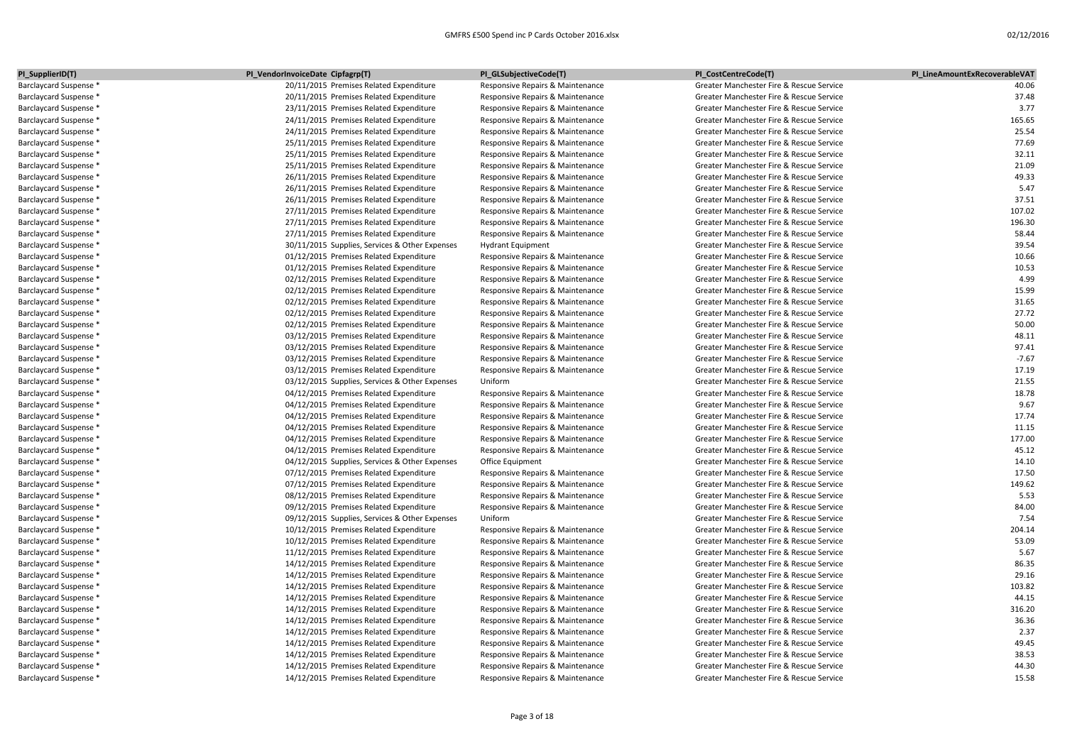| PI_SupplierID(T)       | PI_VendorInvoiceDate Cipfagrp(T)               | PI_GLSubjectiveCode(T)           | PI_CostCentreCode(T)                     | PI_LineAmountExRecoverableVAT |
|------------------------|------------------------------------------------|----------------------------------|------------------------------------------|-------------------------------|
| Barclaycard Suspense * | 20/11/2015 Premises Related Expenditure        | Responsive Repairs & Maintenance | Greater Manchester Fire & Rescue Service | 40.06                         |
| Barclaycard Suspense * | 20/11/2015 Premises Related Expenditure        | Responsive Repairs & Maintenance | Greater Manchester Fire & Rescue Service | 37.48                         |
| Barclaycard Suspense * | 23/11/2015 Premises Related Expenditure        | Responsive Repairs & Maintenance | Greater Manchester Fire & Rescue Service | 3.77                          |
| Barclaycard Suspense * | 24/11/2015 Premises Related Expenditure        | Responsive Repairs & Maintenance | Greater Manchester Fire & Rescue Service | 165.65                        |
| Barclaycard Suspense * | 24/11/2015 Premises Related Expenditure        | Responsive Repairs & Maintenance | Greater Manchester Fire & Rescue Service | 25.54                         |
| Barclaycard Suspense * | 25/11/2015 Premises Related Expenditure        | Responsive Repairs & Maintenance | Greater Manchester Fire & Rescue Service | 77.69                         |
| Barclaycard Suspense * | 25/11/2015 Premises Related Expenditure        | Responsive Repairs & Maintenance | Greater Manchester Fire & Rescue Service | 32.11                         |
| Barclaycard Suspense * | 25/11/2015 Premises Related Expenditure        | Responsive Repairs & Maintenance | Greater Manchester Fire & Rescue Service | 21.09                         |
| Barclaycard Suspense * | 26/11/2015 Premises Related Expenditure        | Responsive Repairs & Maintenance | Greater Manchester Fire & Rescue Service | 49.33                         |
| Barclaycard Suspense * | 26/11/2015 Premises Related Expenditure        | Responsive Repairs & Maintenance | Greater Manchester Fire & Rescue Service | 5.47                          |
| Barclaycard Suspense * | 26/11/2015 Premises Related Expenditure        | Responsive Repairs & Maintenance | Greater Manchester Fire & Rescue Service | 37.51                         |
| Barclaycard Suspense * | 27/11/2015 Premises Related Expenditure        | Responsive Repairs & Maintenance | Greater Manchester Fire & Rescue Service | 107.02                        |
| Barclaycard Suspense * | 27/11/2015 Premises Related Expenditure        | Responsive Repairs & Maintenance | Greater Manchester Fire & Rescue Service | 196.30                        |
| Barclaycard Suspense * | 27/11/2015 Premises Related Expenditure        | Responsive Repairs & Maintenance | Greater Manchester Fire & Rescue Service | 58.44                         |
| Barclaycard Suspense * | 30/11/2015 Supplies, Services & Other Expenses | <b>Hydrant Equipment</b>         | Greater Manchester Fire & Rescue Service | 39.54                         |
| Barclaycard Suspense * | 01/12/2015 Premises Related Expenditure        | Responsive Repairs & Maintenance | Greater Manchester Fire & Rescue Service | 10.66                         |
| Barclaycard Suspense * | 01/12/2015 Premises Related Expenditure        | Responsive Repairs & Maintenance | Greater Manchester Fire & Rescue Service | 10.53                         |
| Barclaycard Suspense * | 02/12/2015 Premises Related Expenditure        | Responsive Repairs & Maintenance | Greater Manchester Fire & Rescue Service | 4.99                          |
| Barclaycard Suspense * | 02/12/2015 Premises Related Expenditure        | Responsive Repairs & Maintenance | Greater Manchester Fire & Rescue Service | 15.99                         |
| Barclaycard Suspense * | 02/12/2015 Premises Related Expenditure        | Responsive Repairs & Maintenance | Greater Manchester Fire & Rescue Service | 31.65                         |
| Barclaycard Suspense * | 02/12/2015 Premises Related Expenditure        | Responsive Repairs & Maintenance | Greater Manchester Fire & Rescue Service | 27.72                         |
| Barclaycard Suspense * | 02/12/2015 Premises Related Expenditure        | Responsive Repairs & Maintenance | Greater Manchester Fire & Rescue Service | 50.00                         |
| Barclaycard Suspense * | 03/12/2015 Premises Related Expenditure        | Responsive Repairs & Maintenance | Greater Manchester Fire & Rescue Service | 48.11                         |
| Barclaycard Suspense * | 03/12/2015 Premises Related Expenditure        | Responsive Repairs & Maintenance | Greater Manchester Fire & Rescue Service | 97.41                         |
| Barclaycard Suspense * | 03/12/2015 Premises Related Expenditure        | Responsive Repairs & Maintenance | Greater Manchester Fire & Rescue Service | $-7.67$                       |
| Barclaycard Suspense * | 03/12/2015 Premises Related Expenditure        | Responsive Repairs & Maintenance | Greater Manchester Fire & Rescue Service | 17.19                         |
| Barclaycard Suspense * | 03/12/2015 Supplies, Services & Other Expenses | Uniform                          | Greater Manchester Fire & Rescue Service | 21.55                         |
| Barclaycard Suspense * | 04/12/2015 Premises Related Expenditure        | Responsive Repairs & Maintenance | Greater Manchester Fire & Rescue Service | 18.78                         |
| Barclaycard Suspense * | 04/12/2015 Premises Related Expenditure        | Responsive Repairs & Maintenance | Greater Manchester Fire & Rescue Service | 9.67                          |
| Barclaycard Suspense * | 04/12/2015 Premises Related Expenditure        | Responsive Repairs & Maintenance | Greater Manchester Fire & Rescue Service | 17.74                         |
| Barclaycard Suspense * | 04/12/2015 Premises Related Expenditure        | Responsive Repairs & Maintenance | Greater Manchester Fire & Rescue Service | 11.15                         |
| Barclaycard Suspense * | 04/12/2015 Premises Related Expenditure        | Responsive Repairs & Maintenance | Greater Manchester Fire & Rescue Service | 177.00                        |
| Barclaycard Suspense * | 04/12/2015 Premises Related Expenditure        | Responsive Repairs & Maintenance | Greater Manchester Fire & Rescue Service | 45.12                         |
| Barclaycard Suspense * | 04/12/2015 Supplies, Services & Other Expenses | Office Equipment                 | Greater Manchester Fire & Rescue Service | 14.10                         |
| Barclaycard Suspense * | 07/12/2015 Premises Related Expenditure        | Responsive Repairs & Maintenance | Greater Manchester Fire & Rescue Service | 17.50                         |
| Barclaycard Suspense * | 07/12/2015 Premises Related Expenditure        | Responsive Repairs & Maintenance | Greater Manchester Fire & Rescue Service | 149.62                        |
| Barclaycard Suspense * | 08/12/2015 Premises Related Expenditure        | Responsive Repairs & Maintenance | Greater Manchester Fire & Rescue Service | 5.53                          |
| Barclaycard Suspense * | 09/12/2015 Premises Related Expenditure        | Responsive Repairs & Maintenance | Greater Manchester Fire & Rescue Service | 84.00                         |
| Barclaycard Suspense * | 09/12/2015 Supplies, Services & Other Expenses | Uniform                          | Greater Manchester Fire & Rescue Service | 7.54                          |
| Barclaycard Suspense * | 10/12/2015 Premises Related Expenditure        | Responsive Repairs & Maintenance | Greater Manchester Fire & Rescue Service | 204.14                        |
| Barclaycard Suspense * | 10/12/2015 Premises Related Expenditure        | Responsive Repairs & Maintenance | Greater Manchester Fire & Rescue Service | 53.09                         |
| Barclaycard Suspense * | 11/12/2015 Premises Related Expenditure        | Responsive Repairs & Maintenance | Greater Manchester Fire & Rescue Service | 5.67                          |
| Barclaycard Suspense * | 14/12/2015 Premises Related Expenditure        | Responsive Repairs & Maintenance | Greater Manchester Fire & Rescue Service | 86.35                         |
| Barclaycard Suspense * | 14/12/2015 Premises Related Expenditure        | Responsive Repairs & Maintenance | Greater Manchester Fire & Rescue Service | 29.16                         |
| Barclaycard Suspense * | 14/12/2015 Premises Related Expenditure        | Responsive Repairs & Maintenance | Greater Manchester Fire & Rescue Service | 103.82                        |
| Barclaycard Suspense * | 14/12/2015 Premises Related Expenditure        | Responsive Repairs & Maintenance | Greater Manchester Fire & Rescue Service | 44.15                         |
| Barclaycard Suspense * | 14/12/2015 Premises Related Expenditure        | Responsive Repairs & Maintenance | Greater Manchester Fire & Rescue Service | 316.20                        |
| Barclaycard Suspense * | 14/12/2015 Premises Related Expenditure        | Responsive Repairs & Maintenance | Greater Manchester Fire & Rescue Service | 36.36                         |
| Barclaycard Suspense * | 14/12/2015 Premises Related Expenditure        | Responsive Repairs & Maintenance | Greater Manchester Fire & Rescue Service | 2.37                          |
| Barclaycard Suspense * | 14/12/2015 Premises Related Expenditure        | Responsive Repairs & Maintenance | Greater Manchester Fire & Rescue Service | 49.45                         |
| Barclaycard Suspense * | 14/12/2015 Premises Related Expenditure        | Responsive Repairs & Maintenance | Greater Manchester Fire & Rescue Service | 38.53<br>44.30                |
| Barclaycard Suspense * | 14/12/2015 Premises Related Expenditure        | Responsive Repairs & Maintenance | Greater Manchester Fire & Rescue Service | 15.58                         |
| Barclaycard Suspense * | 14/12/2015 Premises Related Expenditure        | Responsive Repairs & Maintenance | Greater Manchester Fire & Rescue Service |                               |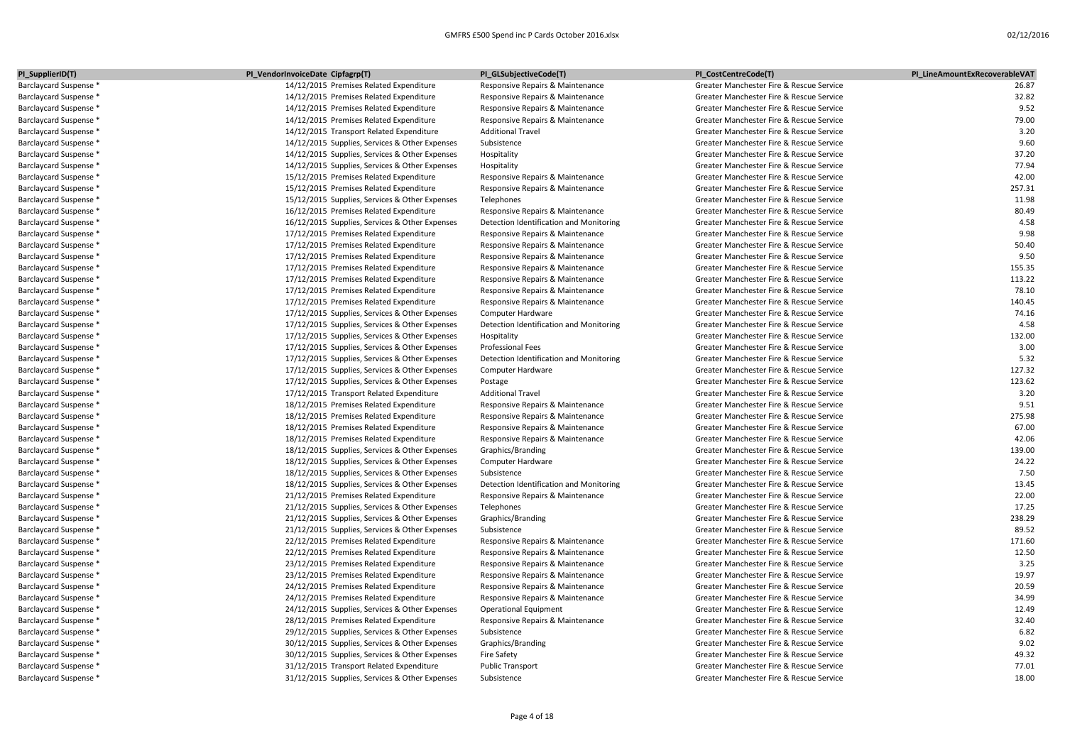| PI_SupplierID(T)       | PI_VendorInvoiceDate Cipfagrp(T)               | PI_GLSubjectiveCode(T)                  | PI_CostCentreCode(T)                     | PI LineAmountExRecoverableVAT |
|------------------------|------------------------------------------------|-----------------------------------------|------------------------------------------|-------------------------------|
| Barclaycard Suspense * | 14/12/2015 Premises Related Expenditure        | Responsive Repairs & Maintenance        | Greater Manchester Fire & Rescue Service | 26.87                         |
| Barclaycard Suspense * | 14/12/2015 Premises Related Expenditure        | Responsive Repairs & Maintenance        | Greater Manchester Fire & Rescue Service | 32.82                         |
| Barclaycard Suspense * | 14/12/2015 Premises Related Expenditure        | Responsive Repairs & Maintenance        | Greater Manchester Fire & Rescue Service | 9.52                          |
| Barclaycard Suspense * | 14/12/2015 Premises Related Expenditure        | Responsive Repairs & Maintenance        | Greater Manchester Fire & Rescue Service | 79.00                         |
| Barclaycard Suspense * | 14/12/2015 Transport Related Expenditure       | <b>Additional Travel</b>                | Greater Manchester Fire & Rescue Service | 3.20                          |
| Barclaycard Suspense * | 14/12/2015 Supplies, Services & Other Expenses | Subsistence                             | Greater Manchester Fire & Rescue Service | 9.60                          |
| Barclaycard Suspense * | 14/12/2015 Supplies, Services & Other Expenses | Hospitality                             | Greater Manchester Fire & Rescue Service | 37.20                         |
| Barclaycard Suspense * | 14/12/2015 Supplies, Services & Other Expenses | Hospitality                             | Greater Manchester Fire & Rescue Service | 77.94                         |
| Barclaycard Suspense * | 15/12/2015 Premises Related Expenditure        | Responsive Repairs & Maintenance        | Greater Manchester Fire & Rescue Service | 42.00                         |
| Barclaycard Suspense * | 15/12/2015 Premises Related Expenditure        | Responsive Repairs & Maintenance        | Greater Manchester Fire & Rescue Service | 257.31                        |
| Barclaycard Suspense * | 15/12/2015 Supplies, Services & Other Expenses | Telephones                              | Greater Manchester Fire & Rescue Service | 11.98                         |
| Barclaycard Suspense * | 16/12/2015 Premises Related Expenditure        | Responsive Repairs & Maintenance        | Greater Manchester Fire & Rescue Service | 80.49                         |
| Barclaycard Suspense * | 16/12/2015 Supplies, Services & Other Expenses | Detection Identification and Monitoring | Greater Manchester Fire & Rescue Service | 4.58                          |
| Barclaycard Suspense * | 17/12/2015 Premises Related Expenditure        | Responsive Repairs & Maintenance        | Greater Manchester Fire & Rescue Service | 9.98                          |
| Barclaycard Suspense * | 17/12/2015 Premises Related Expenditure        | Responsive Repairs & Maintenance        | Greater Manchester Fire & Rescue Service | 50.40                         |
| Barclaycard Suspense * | 17/12/2015 Premises Related Expenditure        | Responsive Repairs & Maintenance        | Greater Manchester Fire & Rescue Service | 9.50                          |
| Barclaycard Suspense * | 17/12/2015 Premises Related Expenditure        | Responsive Repairs & Maintenance        | Greater Manchester Fire & Rescue Service | 155.35                        |
| Barclaycard Suspense * | 17/12/2015 Premises Related Expenditure        | Responsive Repairs & Maintenance        | Greater Manchester Fire & Rescue Service | 113.22                        |
| Barclaycard Suspense * | 17/12/2015 Premises Related Expenditure        | Responsive Repairs & Maintenance        | Greater Manchester Fire & Rescue Service | 78.10                         |
| Barclaycard Suspense * | 17/12/2015 Premises Related Expenditure        | Responsive Repairs & Maintenance        | Greater Manchester Fire & Rescue Service | 140.45                        |
| Barclaycard Suspense * | 17/12/2015 Supplies, Services & Other Expenses | Computer Hardware                       | Greater Manchester Fire & Rescue Service | 74.16                         |
| Barclaycard Suspense * | 17/12/2015 Supplies, Services & Other Expenses | Detection Identification and Monitoring | Greater Manchester Fire & Rescue Service | 4.58                          |
| Barclaycard Suspense * | 17/12/2015 Supplies, Services & Other Expenses | Hospitality                             | Greater Manchester Fire & Rescue Service | 132.00                        |
| Barclaycard Suspense * | 17/12/2015 Supplies, Services & Other Expenses | Professional Fees                       | Greater Manchester Fire & Rescue Service | 3.00                          |
| Barclaycard Suspense * | 17/12/2015 Supplies, Services & Other Expenses | Detection Identification and Monitoring | Greater Manchester Fire & Rescue Service | 5.32                          |
| Barclaycard Suspense * | 17/12/2015 Supplies, Services & Other Expenses | Computer Hardware                       | Greater Manchester Fire & Rescue Service | 127.32                        |
| Barclaycard Suspense * | 17/12/2015 Supplies, Services & Other Expenses | Postage                                 | Greater Manchester Fire & Rescue Service | 123.62                        |
| Barclaycard Suspense * | 17/12/2015 Transport Related Expenditure       | <b>Additional Travel</b>                | Greater Manchester Fire & Rescue Service | 3.20                          |
| Barclaycard Suspense * | 18/12/2015 Premises Related Expenditure        | Responsive Repairs & Maintenance        | Greater Manchester Fire & Rescue Service | 9.51                          |
| Barclaycard Suspense * | 18/12/2015 Premises Related Expenditure        | Responsive Repairs & Maintenance        | Greater Manchester Fire & Rescue Service | 275.98                        |
| Barclaycard Suspense * | 18/12/2015 Premises Related Expenditure        | Responsive Repairs & Maintenance        | Greater Manchester Fire & Rescue Service | 67.00                         |
| Barclaycard Suspense * | 18/12/2015 Premises Related Expenditure        | Responsive Repairs & Maintenance        | Greater Manchester Fire & Rescue Service | 42.06                         |
| Barclaycard Suspense * | 18/12/2015 Supplies, Services & Other Expenses | Graphics/Branding                       | Greater Manchester Fire & Rescue Service | 139.00                        |
| Barclaycard Suspense * | 18/12/2015 Supplies, Services & Other Expenses | Computer Hardware                       | Greater Manchester Fire & Rescue Service | 24.22                         |
| Barclaycard Suspense * | 18/12/2015 Supplies, Services & Other Expenses | Subsistence                             | Greater Manchester Fire & Rescue Service | 7.50                          |
| Barclaycard Suspense * | 18/12/2015 Supplies, Services & Other Expenses | Detection Identification and Monitoring | Greater Manchester Fire & Rescue Service | 13.45                         |
| Barclaycard Suspense * | 21/12/2015 Premises Related Expenditure        | Responsive Repairs & Maintenance        | Greater Manchester Fire & Rescue Service | 22.00                         |
| Barclaycard Suspense * | 21/12/2015 Supplies, Services & Other Expenses | Telephones                              | Greater Manchester Fire & Rescue Service | 17.25                         |
| Barclaycard Suspense * | 21/12/2015 Supplies, Services & Other Expenses | Graphics/Branding                       | Greater Manchester Fire & Rescue Service | 238.29                        |
| Barclaycard Suspense * | 21/12/2015 Supplies, Services & Other Expenses | Subsistence                             | Greater Manchester Fire & Rescue Service | 89.52                         |
| Barclaycard Suspense * | 22/12/2015 Premises Related Expenditure        | Responsive Repairs & Maintenance        | Greater Manchester Fire & Rescue Service | 171.60                        |
| Barclaycard Suspense * | 22/12/2015 Premises Related Expenditure        | Responsive Repairs & Maintenance        | Greater Manchester Fire & Rescue Service | 12.50                         |
| Barclaycard Suspense * | 23/12/2015 Premises Related Expenditure        | Responsive Repairs & Maintenance        | Greater Manchester Fire & Rescue Service | 3.25                          |
| Barclaycard Suspense * | 23/12/2015 Premises Related Expenditure        | Responsive Repairs & Maintenance        | Greater Manchester Fire & Rescue Service | 19.97                         |
| Barclaycard Suspense * | 24/12/2015 Premises Related Expenditure        | Responsive Repairs & Maintenance        | Greater Manchester Fire & Rescue Service | 20.59                         |
| Barclaycard Suspense * | 24/12/2015 Premises Related Expenditure        | Responsive Repairs & Maintenance        | Greater Manchester Fire & Rescue Service | 34.99                         |
| Barclaycard Suspense * | 24/12/2015 Supplies, Services & Other Expenses | <b>Operational Equipment</b>            | Greater Manchester Fire & Rescue Service | 12.49                         |
| Barclaycard Suspense * | 28/12/2015 Premises Related Expenditure        | Responsive Repairs & Maintenance        | Greater Manchester Fire & Rescue Service | 32.40                         |
| Barclaycard Suspense * | 29/12/2015 Supplies, Services & Other Expenses | Subsistence                             | Greater Manchester Fire & Rescue Service | 6.82                          |
| Barclaycard Suspense * | 30/12/2015 Supplies, Services & Other Expenses | Graphics/Branding                       | Greater Manchester Fire & Rescue Service | 9.02                          |
| Barclaycard Suspense * | 30/12/2015 Supplies, Services & Other Expenses | <b>Fire Safety</b>                      | Greater Manchester Fire & Rescue Service | 49.32                         |
| Barclaycard Suspense * | 31/12/2015 Transport Related Expenditure       | <b>Public Transport</b>                 | Greater Manchester Fire & Rescue Service | 77.01                         |
| Barclaycard Suspense * | 31/12/2015 Supplies, Services & Other Expenses | Subsistence                             | Greater Manchester Fire & Rescue Service | 18.00                         |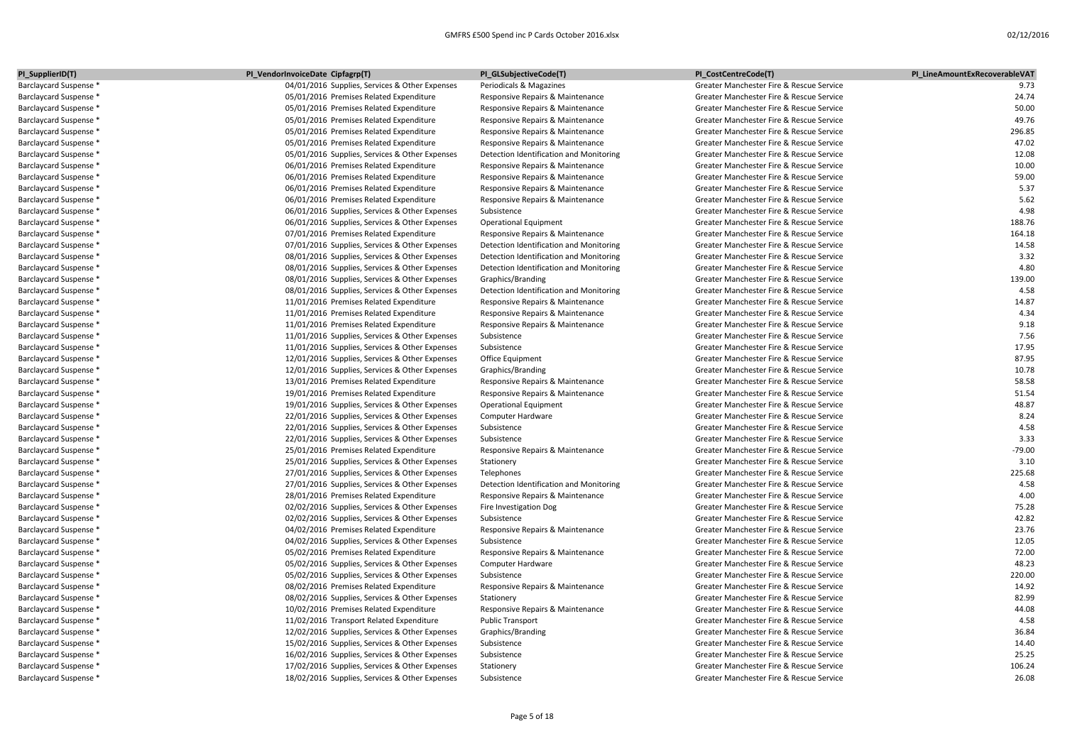| PI_SupplierID(T)       | PI_VendorInvoiceDate Cipfagrp(T)               | PI_GLSubjectiveCode(T)                  | PI_CostCentreCode(T)                     | PI LineAmountExRecoverableVAT |
|------------------------|------------------------------------------------|-----------------------------------------|------------------------------------------|-------------------------------|
| Barclaycard Suspense * | 04/01/2016 Supplies, Services & Other Expenses | Periodicals & Magazines                 | Greater Manchester Fire & Rescue Service | 9.73                          |
| Barclaycard Suspense * | 05/01/2016 Premises Related Expenditure        | Responsive Repairs & Maintenance        | Greater Manchester Fire & Rescue Service | 24.74                         |
| Barclaycard Suspense * | 05/01/2016 Premises Related Expenditure        | Responsive Repairs & Maintenance        | Greater Manchester Fire & Rescue Service | 50.00                         |
| Barclaycard Suspense * | 05/01/2016 Premises Related Expenditure        | Responsive Repairs & Maintenance        | Greater Manchester Fire & Rescue Service | 49.76                         |
| Barclaycard Suspense * | 05/01/2016 Premises Related Expenditure        | Responsive Repairs & Maintenance        | Greater Manchester Fire & Rescue Service | 296.85                        |
| Barclaycard Suspense * | 05/01/2016 Premises Related Expenditure        | Responsive Repairs & Maintenance        | Greater Manchester Fire & Rescue Service | 47.02                         |
| Barclaycard Suspense * | 05/01/2016 Supplies, Services & Other Expenses | Detection Identification and Monitoring | Greater Manchester Fire & Rescue Service | 12.08                         |
| Barclaycard Suspense * | 06/01/2016 Premises Related Expenditure        | Responsive Repairs & Maintenance        | Greater Manchester Fire & Rescue Service | 10.00                         |
| Barclaycard Suspense * | 06/01/2016 Premises Related Expenditure        | Responsive Repairs & Maintenance        | Greater Manchester Fire & Rescue Service | 59.00                         |
| Barclaycard Suspense * | 06/01/2016 Premises Related Expenditure        | Responsive Repairs & Maintenance        | Greater Manchester Fire & Rescue Service | 5.37                          |
| Barclaycard Suspense * | 06/01/2016 Premises Related Expenditure        | Responsive Repairs & Maintenance        | Greater Manchester Fire & Rescue Service | 5.62                          |
| Barclaycard Suspense * | 06/01/2016 Supplies, Services & Other Expenses | Subsistence                             | Greater Manchester Fire & Rescue Service | 4.98                          |
| Barclaycard Suspense * | 06/01/2016 Supplies, Services & Other Expenses | <b>Operational Equipment</b>            | Greater Manchester Fire & Rescue Service | 188.76                        |
| Barclaycard Suspense * | 07/01/2016 Premises Related Expenditure        | Responsive Repairs & Maintenance        | Greater Manchester Fire & Rescue Service | 164.18                        |
| Barclaycard Suspense * | 07/01/2016 Supplies, Services & Other Expenses | Detection Identification and Monitoring | Greater Manchester Fire & Rescue Service | 14.58                         |
| Barclaycard Suspense * | 08/01/2016 Supplies, Services & Other Expenses | Detection Identification and Monitoring | Greater Manchester Fire & Rescue Service | 3.32                          |
| Barclaycard Suspense * | 08/01/2016 Supplies, Services & Other Expenses | Detection Identification and Monitoring | Greater Manchester Fire & Rescue Service | 4.80                          |
| Barclaycard Suspense * | 08/01/2016 Supplies, Services & Other Expenses | Graphics/Branding                       | Greater Manchester Fire & Rescue Service | 139.00                        |
| Barclaycard Suspense * | 08/01/2016 Supplies, Services & Other Expenses | Detection Identification and Monitoring | Greater Manchester Fire & Rescue Service | 4.58                          |
| Barclaycard Suspense * | 11/01/2016 Premises Related Expenditure        | Responsive Repairs & Maintenance        | Greater Manchester Fire & Rescue Service | 14.87                         |
| Barclaycard Suspense * | 11/01/2016 Premises Related Expenditure        | Responsive Repairs & Maintenance        | Greater Manchester Fire & Rescue Service | 4.34                          |
| Barclaycard Suspense * | 11/01/2016 Premises Related Expenditure        | Responsive Repairs & Maintenance        | Greater Manchester Fire & Rescue Service | 9.18                          |
| Barclaycard Suspense * | 11/01/2016 Supplies, Services & Other Expenses | Subsistence                             | Greater Manchester Fire & Rescue Service | 7.56                          |
| Barclaycard Suspense * | 11/01/2016 Supplies, Services & Other Expenses | Subsistence                             | Greater Manchester Fire & Rescue Service | 17.95                         |
| Barclaycard Suspense * | 12/01/2016 Supplies, Services & Other Expenses | Office Equipment                        | Greater Manchester Fire & Rescue Service | 87.95                         |
| Barclaycard Suspense * | 12/01/2016 Supplies, Services & Other Expenses | Graphics/Branding                       | Greater Manchester Fire & Rescue Service | 10.78                         |
| Barclaycard Suspense * | 13/01/2016 Premises Related Expenditure        | Responsive Repairs & Maintenance        | Greater Manchester Fire & Rescue Service | 58.58                         |
| Barclaycard Suspense * | 19/01/2016 Premises Related Expenditure        | Responsive Repairs & Maintenance        | Greater Manchester Fire & Rescue Service | 51.54                         |
| Barclaycard Suspense * | 19/01/2016 Supplies, Services & Other Expenses | <b>Operational Equipment</b>            | Greater Manchester Fire & Rescue Service | 48.87                         |
| Barclaycard Suspense * | 22/01/2016 Supplies, Services & Other Expenses | Computer Hardware                       | Greater Manchester Fire & Rescue Service | 8.24                          |
| Barclaycard Suspense * | 22/01/2016 Supplies, Services & Other Expenses | Subsistence                             | Greater Manchester Fire & Rescue Service | 4.58                          |
| Barclaycard Suspense * | 22/01/2016 Supplies, Services & Other Expenses | Subsistence                             | Greater Manchester Fire & Rescue Service | 3.33                          |
| Barclaycard Suspense * | 25/01/2016 Premises Related Expenditure        | Responsive Repairs & Maintenance        | Greater Manchester Fire & Rescue Service | $-79.00$                      |
| Barclaycard Suspense * | 25/01/2016 Supplies, Services & Other Expenses | Stationery                              | Greater Manchester Fire & Rescue Service | 3.10                          |
| Barclaycard Suspense * | 27/01/2016 Supplies, Services & Other Expenses | Telephones                              | Greater Manchester Fire & Rescue Service | 225.68                        |
| Barclaycard Suspense * | 27/01/2016 Supplies, Services & Other Expenses | Detection Identification and Monitoring | Greater Manchester Fire & Rescue Service | 4.58                          |
| Barclaycard Suspense * | 28/01/2016 Premises Related Expenditure        | Responsive Repairs & Maintenance        | Greater Manchester Fire & Rescue Service | 4.00                          |
| Barclaycard Suspense * | 02/02/2016 Supplies, Services & Other Expenses | Fire Investigation Dog                  | Greater Manchester Fire & Rescue Service | 75.28                         |
| Barclaycard Suspense * | 02/02/2016 Supplies, Services & Other Expenses | Subsistence                             | Greater Manchester Fire & Rescue Service | 42.82                         |
| Barclaycard Suspense * | 04/02/2016 Premises Related Expenditure        | Responsive Repairs & Maintenance        | Greater Manchester Fire & Rescue Service | 23.76                         |
| Barclaycard Suspense * | 04/02/2016 Supplies, Services & Other Expenses | Subsistence                             | Greater Manchester Fire & Rescue Service | 12.05                         |
| Barclaycard Suspense * | 05/02/2016 Premises Related Expenditure        | Responsive Repairs & Maintenance        | Greater Manchester Fire & Rescue Service | 72.00                         |
| Barclaycard Suspense * | 05/02/2016 Supplies, Services & Other Expenses | Computer Hardware                       | Greater Manchester Fire & Rescue Service | 48.23                         |
| Barclaycard Suspense * | 05/02/2016 Supplies, Services & Other Expenses | Subsistence                             | Greater Manchester Fire & Rescue Service | 220.00                        |
| Barclaycard Suspense * | 08/02/2016 Premises Related Expenditure        | Responsive Repairs & Maintenance        | Greater Manchester Fire & Rescue Service | 14.92                         |
| Barclaycard Suspense * | 08/02/2016 Supplies, Services & Other Expenses | Stationery                              | Greater Manchester Fire & Rescue Service | 82.99                         |
| Barclaycard Suspense * | 10/02/2016 Premises Related Expenditure        | Responsive Repairs & Maintenance        | Greater Manchester Fire & Rescue Service | 44.08                         |
| Barclaycard Suspense * | 11/02/2016 Transport Related Expenditure       | <b>Public Transport</b>                 | Greater Manchester Fire & Rescue Service | 4.58                          |
| Barclaycard Suspense * | 12/02/2016 Supplies, Services & Other Expenses | Graphics/Branding                       | Greater Manchester Fire & Rescue Service | 36.84                         |
| Barclaycard Suspense * | 15/02/2016 Supplies, Services & Other Expenses | Subsistence                             | Greater Manchester Fire & Rescue Service | 14.40                         |
| Barclaycard Suspense * | 16/02/2016 Supplies, Services & Other Expenses | Subsistence                             | Greater Manchester Fire & Rescue Service | 25.25                         |
| Barclaycard Suspense * | 17/02/2016 Supplies, Services & Other Expenses | Stationery                              | Greater Manchester Fire & Rescue Service | 106.24                        |
| Barclaycard Suspense * | 18/02/2016 Supplies, Services & Other Expenses | Subsistence                             | Greater Manchester Fire & Rescue Service | 26.08                         |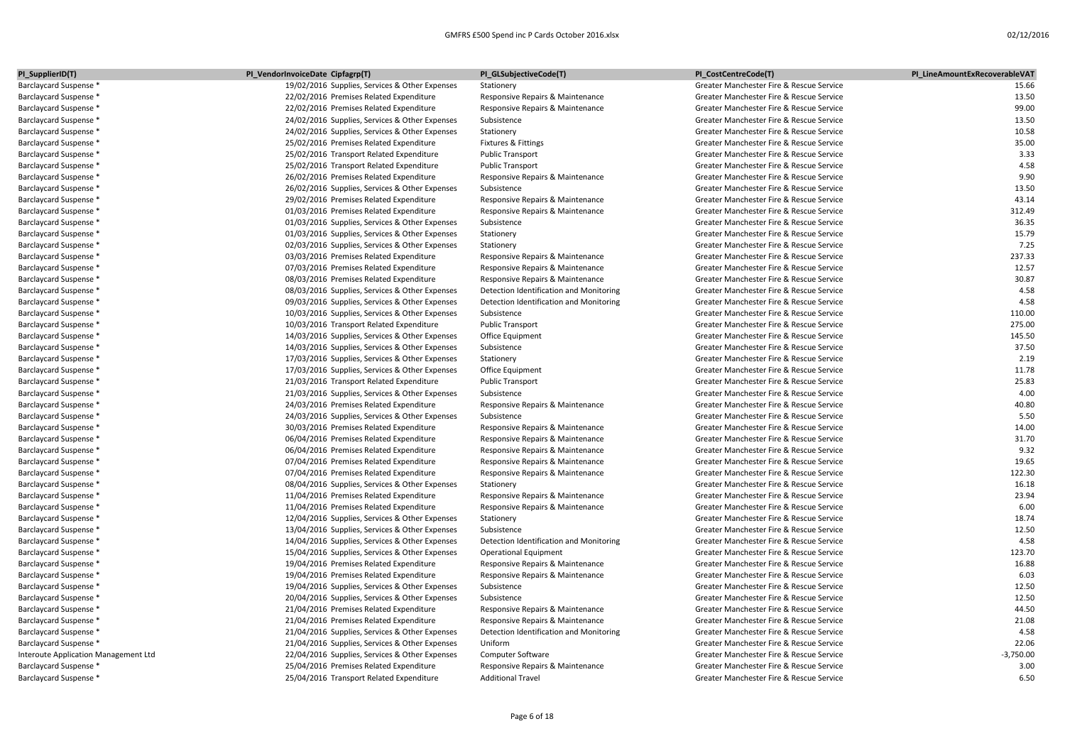| PI_SupplierID(T)                                               | PI_VendorInvoiceDate Cipfagrp(T)                                                          | PI_GLSubjectiveCode(T)                                               | PI CostCentreCode(T)                                                                 | PI LineAmountExRecoverableVAT |
|----------------------------------------------------------------|-------------------------------------------------------------------------------------------|----------------------------------------------------------------------|--------------------------------------------------------------------------------------|-------------------------------|
| Barclaycard Suspense *                                         | 19/02/2016 Supplies, Services & Other Expenses                                            | Stationery                                                           | Greater Manchester Fire & Rescue Service                                             | 15.66                         |
| Barclaycard Suspense *                                         | 22/02/2016 Premises Related Expenditure                                                   | Responsive Repairs & Maintenance                                     | Greater Manchester Fire & Rescue Service                                             | 13.50                         |
| Barclaycard Suspense *                                         | 22/02/2016 Premises Related Expenditure                                                   | Responsive Repairs & Maintenance                                     | Greater Manchester Fire & Rescue Service                                             | 99.00                         |
| Barclaycard Suspense *                                         | 24/02/2016 Supplies, Services & Other Expenses                                            | Subsistence                                                          | Greater Manchester Fire & Rescue Service                                             | 13.50                         |
| Barclaycard Suspense *                                         | 24/02/2016 Supplies, Services & Other Expenses                                            | Stationery                                                           | Greater Manchester Fire & Rescue Service                                             | 10.58                         |
| Barclaycard Suspense *                                         | 25/02/2016 Premises Related Expenditure                                                   | Fixtures & Fittings                                                  | Greater Manchester Fire & Rescue Service                                             | 35.00                         |
| Barclaycard Suspense *                                         | 25/02/2016 Transport Related Expenditure                                                  | <b>Public Transport</b>                                              | Greater Manchester Fire & Rescue Service                                             | 3.33                          |
| Barclaycard Suspense *                                         | 25/02/2016 Transport Related Expenditure                                                  | <b>Public Transport</b>                                              | Greater Manchester Fire & Rescue Service                                             | 4.58                          |
| Barclaycard Suspense *                                         | 26/02/2016 Premises Related Expenditure                                                   | Responsive Repairs & Maintenance                                     | Greater Manchester Fire & Rescue Service                                             | 9.90                          |
| Barclaycard Suspense *                                         | 26/02/2016 Supplies, Services & Other Expenses                                            | Subsistence                                                          | Greater Manchester Fire & Rescue Service                                             | 13.50                         |
| Barclaycard Suspense *                                         | 29/02/2016 Premises Related Expenditure                                                   | Responsive Repairs & Maintenance                                     | Greater Manchester Fire & Rescue Service                                             | 43.14                         |
| Barclaycard Suspense *                                         | 01/03/2016 Premises Related Expenditure                                                   | Responsive Repairs & Maintenance                                     | Greater Manchester Fire & Rescue Service                                             | 312.49                        |
| Barclaycard Suspense *                                         | 01/03/2016 Supplies, Services & Other Expenses                                            | Subsistence                                                          | Greater Manchester Fire & Rescue Service                                             | 36.35                         |
| Barclaycard Suspense *                                         | 01/03/2016 Supplies, Services & Other Expenses                                            | Stationery                                                           | Greater Manchester Fire & Rescue Service                                             | 15.79                         |
| Barclaycard Suspense *                                         | 02/03/2016 Supplies, Services & Other Expenses                                            | Stationery                                                           | Greater Manchester Fire & Rescue Service                                             | 7.25                          |
| Barclaycard Suspense *                                         | 03/03/2016 Premises Related Expenditure                                                   | Responsive Repairs & Maintenance                                     | Greater Manchester Fire & Rescue Service                                             | 237.33                        |
| Barclaycard Suspense *                                         | 07/03/2016 Premises Related Expenditure                                                   | Responsive Repairs & Maintenance                                     | Greater Manchester Fire & Rescue Service                                             | 12.57                         |
| Barclaycard Suspense *                                         | 08/03/2016 Premises Related Expenditure                                                   | Responsive Repairs & Maintenance                                     | Greater Manchester Fire & Rescue Service                                             | 30.87                         |
| Barclaycard Suspense *                                         | 08/03/2016 Supplies, Services & Other Expenses                                            | Detection Identification and Monitoring                              | Greater Manchester Fire & Rescue Service                                             | 4.58                          |
| Barclaycard Suspense *                                         | 09/03/2016 Supplies, Services & Other Expenses                                            | Detection Identification and Monitoring                              | Greater Manchester Fire & Rescue Service                                             | 4.58                          |
| Barclaycard Suspense *                                         | 10/03/2016 Supplies, Services & Other Expenses                                            | Subsistence                                                          | Greater Manchester Fire & Rescue Service                                             | 110.00                        |
| Barclaycard Suspense *                                         | 10/03/2016 Transport Related Expenditure                                                  | <b>Public Transport</b>                                              | Greater Manchester Fire & Rescue Service                                             | 275.00                        |
| Barclaycard Suspense *                                         | 14/03/2016 Supplies, Services & Other Expenses                                            | Office Equipment                                                     | Greater Manchester Fire & Rescue Service                                             | 145.50                        |
| Barclaycard Suspense *                                         | 14/03/2016 Supplies, Services & Other Expenses                                            | Subsistence                                                          | Greater Manchester Fire & Rescue Service                                             | 37.50                         |
| Barclaycard Suspense *                                         | 17/03/2016 Supplies, Services & Other Expenses                                            | Stationery                                                           | Greater Manchester Fire & Rescue Service                                             | 2.19                          |
| Barclaycard Suspense *                                         | 17/03/2016 Supplies, Services & Other Expenses                                            | Office Equipment                                                     | Greater Manchester Fire & Rescue Service                                             | 11.78                         |
| Barclaycard Suspense *                                         | 21/03/2016 Transport Related Expenditure                                                  | <b>Public Transport</b>                                              | Greater Manchester Fire & Rescue Service                                             | 25.83                         |
| Barclaycard Suspense *                                         | 21/03/2016 Supplies, Services & Other Expenses                                            | Subsistence                                                          | Greater Manchester Fire & Rescue Service                                             | 4.00                          |
| Barclaycard Suspense *                                         | 24/03/2016 Premises Related Expenditure                                                   | Responsive Repairs & Maintenance                                     | Greater Manchester Fire & Rescue Service                                             | 40.80                         |
| Barclaycard Suspense *                                         | 24/03/2016 Supplies, Services & Other Expenses                                            | Subsistence                                                          | Greater Manchester Fire & Rescue Service                                             | 5.50                          |
| Barclaycard Suspense *                                         | 30/03/2016 Premises Related Expenditure                                                   | Responsive Repairs & Maintenance                                     | Greater Manchester Fire & Rescue Service                                             | 14.00                         |
| Barclaycard Suspense *                                         | 06/04/2016 Premises Related Expenditure                                                   | Responsive Repairs & Maintenance                                     | Greater Manchester Fire & Rescue Service                                             | 31.70                         |
| Barclaycard Suspense *                                         | 06/04/2016 Premises Related Expenditure                                                   | Responsive Repairs & Maintenance                                     | Greater Manchester Fire & Rescue Service                                             | 9.32                          |
| Barclaycard Suspense *                                         | 07/04/2016 Premises Related Expenditure                                                   | Responsive Repairs & Maintenance                                     | Greater Manchester Fire & Rescue Service                                             | 19.65                         |
| Barclaycard Suspense *                                         | 07/04/2016 Premises Related Expenditure                                                   | Responsive Repairs & Maintenance                                     | Greater Manchester Fire & Rescue Service                                             | 122.30                        |
| Barclaycard Suspense *                                         |                                                                                           | Stationery                                                           | Greater Manchester Fire & Rescue Service                                             | 16.18                         |
| Barclaycard Suspense *                                         | 08/04/2016 Supplies, Services & Other Expenses<br>11/04/2016 Premises Related Expenditure | Responsive Repairs & Maintenance                                     | Greater Manchester Fire & Rescue Service                                             | 23.94                         |
| Barclaycard Suspense *                                         | 11/04/2016 Premises Related Expenditure                                                   | Responsive Repairs & Maintenance                                     | Greater Manchester Fire & Rescue Service                                             | 6.00                          |
| Barclaycard Suspense *                                         | 12/04/2016 Supplies, Services & Other Expenses                                            | Stationery                                                           | Greater Manchester Fire & Rescue Service                                             | 18.74                         |
| Barclaycard Suspense *                                         | 13/04/2016 Supplies, Services & Other Expenses                                            | Subsistence                                                          | Greater Manchester Fire & Rescue Service                                             | 12.50                         |
| Barclaycard Suspense *                                         | 14/04/2016 Supplies, Services & Other Expenses                                            | Detection Identification and Monitoring                              | Greater Manchester Fire & Rescue Service                                             | 4.58                          |
|                                                                |                                                                                           |                                                                      |                                                                                      | 123.70                        |
| Barclaycard Suspense *<br>Barclaycard Suspense *               | 15/04/2016 Supplies, Services & Other Expenses                                            | <b>Operational Equipment</b>                                         | Greater Manchester Fire & Rescue Service<br>Greater Manchester Fire & Rescue Service | 16.88                         |
|                                                                | 19/04/2016 Premises Related Expenditure<br>19/04/2016 Premises Related Expenditure        | Responsive Repairs & Maintenance<br>Responsive Repairs & Maintenance | Greater Manchester Fire & Rescue Service                                             | 6.03                          |
| Barclaycard Suspense *<br>Barclaycard Suspense *               | 19/04/2016 Supplies, Services & Other Expenses                                            | Subsistence                                                          | Greater Manchester Fire & Rescue Service                                             | 12.50                         |
| Barclaycard Suspense *                                         | 20/04/2016 Supplies, Services & Other Expenses                                            | Subsistence                                                          | Greater Manchester Fire & Rescue Service                                             | 12.50                         |
|                                                                | 21/04/2016 Premises Related Expenditure                                                   | Responsive Repairs & Maintenance                                     | Greater Manchester Fire & Rescue Service                                             | 44.50                         |
| Barclaycard Suspense *                                         |                                                                                           |                                                                      |                                                                                      | 21.08                         |
| Barclaycard Suspense *                                         | 21/04/2016 Premises Related Expenditure                                                   | Responsive Repairs & Maintenance                                     | Greater Manchester Fire & Rescue Service                                             | 4.58                          |
| Barclaycard Suspense *                                         | 21/04/2016 Supplies, Services & Other Expenses                                            | Detection Identification and Monitoring                              | Greater Manchester Fire & Rescue Service                                             |                               |
| Barclaycard Suspense *<br>Interoute Application Management Ltd | 21/04/2016 Supplies, Services & Other Expenses                                            | Uniform                                                              | Greater Manchester Fire & Rescue Service<br>Greater Manchester Fire & Rescue Service | 22.06<br>$-3,750.00$          |
| Barclaycard Suspense *                                         | 22/04/2016 Supplies, Services & Other Expenses                                            | Computer Software                                                    | Greater Manchester Fire & Rescue Service                                             | 3.00                          |
|                                                                | 25/04/2016 Premises Related Expenditure<br>25/04/2016 Transport Related Expenditure       | Responsive Repairs & Maintenance                                     |                                                                                      | 6.50                          |
| Barclaycard Suspense *                                         |                                                                                           | <b>Additional Travel</b>                                             | Greater Manchester Fire & Rescue Service                                             |                               |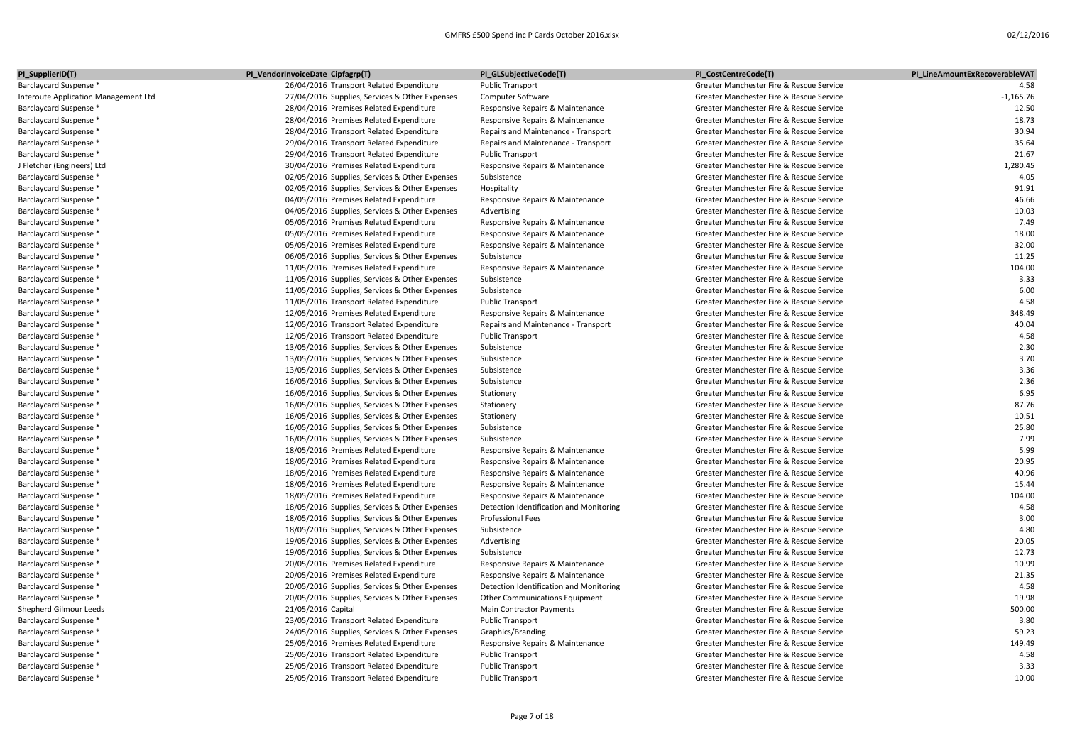| PI_SupplierID(T)                     | PI_VendorInvoiceDate Cipfagrp(T)               | PI_GLSubjectiveCode(T)                  | PI CostCentreCode(T)                     | PI LineAmountExRecoverableVAT |
|--------------------------------------|------------------------------------------------|-----------------------------------------|------------------------------------------|-------------------------------|
| Barclaycard Suspense *               | 26/04/2016 Transport Related Expenditure       | <b>Public Transport</b>                 | Greater Manchester Fire & Rescue Service | 4.58                          |
| Interoute Application Management Ltd | 27/04/2016 Supplies, Services & Other Expenses | <b>Computer Software</b>                | Greater Manchester Fire & Rescue Service | $-1,165.76$                   |
| Barclaycard Suspense *               | 28/04/2016 Premises Related Expenditure        | Responsive Repairs & Maintenance        | Greater Manchester Fire & Rescue Service | 12.50                         |
| Barclaycard Suspense *               | 28/04/2016 Premises Related Expenditure        | Responsive Repairs & Maintenance        | Greater Manchester Fire & Rescue Service | 18.73                         |
| Barclaycard Suspense *               | 28/04/2016 Transport Related Expenditure       | Repairs and Maintenance - Transport     | Greater Manchester Fire & Rescue Service | 30.94                         |
| <b>Barclaycard Suspense *</b>        | 29/04/2016 Transport Related Expenditure       | Repairs and Maintenance - Transport     | Greater Manchester Fire & Rescue Service | 35.64                         |
| Barclaycard Suspense *               | 29/04/2016 Transport Related Expenditure       | <b>Public Transport</b>                 | Greater Manchester Fire & Rescue Service | 21.67                         |
| J Fletcher (Engineers) Ltd           | 30/04/2016 Premises Related Expenditure        | Responsive Repairs & Maintenance        | Greater Manchester Fire & Rescue Service | 1,280.45                      |
| Barclaycard Suspense *               | 02/05/2016 Supplies, Services & Other Expenses | Subsistence                             | Greater Manchester Fire & Rescue Service | 4.05                          |
| Barclaycard Suspense *               | 02/05/2016 Supplies, Services & Other Expenses | Hospitality                             | Greater Manchester Fire & Rescue Service | 91.91                         |
| Barclaycard Suspense *               | 04/05/2016 Premises Related Expenditure        | Responsive Repairs & Maintenance        | Greater Manchester Fire & Rescue Service | 46.66                         |
| Barclaycard Suspense *               | 04/05/2016 Supplies, Services & Other Expenses | Advertising                             | Greater Manchester Fire & Rescue Service | 10.03                         |
| <b>Barclaycard Suspense *</b>        | 05/05/2016 Premises Related Expenditure        | Responsive Repairs & Maintenance        | Greater Manchester Fire & Rescue Service | 7.49                          |
| Barclaycard Suspense *               | 05/05/2016 Premises Related Expenditure        | Responsive Repairs & Maintenance        | Greater Manchester Fire & Rescue Service | 18.00                         |
| Barclaycard Suspense *               | 05/05/2016 Premises Related Expenditure        | Responsive Repairs & Maintenance        | Greater Manchester Fire & Rescue Service | 32.00                         |
| Barclaycard Suspense *               | 06/05/2016 Supplies, Services & Other Expenses | Subsistence                             | Greater Manchester Fire & Rescue Service | 11.25                         |
| Barclaycard Suspense *               | 11/05/2016 Premises Related Expenditure        | Responsive Repairs & Maintenance        | Greater Manchester Fire & Rescue Service | 104.00                        |
| Barclaycard Suspense *               | 11/05/2016 Supplies, Services & Other Expenses | Subsistence                             | Greater Manchester Fire & Rescue Service | 3.33                          |
| Barclaycard Suspense *               | 11/05/2016 Supplies, Services & Other Expenses | Subsistence                             | Greater Manchester Fire & Rescue Service | 6.00                          |
| <b>Barclaycard Suspense *</b>        | 11/05/2016 Transport Related Expenditure       | <b>Public Transport</b>                 | Greater Manchester Fire & Rescue Service | 4.58                          |
| Barclaycard Suspense *               | 12/05/2016 Premises Related Expenditure        | Responsive Repairs & Maintenance        | Greater Manchester Fire & Rescue Service | 348.49                        |
| Barclaycard Suspense *               | 12/05/2016 Transport Related Expenditure       | Repairs and Maintenance - Transport     | Greater Manchester Fire & Rescue Service | 40.04                         |
| Barclaycard Suspense *               | 12/05/2016 Transport Related Expenditure       | <b>Public Transport</b>                 | Greater Manchester Fire & Rescue Service | 4.58                          |
| Barclaycard Suspense *               | 13/05/2016 Supplies, Services & Other Expenses | Subsistence                             | Greater Manchester Fire & Rescue Service | 2.30                          |
| Barclaycard Suspense *               | 13/05/2016 Supplies, Services & Other Expenses | Subsistence                             | Greater Manchester Fire & Rescue Service | 3.70                          |
| Barclaycard Suspense *               | 13/05/2016 Supplies, Services & Other Expenses | Subsistence                             | Greater Manchester Fire & Rescue Service | 3.36                          |
| Barclaycard Suspense *               | 16/05/2016 Supplies, Services & Other Expenses | Subsistence                             | Greater Manchester Fire & Rescue Service | 2.36                          |
| Barclaycard Suspense *               | 16/05/2016 Supplies, Services & Other Expenses | Stationery                              | Greater Manchester Fire & Rescue Service | 6.95                          |
| Barclaycard Suspense *               | 16/05/2016 Supplies, Services & Other Expenses | Stationery                              | Greater Manchester Fire & Rescue Service | 87.76                         |
| Barclaycard Suspense *               | 16/05/2016 Supplies, Services & Other Expenses | Stationery                              | Greater Manchester Fire & Rescue Service | 10.51                         |
| Barclaycard Suspense *               | 16/05/2016 Supplies, Services & Other Expenses | Subsistence                             | Greater Manchester Fire & Rescue Service | 25.80                         |
| Barclaycard Suspense *               | 16/05/2016 Supplies, Services & Other Expenses | Subsistence                             | Greater Manchester Fire & Rescue Service | 7.99                          |
| Barclaycard Suspense *               | 18/05/2016 Premises Related Expenditure        | Responsive Repairs & Maintenance        | Greater Manchester Fire & Rescue Service | 5.99                          |
| Barclaycard Suspense *               | 18/05/2016 Premises Related Expenditure        | Responsive Repairs & Maintenance        | Greater Manchester Fire & Rescue Service | 20.95                         |
| Barclaycard Suspense *               | 18/05/2016 Premises Related Expenditure        | Responsive Repairs & Maintenance        | Greater Manchester Fire & Rescue Service | 40.96                         |
| Barclaycard Suspense *               | 18/05/2016 Premises Related Expenditure        | Responsive Repairs & Maintenance        | Greater Manchester Fire & Rescue Service | 15.44                         |
| Barclaycard Suspense *               | 18/05/2016 Premises Related Expenditure        | Responsive Repairs & Maintenance        | Greater Manchester Fire & Rescue Service | 104.00                        |
| Barclaycard Suspense *               | 18/05/2016 Supplies, Services & Other Expenses | Detection Identification and Monitoring | Greater Manchester Fire & Rescue Service | 4.58                          |
| Barclaycard Suspense *               | 18/05/2016 Supplies, Services & Other Expenses | <b>Professional Fees</b>                | Greater Manchester Fire & Rescue Service | 3.00                          |
| Barclaycard Suspense *               | 18/05/2016 Supplies, Services & Other Expenses | Subsistence                             | Greater Manchester Fire & Rescue Service | 4.80                          |
| Barclaycard Suspense *               | 19/05/2016 Supplies, Services & Other Expenses | Advertising                             | Greater Manchester Fire & Rescue Service | 20.05                         |
| Barclaycard Suspense *               | 19/05/2016 Supplies, Services & Other Expenses | Subsistence                             | Greater Manchester Fire & Rescue Service | 12.73                         |
| Barclaycard Suspense *               | 20/05/2016 Premises Related Expenditure        | Responsive Repairs & Maintenance        | Greater Manchester Fire & Rescue Service | 10.99                         |
| Barclaycard Suspense *               | 20/05/2016 Premises Related Expenditure        | Responsive Repairs & Maintenance        | Greater Manchester Fire & Rescue Service | 21.35                         |
| Barclaycard Suspense *               | 20/05/2016 Supplies, Services & Other Expenses | Detection Identification and Monitoring | Greater Manchester Fire & Rescue Service | 4.58                          |
| Barclaycard Suspense *               | 20/05/2016 Supplies, Services & Other Expenses | Other Communications Equipment          | Greater Manchester Fire & Rescue Service | 19.98                         |
| Shepherd Gilmour Leeds               | 21/05/2016 Capital                             | Main Contractor Payments                | Greater Manchester Fire & Rescue Service | 500.00                        |
| Barclaycard Suspense *               | 23/05/2016 Transport Related Expenditure       | <b>Public Transport</b>                 | Greater Manchester Fire & Rescue Service | 3.80                          |
| Barclaycard Suspense *               | 24/05/2016 Supplies, Services & Other Expenses | Graphics/Branding                       | Greater Manchester Fire & Rescue Service | 59.23                         |
| <b>Barclaycard Suspense *</b>        | 25/05/2016 Premises Related Expenditure        | Responsive Repairs & Maintenance        | Greater Manchester Fire & Rescue Service | 149.49                        |
| Barclaycard Suspense *               | 25/05/2016 Transport Related Expenditure       | <b>Public Transport</b>                 | Greater Manchester Fire & Rescue Service | 4.58                          |
| Barclaycard Suspense *               | 25/05/2016 Transport Related Expenditure       | <b>Public Transport</b>                 | Greater Manchester Fire & Rescue Service | 3.33                          |
| Barclaycard Suspense *               | 25/05/2016 Transport Related Expenditure       | Public Transport                        | Greater Manchester Fire & Rescue Service | 10.00                         |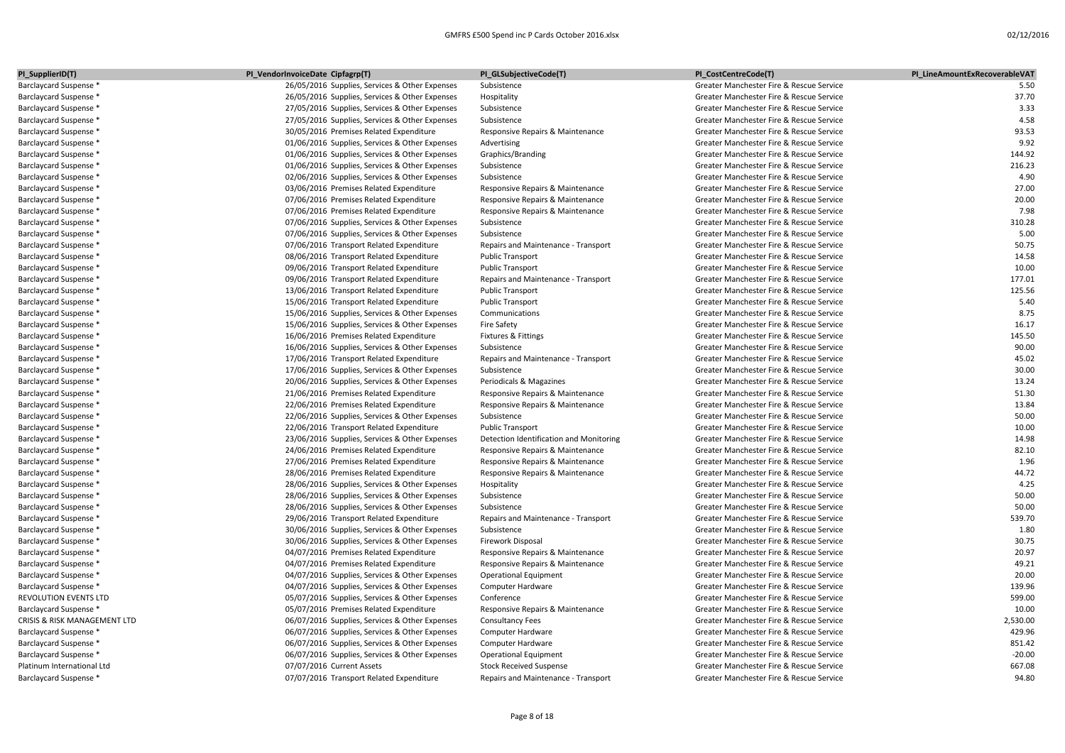| PI_SupplierID(T)             | PI_VendorInvoiceDate Cipfagrp(T)               | PI_GLSubjectiveCode(T)                  | PI_CostCentreCode(T)                     | PI LineAmountExRecoverableVAT |
|------------------------------|------------------------------------------------|-----------------------------------------|------------------------------------------|-------------------------------|
| Barclaycard Suspense *       | 26/05/2016 Supplies, Services & Other Expenses | Subsistence                             | Greater Manchester Fire & Rescue Service | 5.50                          |
| Barclaycard Suspense *       | 26/05/2016 Supplies, Services & Other Expenses | Hospitality                             | Greater Manchester Fire & Rescue Service | 37.70                         |
| Barclaycard Suspense *       | 27/05/2016 Supplies, Services & Other Expenses | Subsistence                             | Greater Manchester Fire & Rescue Service | 3.33                          |
| Barclaycard Suspense *       | 27/05/2016 Supplies, Services & Other Expenses | Subsistence                             | Greater Manchester Fire & Rescue Service | 4.58                          |
| Barclaycard Suspense *       | 30/05/2016 Premises Related Expenditure        | Responsive Repairs & Maintenance        | Greater Manchester Fire & Rescue Service | 93.53                         |
| Barclaycard Suspense *       | 01/06/2016 Supplies, Services & Other Expenses | Advertising                             | Greater Manchester Fire & Rescue Service | 9.92                          |
| Barclaycard Suspense *       | 01/06/2016 Supplies, Services & Other Expenses | Graphics/Branding                       | Greater Manchester Fire & Rescue Service | 144.92                        |
| Barclaycard Suspense *       | 01/06/2016 Supplies, Services & Other Expenses | Subsistence                             | Greater Manchester Fire & Rescue Service | 216.23                        |
| Barclaycard Suspense *       | 02/06/2016 Supplies, Services & Other Expenses | Subsistence                             | Greater Manchester Fire & Rescue Service | 4.90                          |
| Barclaycard Suspense *       | 03/06/2016 Premises Related Expenditure        | Responsive Repairs & Maintenance        | Greater Manchester Fire & Rescue Service | 27.00                         |
| Barclaycard Suspense *       | 07/06/2016 Premises Related Expenditure        | Responsive Repairs & Maintenance        | Greater Manchester Fire & Rescue Service | 20.00                         |
| Barclaycard Suspense *       | 07/06/2016 Premises Related Expenditure        | Responsive Repairs & Maintenance        | Greater Manchester Fire & Rescue Service | 7.98                          |
| Barclaycard Suspense *       | 07/06/2016 Supplies, Services & Other Expenses | Subsistence                             | Greater Manchester Fire & Rescue Service | 310.28                        |
| Barclaycard Suspense *       | 07/06/2016 Supplies, Services & Other Expenses | Subsistence                             | Greater Manchester Fire & Rescue Service | 5.00                          |
| Barclaycard Suspense *       | 07/06/2016 Transport Related Expenditure       | Repairs and Maintenance - Transport     | Greater Manchester Fire & Rescue Service | 50.75                         |
| Barclaycard Suspense *       | 08/06/2016 Transport Related Expenditure       | <b>Public Transport</b>                 | Greater Manchester Fire & Rescue Service | 14.58                         |
| Barclaycard Suspense *       | 09/06/2016 Transport Related Expenditure       | <b>Public Transport</b>                 | Greater Manchester Fire & Rescue Service | 10.00                         |
| Barclaycard Suspense *       | 09/06/2016 Transport Related Expenditure       | Repairs and Maintenance - Transport     | Greater Manchester Fire & Rescue Service | 177.01                        |
| Barclaycard Suspense *       | 13/06/2016 Transport Related Expenditure       | <b>Public Transport</b>                 | Greater Manchester Fire & Rescue Service | 125.56                        |
| Barclaycard Suspense *       | 15/06/2016 Transport Related Expenditure       | <b>Public Transport</b>                 | Greater Manchester Fire & Rescue Service | 5.40                          |
| Barclaycard Suspense *       | 15/06/2016 Supplies, Services & Other Expenses | Communications                          | Greater Manchester Fire & Rescue Service | 8.75                          |
| Barclaycard Suspense *       | 15/06/2016 Supplies, Services & Other Expenses | <b>Fire Safety</b>                      | Greater Manchester Fire & Rescue Service | 16.17                         |
| Barclaycard Suspense *       | 16/06/2016 Premises Related Expenditure        | Fixtures & Fittings                     | Greater Manchester Fire & Rescue Service | 145.50                        |
| Barclaycard Suspense *       | 16/06/2016 Supplies, Services & Other Expenses | Subsistence                             | Greater Manchester Fire & Rescue Service | 90.00                         |
| Barclaycard Suspense *       | 17/06/2016 Transport Related Expenditure       | Repairs and Maintenance - Transport     | Greater Manchester Fire & Rescue Service | 45.02                         |
| Barclaycard Suspense *       | 17/06/2016 Supplies, Services & Other Expenses | Subsistence                             | Greater Manchester Fire & Rescue Service | 30.00                         |
| Barclaycard Suspense *       | 20/06/2016 Supplies, Services & Other Expenses | Periodicals & Magazines                 | Greater Manchester Fire & Rescue Service | 13.24                         |
| Barclaycard Suspense *       | 21/06/2016 Premises Related Expenditure        | Responsive Repairs & Maintenance        | Greater Manchester Fire & Rescue Service | 51.30                         |
| Barclaycard Suspense *       | 22/06/2016 Premises Related Expenditure        | Responsive Repairs & Maintenance        | Greater Manchester Fire & Rescue Service | 13.84                         |
| Barclaycard Suspense *       | 22/06/2016 Supplies, Services & Other Expenses | Subsistence                             | Greater Manchester Fire & Rescue Service | 50.00                         |
| Barclaycard Suspense *       | 22/06/2016 Transport Related Expenditure       | <b>Public Transport</b>                 | Greater Manchester Fire & Rescue Service | 10.00                         |
| Barclaycard Suspense *       | 23/06/2016 Supplies, Services & Other Expenses | Detection Identification and Monitoring | Greater Manchester Fire & Rescue Service | 14.98                         |
| Barclaycard Suspense *       | 24/06/2016 Premises Related Expenditure        | Responsive Repairs & Maintenance        | Greater Manchester Fire & Rescue Service | 82.10                         |
| Barclaycard Suspense *       | 27/06/2016 Premises Related Expenditure        | Responsive Repairs & Maintenance        | Greater Manchester Fire & Rescue Service | 1.96                          |
| Barclaycard Suspense *       | 28/06/2016 Premises Related Expenditure        | Responsive Repairs & Maintenance        | Greater Manchester Fire & Rescue Service | 44.72                         |
| Barclaycard Suspense *       | 28/06/2016 Supplies, Services & Other Expenses | Hospitality                             | Greater Manchester Fire & Rescue Service | 4.25                          |
| Barclaycard Suspense *       | 28/06/2016 Supplies, Services & Other Expenses | Subsistence                             | Greater Manchester Fire & Rescue Service | 50.00                         |
| Barclaycard Suspense *       | 28/06/2016 Supplies, Services & Other Expenses | Subsistence                             | Greater Manchester Fire & Rescue Service | 50.00                         |
| Barclaycard Suspense *       | 29/06/2016 Transport Related Expenditure       | Repairs and Maintenance - Transport     | Greater Manchester Fire & Rescue Service | 539.70                        |
| Barclaycard Suspense *       | 30/06/2016 Supplies, Services & Other Expenses | Subsistence                             | Greater Manchester Fire & Rescue Service | 1.80                          |
| Barclaycard Suspense *       | 30/06/2016 Supplies, Services & Other Expenses | <b>Firework Disposal</b>                | Greater Manchester Fire & Rescue Service | 30.75                         |
| Barclaycard Suspense *       | 04/07/2016 Premises Related Expenditure        | Responsive Repairs & Maintenance        | Greater Manchester Fire & Rescue Service | 20.97                         |
| Barclaycard Suspense *       | 04/07/2016 Premises Related Expenditure        | Responsive Repairs & Maintenance        | Greater Manchester Fire & Rescue Service | 49.21                         |
| Barclaycard Suspense *       | 04/07/2016 Supplies, Services & Other Expenses | <b>Operational Equipment</b>            | Greater Manchester Fire & Rescue Service | 20.00                         |
| Barclaycard Suspense *       | 04/07/2016 Supplies, Services & Other Expenses | Computer Hardware                       | Greater Manchester Fire & Rescue Service | 139.96                        |
| REVOLUTION EVENTS LTD        | 05/07/2016 Supplies, Services & Other Expenses | Conference                              | Greater Manchester Fire & Rescue Service | 599.00                        |
| Barclaycard Suspense *       | 05/07/2016 Premises Related Expenditure        | Responsive Repairs & Maintenance        | Greater Manchester Fire & Rescue Service | 10.00                         |
| CRISIS & RISK MANAGEMENT LTD | 06/07/2016 Supplies, Services & Other Expenses | <b>Consultancy Fees</b>                 | Greater Manchester Fire & Rescue Service | 2,530.00                      |
| Barclaycard Suspense *       | 06/07/2016 Supplies, Services & Other Expenses | Computer Hardware                       | Greater Manchester Fire & Rescue Service | 429.96                        |
| Barclaycard Suspense *       | 06/07/2016 Supplies, Services & Other Expenses | Computer Hardware                       | Greater Manchester Fire & Rescue Service | 851.42                        |
| Barclaycard Suspense *       | 06/07/2016 Supplies, Services & Other Expenses | <b>Operational Equipment</b>            | Greater Manchester Fire & Rescue Service | $-20.00$                      |
| Platinum International Ltd   | 07/07/2016 Current Assets                      | <b>Stock Received Suspense</b>          | Greater Manchester Fire & Rescue Service | 667.08                        |
| Barclaycard Suspense *       | 07/07/2016 Transport Related Expenditure       | Repairs and Maintenance - Transport     | Greater Manchester Fire & Rescue Service | 94.80                         |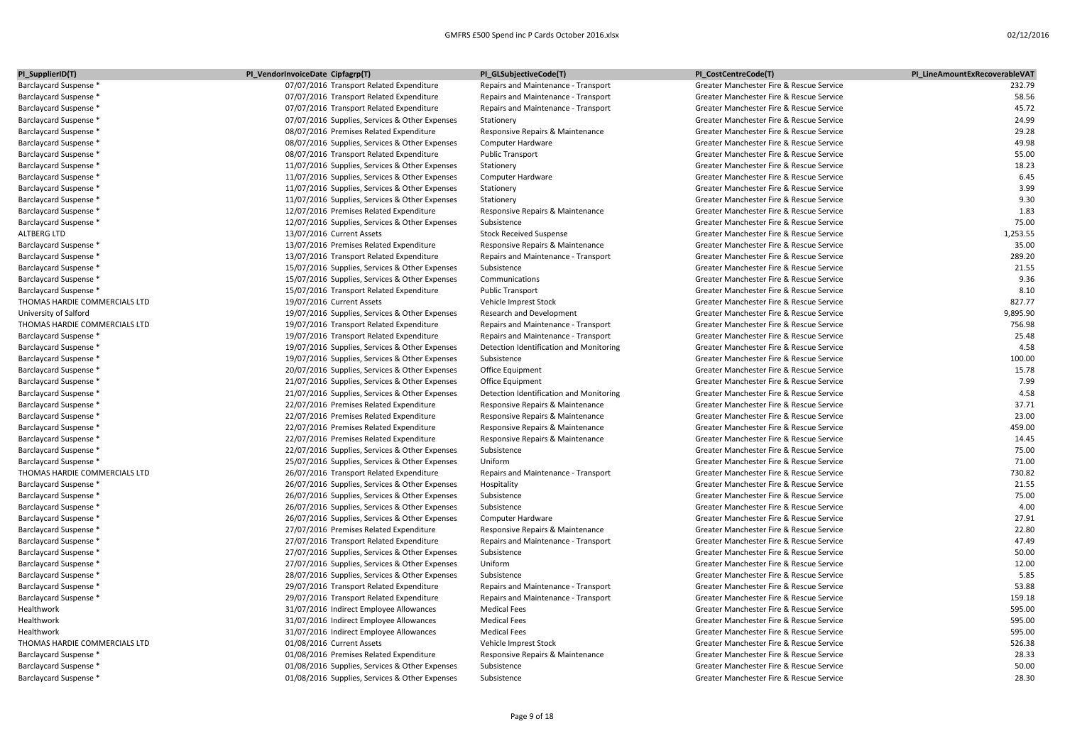| PI_SupplierID(T)              | PI_VendorInvoiceDate Cipfagrp(T)               | PI_GLSubjectiveCode(T)                  | PI_CostCentreCode(T)                     | PI_LineAmountExRecoverableVAT |
|-------------------------------|------------------------------------------------|-----------------------------------------|------------------------------------------|-------------------------------|
| Barclaycard Suspense *        | 07/07/2016 Transport Related Expenditure       | Repairs and Maintenance - Transport     | Greater Manchester Fire & Rescue Service | 232.79                        |
| Barclaycard Suspense *        | 07/07/2016 Transport Related Expenditure       | Repairs and Maintenance - Transport     | Greater Manchester Fire & Rescue Service | 58.56                         |
| Barclaycard Suspense *        | 07/07/2016 Transport Related Expenditure       | Repairs and Maintenance - Transport     | Greater Manchester Fire & Rescue Service | 45.72                         |
| Barclaycard Suspense *        | 07/07/2016 Supplies, Services & Other Expenses | Stationery                              | Greater Manchester Fire & Rescue Service | 24.99                         |
| Barclaycard Suspense *        | 08/07/2016 Premises Related Expenditure        | Responsive Repairs & Maintenance        | Greater Manchester Fire & Rescue Service | 29.28                         |
| Barclaycard Suspense *        | 08/07/2016 Supplies, Services & Other Expenses | Computer Hardware                       | Greater Manchester Fire & Rescue Service | 49.98                         |
| Barclaycard Suspense *        | 08/07/2016 Transport Related Expenditure       | <b>Public Transport</b>                 | Greater Manchester Fire & Rescue Service | 55.00                         |
| Barclaycard Suspense *        | 11/07/2016 Supplies, Services & Other Expenses | Stationery                              | Greater Manchester Fire & Rescue Service | 18.23                         |
| Barclaycard Suspense *        | 11/07/2016 Supplies, Services & Other Expenses | Computer Hardware                       | Greater Manchester Fire & Rescue Service | 6.45                          |
| Barclaycard Suspense *        | 11/07/2016 Supplies, Services & Other Expenses | Stationery                              | Greater Manchester Fire & Rescue Service | 3.99                          |
| Barclaycard Suspense *        | 11/07/2016 Supplies, Services & Other Expenses | Stationery                              | Greater Manchester Fire & Rescue Service | 9.30                          |
| Barclaycard Suspense *        | 12/07/2016 Premises Related Expenditure        | Responsive Repairs & Maintenance        | Greater Manchester Fire & Rescue Service | 1.83                          |
| Barclaycard Suspense *        | 12/07/2016 Supplies, Services & Other Expenses | Subsistence                             | Greater Manchester Fire & Rescue Service | 75.00                         |
| ALTBERG LTD                   | 13/07/2016 Current Assets                      | <b>Stock Received Suspense</b>          | Greater Manchester Fire & Rescue Service | 1,253.55                      |
| Barclaycard Suspense *        | 13/07/2016 Premises Related Expenditure        | Responsive Repairs & Maintenance        | Greater Manchester Fire & Rescue Service | 35.00                         |
| Barclaycard Suspense *        | 13/07/2016 Transport Related Expenditure       | Repairs and Maintenance - Transport     | Greater Manchester Fire & Rescue Service | 289.20                        |
| Barclaycard Suspense *        | 15/07/2016 Supplies, Services & Other Expenses | Subsistence                             | Greater Manchester Fire & Rescue Service | 21.55                         |
| Barclaycard Suspense *        | 15/07/2016 Supplies, Services & Other Expenses | Communications                          | Greater Manchester Fire & Rescue Service | 9.36                          |
| Barclaycard Suspense *        | 15/07/2016 Transport Related Expenditure       | <b>Public Transport</b>                 | Greater Manchester Fire & Rescue Service | 8.10                          |
| THOMAS HARDIE COMMERCIALS LTD | 19/07/2016 Current Assets                      | Vehicle Imprest Stock                   | Greater Manchester Fire & Rescue Service | 827.77                        |
| University of Salford         | 19/07/2016 Supplies, Services & Other Expenses | Research and Development                | Greater Manchester Fire & Rescue Service | 9,895.90                      |
| THOMAS HARDIE COMMERCIALS LTD | 19/07/2016 Transport Related Expenditure       | Repairs and Maintenance - Transport     | Greater Manchester Fire & Rescue Service | 756.98                        |
| Barclaycard Suspense *        | 19/07/2016 Transport Related Expenditure       | Repairs and Maintenance - Transport     | Greater Manchester Fire & Rescue Service | 25.48                         |
| Barclaycard Suspense *        | 19/07/2016 Supplies, Services & Other Expenses | Detection Identification and Monitoring | Greater Manchester Fire & Rescue Service | 4.58                          |
| Barclaycard Suspense *        | 19/07/2016 Supplies, Services & Other Expenses | Subsistence                             | Greater Manchester Fire & Rescue Service | 100.00                        |
| Barclaycard Suspense *        | 20/07/2016 Supplies, Services & Other Expenses | Office Equipment                        | Greater Manchester Fire & Rescue Service | 15.78                         |
| Barclaycard Suspense *        | 21/07/2016 Supplies, Services & Other Expenses | Office Equipment                        | Greater Manchester Fire & Rescue Service | 7.99                          |
| Barclaycard Suspense *        | 21/07/2016 Supplies, Services & Other Expenses | Detection Identification and Monitoring | Greater Manchester Fire & Rescue Service | 4.58                          |
| Barclaycard Suspense *        | 22/07/2016 Premises Related Expenditure        | Responsive Repairs & Maintenance        | Greater Manchester Fire & Rescue Service | 37.71                         |
| Barclaycard Suspense *        | 22/07/2016 Premises Related Expenditure        | Responsive Repairs & Maintenance        | Greater Manchester Fire & Rescue Service | 23.00                         |
| Barclaycard Suspense *        | 22/07/2016 Premises Related Expenditure        | Responsive Repairs & Maintenance        | Greater Manchester Fire & Rescue Service | 459.00                        |
| Barclaycard Suspense *        | 22/07/2016 Premises Related Expenditure        | Responsive Repairs & Maintenance        | Greater Manchester Fire & Rescue Service | 14.45                         |
| Barclaycard Suspense *        | 22/07/2016 Supplies, Services & Other Expenses | Subsistence                             | Greater Manchester Fire & Rescue Service | 75.00                         |
| Barclaycard Suspense *        | 25/07/2016 Supplies, Services & Other Expenses | Uniform                                 | Greater Manchester Fire & Rescue Service | 71.00                         |
| THOMAS HARDIE COMMERCIALS LTD | 26/07/2016 Transport Related Expenditure       | Repairs and Maintenance - Transport     | Greater Manchester Fire & Rescue Service | 730.82                        |
| Barclaycard Suspense *        | 26/07/2016 Supplies, Services & Other Expenses | Hospitality                             | Greater Manchester Fire & Rescue Service | 21.55                         |
| Barclaycard Suspense *        | 26/07/2016 Supplies, Services & Other Expenses | Subsistence                             | Greater Manchester Fire & Rescue Service | 75.00                         |
| Barclaycard Suspense *        | 26/07/2016 Supplies, Services & Other Expenses | Subsistence                             | Greater Manchester Fire & Rescue Service | 4.00                          |
| Barclaycard Suspense *        | 26/07/2016 Supplies, Services & Other Expenses | Computer Hardware                       | Greater Manchester Fire & Rescue Service | 27.91                         |
| Barclaycard Suspense *        | 27/07/2016 Premises Related Expenditure        | Responsive Repairs & Maintenance        | Greater Manchester Fire & Rescue Service | 22.80                         |
| Barclaycard Suspense *        | 27/07/2016 Transport Related Expenditure       | Repairs and Maintenance - Transport     | Greater Manchester Fire & Rescue Service | 47.49                         |
| Barclaycard Suspense *        | 27/07/2016 Supplies, Services & Other Expenses | Subsistence                             | Greater Manchester Fire & Rescue Service | 50.00                         |
| Barclaycard Suspense *        | 27/07/2016 Supplies, Services & Other Expenses | Uniform                                 | Greater Manchester Fire & Rescue Service | 12.00                         |
| Barclaycard Suspense *        | 28/07/2016 Supplies, Services & Other Expenses | Subsistence                             | Greater Manchester Fire & Rescue Service | 5.85                          |
| Barclaycard Suspense *        | 29/07/2016 Transport Related Expenditure       | Repairs and Maintenance - Transport     | Greater Manchester Fire & Rescue Service | 53.88                         |
| Barclaycard Suspense *        | 29/07/2016 Transport Related Expenditure       | Repairs and Maintenance - Transport     | Greater Manchester Fire & Rescue Service | 159.18                        |
| Healthwork                    | 31/07/2016 Indirect Employee Allowances        | <b>Medical Fees</b>                     | Greater Manchester Fire & Rescue Service | 595.00                        |
| Healthwork                    | 31/07/2016 Indirect Employee Allowances        | <b>Medical Fees</b>                     | Greater Manchester Fire & Rescue Service | 595.00                        |
| Healthwork                    | 31/07/2016 Indirect Employee Allowances        | <b>Medical Fees</b>                     | Greater Manchester Fire & Rescue Service | 595.00                        |
| THOMAS HARDIE COMMERCIALS LTD | 01/08/2016 Current Assets                      | Vehicle Imprest Stock                   | Greater Manchester Fire & Rescue Service | 526.38                        |
| Barclaycard Suspense *        | 01/08/2016 Premises Related Expenditure        | Responsive Repairs & Maintenance        | Greater Manchester Fire & Rescue Service | 28.33                         |
| Barclaycard Suspense *        | 01/08/2016 Supplies, Services & Other Expenses | Subsistence                             | Greater Manchester Fire & Rescue Service | 50.00                         |
| Barclaycard Suspense *        | 01/08/2016 Supplies, Services & Other Expenses | Subsistence                             | Greater Manchester Fire & Rescue Service | 28.30                         |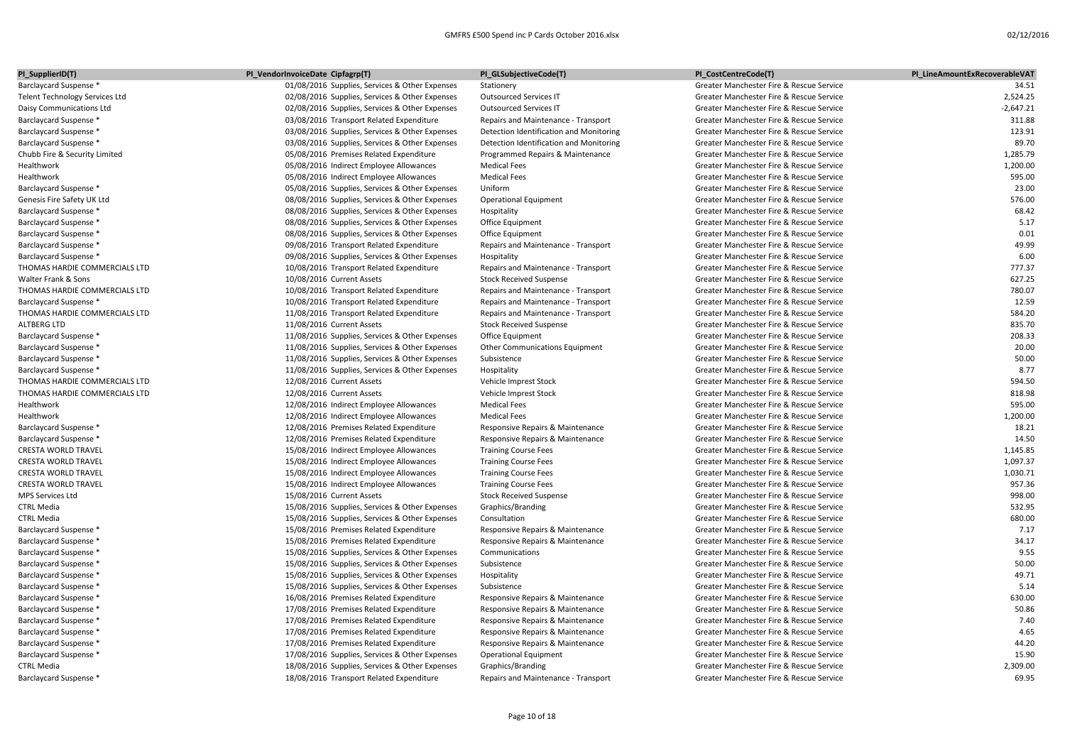| PI_SupplierID(T)                      | PI_VendorInvoiceDate Cipfagrp(T)               | PI_GLSubjectiveCode(T)                  | PI_CostCentreCode(T)                     | PI LineAmountExRecoverableVAT |
|---------------------------------------|------------------------------------------------|-----------------------------------------|------------------------------------------|-------------------------------|
| <b>Barclaycard Suspense *</b>         | 01/08/2016 Supplies, Services & Other Expenses | Stationery                              | Greater Manchester Fire & Rescue Service | 34.51                         |
| <b>Telent Technology Services Ltd</b> | 02/08/2016 Supplies, Services & Other Expenses | <b>Outsourced Services IT</b>           | Greater Manchester Fire & Rescue Service | 2,524.25                      |
| Daisy Communications Ltd              | 02/08/2016 Supplies, Services & Other Expenses | <b>Outsourced Services IT</b>           | Greater Manchester Fire & Rescue Service | $-2,647.21$                   |
| Barclaycard Suspense *                | 03/08/2016 Transport Related Expenditure       | Repairs and Maintenance - Transport     | Greater Manchester Fire & Rescue Service | 311.88                        |
| Barclaycard Suspense *                | 03/08/2016 Supplies, Services & Other Expenses | Detection Identification and Monitoring | Greater Manchester Fire & Rescue Service | 123.91                        |
| <b>Barclaycard Suspense *</b>         | 03/08/2016 Supplies, Services & Other Expenses | Detection Identification and Monitoring | Greater Manchester Fire & Rescue Service | 89.70                         |
| Chubb Fire & Security Limited         | 05/08/2016 Premises Related Expenditure        | Programmed Repairs & Maintenance        | Greater Manchester Fire & Rescue Service | 1,285.79                      |
| Healthwork                            | 05/08/2016 Indirect Employee Allowances        | <b>Medical Fees</b>                     | Greater Manchester Fire & Rescue Service | 1,200.00                      |
| Healthwork                            | 05/08/2016 Indirect Employee Allowances        | <b>Medical Fees</b>                     | Greater Manchester Fire & Rescue Service | 595.00                        |
| Barclaycard Suspense *                | 05/08/2016 Supplies, Services & Other Expenses | Uniform                                 | Greater Manchester Fire & Rescue Service | 23.00                         |
| Genesis Fire Safety UK Ltd            | 08/08/2016 Supplies, Services & Other Expenses | <b>Operational Equipment</b>            | Greater Manchester Fire & Rescue Service | 576.00                        |
| <b>Barclaycard Suspense *</b>         | 08/08/2016 Supplies, Services & Other Expenses | Hospitality                             | Greater Manchester Fire & Rescue Service | 68.42                         |
| Barclaycard Suspense *                | 08/08/2016 Supplies, Services & Other Expenses | Office Equipment                        | Greater Manchester Fire & Rescue Service | 5.17                          |
| <b>Barclaycard Suspense *</b>         | 08/08/2016 Supplies, Services & Other Expenses | Office Equipment                        | Greater Manchester Fire & Rescue Service | 0.01                          |
| Barclaycard Suspense *                | 09/08/2016 Transport Related Expenditure       | Repairs and Maintenance - Transport     | Greater Manchester Fire & Rescue Service | 49.99                         |
| <b>Barclaycard Suspense *</b>         | 09/08/2016 Supplies, Services & Other Expenses | Hospitality                             | Greater Manchester Fire & Rescue Service | 6.00                          |
| THOMAS HARDIE COMMERCIALS LTD         | 10/08/2016 Transport Related Expenditure       | Repairs and Maintenance - Transport     | Greater Manchester Fire & Rescue Service | 777.37                        |
| Walter Frank & Sons                   | 10/08/2016 Current Assets                      | <b>Stock Received Suspense</b>          | Greater Manchester Fire & Rescue Service | 627.25                        |
| THOMAS HARDIE COMMERCIALS LTD         | 10/08/2016 Transport Related Expenditure       | Repairs and Maintenance - Transport     | Greater Manchester Fire & Rescue Service | 780.07                        |
| Barclaycard Suspense *                | 10/08/2016 Transport Related Expenditure       | Repairs and Maintenance - Transport     | Greater Manchester Fire & Rescue Service | 12.59                         |
| THOMAS HARDIE COMMERCIALS LTD         | 11/08/2016 Transport Related Expenditure       | Repairs and Maintenance - Transport     | Greater Manchester Fire & Rescue Service | 584.20                        |
| <b>ALTBERG LTD</b>                    | 11/08/2016 Current Assets                      | <b>Stock Received Suspense</b>          | Greater Manchester Fire & Rescue Service | 835.70                        |
| Barclaycard Suspense *                | 11/08/2016 Supplies, Services & Other Expenses | Office Equipment                        | Greater Manchester Fire & Rescue Service | 208.33                        |
| <b>Barclaycard Suspense *</b>         | 11/08/2016 Supplies, Services & Other Expenses | <b>Other Communications Equipment</b>   | Greater Manchester Fire & Rescue Service | 20.00                         |
| Barclaycard Suspense *                | 11/08/2016 Supplies, Services & Other Expenses | Subsistence                             | Greater Manchester Fire & Rescue Service | 50.00                         |
| <b>Barclaycard Suspense *</b>         | 11/08/2016 Supplies, Services & Other Expenses | Hospitality                             | Greater Manchester Fire & Rescue Service | 8.77                          |
| THOMAS HARDIE COMMERCIALS LTD         | 12/08/2016 Current Assets                      | Vehicle Imprest Stock                   | Greater Manchester Fire & Rescue Service | 594.50                        |
| THOMAS HARDIE COMMERCIALS LTD         | 12/08/2016 Current Assets                      | Vehicle Imprest Stock                   | Greater Manchester Fire & Rescue Service | 818.98                        |
| Healthwork                            | 12/08/2016 Indirect Employee Allowances        | <b>Medical Fees</b>                     | Greater Manchester Fire & Rescue Service | 595.00                        |
| Healthwork                            | 12/08/2016 Indirect Employee Allowances        | <b>Medical Fees</b>                     | Greater Manchester Fire & Rescue Service | 1,200.00                      |
| Barclaycard Suspense *                | 12/08/2016 Premises Related Expenditure        | Responsive Repairs & Maintenance        | Greater Manchester Fire & Rescue Service | 18.21                         |
| Barclaycard Suspense *                | 12/08/2016 Premises Related Expenditure        | Responsive Repairs & Maintenance        | Greater Manchester Fire & Rescue Service | 14.50                         |
| <b>CRESTA WORLD TRAVEL</b>            | 15/08/2016 Indirect Employee Allowances        | <b>Training Course Fees</b>             | Greater Manchester Fire & Rescue Service | 1.145.85                      |
| <b>CRESTA WORLD TRAVEL</b>            | 15/08/2016 Indirect Employee Allowances        | <b>Training Course Fees</b>             | Greater Manchester Fire & Rescue Service | 1,097.37                      |
| <b>CRESTA WORLD TRAVEL</b>            | 15/08/2016 Indirect Employee Allowances        | <b>Training Course Fees</b>             | Greater Manchester Fire & Rescue Service | 1,030.71                      |
| <b>CRESTA WORLD TRAVEL</b>            | 15/08/2016 Indirect Employee Allowances        | <b>Training Course Fees</b>             | Greater Manchester Fire & Rescue Service | 957.36                        |
| <b>MPS Services Ltd</b>               | 15/08/2016 Current Assets                      | <b>Stock Received Suspense</b>          | Greater Manchester Fire & Rescue Service | 998.00                        |
| <b>CTRL Media</b>                     | 15/08/2016 Supplies, Services & Other Expenses | Graphics/Branding                       | Greater Manchester Fire & Rescue Service | 532.95                        |
| <b>CTRL Media</b>                     | 15/08/2016 Supplies, Services & Other Expenses | Consultation                            | Greater Manchester Fire & Rescue Service | 680.00                        |
| Barclaycard Suspense *                | 15/08/2016 Premises Related Expenditure        | Responsive Repairs & Maintenance        | Greater Manchester Fire & Rescue Service | 7.17                          |
| <b>Barclaycard Suspense *</b>         | 15/08/2016 Premises Related Expenditure        | Responsive Repairs & Maintenance        | Greater Manchester Fire & Rescue Service | 34.17                         |
| Barclaycard Suspense *                | 15/08/2016 Supplies, Services & Other Expenses | Communications                          | Greater Manchester Fire & Rescue Service | 9.55                          |
| Barclaycard Suspense *                | 15/08/2016 Supplies, Services & Other Expenses | Subsistence                             | Greater Manchester Fire & Rescue Service | 50.00                         |
| Barclaycard Suspense *                | 15/08/2016 Supplies, Services & Other Expenses | Hospitality                             | Greater Manchester Fire & Rescue Service | 49.71                         |
| Barclaycard Suspense *                | 15/08/2016 Supplies, Services & Other Expenses | Subsistence                             | Greater Manchester Fire & Rescue Service | 5.14                          |
| Barclaycard Suspense *                | 16/08/2016 Premises Related Expenditure        | Responsive Repairs & Maintenance        | Greater Manchester Fire & Rescue Service | 630.00                        |
| <b>Barclaycard Suspense *</b>         | 17/08/2016 Premises Related Expenditure        | Responsive Repairs & Maintenance        | Greater Manchester Fire & Rescue Service | 50.86                         |
| <b>Barclaycard Suspense *</b>         | 17/08/2016 Premises Related Expenditure        | Responsive Repairs & Maintenance        | Greater Manchester Fire & Rescue Service | 7.40                          |
| Barclaycard Suspense *                | 17/08/2016 Premises Related Expenditure        | Responsive Repairs & Maintenance        | Greater Manchester Fire & Rescue Service | 4.65                          |
| Barclaycard Suspense *                | 17/08/2016 Premises Related Expenditure        | Responsive Repairs & Maintenance        | Greater Manchester Fire & Rescue Service | 44.20                         |
| <b>Barclaycard Suspense *</b>         | 17/08/2016 Supplies, Services & Other Expenses | <b>Operational Equipment</b>            | Greater Manchester Fire & Rescue Service | 15.90                         |
| <b>CTRL Media</b>                     | 18/08/2016 Supplies, Services & Other Expenses | Graphics/Branding                       | Greater Manchester Fire & Rescue Service | 2,309.00                      |
| <b>Barclaycard Suspense *</b>         | 18/08/2016 Transport Related Expenditure       | Repairs and Maintenance - Transport     | Greater Manchester Fire & Rescue Service | 69.95                         |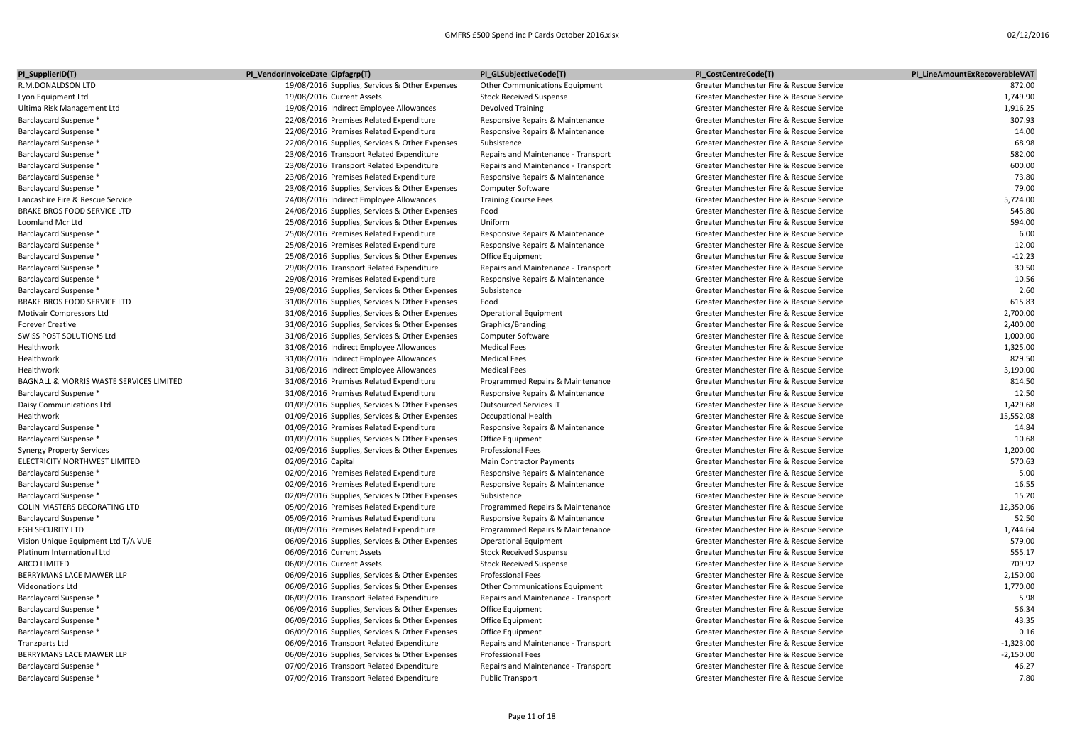| PI_SupplierID(T)                        | PI_VendorInvoiceDate Cipfagrp(T)               | PI_GLSubjectiveCode(T)              | PI_CostCentreCode(T)                     | PI LineAmountExRecoverableVAT |
|-----------------------------------------|------------------------------------------------|-------------------------------------|------------------------------------------|-------------------------------|
| R.M.DONALDSON LTD                       | 19/08/2016 Supplies, Services & Other Expenses | Other Communications Equipment      | Greater Manchester Fire & Rescue Service | 872.00                        |
| Lyon Equipment Ltd                      | 19/08/2016 Current Assets                      | <b>Stock Received Suspense</b>      | Greater Manchester Fire & Rescue Service | 1,749.90                      |
| Ultima Risk Management Ltd              | 19/08/2016 Indirect Employee Allowances        | <b>Devolved Training</b>            | Greater Manchester Fire & Rescue Service | 1,916.25                      |
| Barclaycard Suspense *                  | 22/08/2016 Premises Related Expenditure        | Responsive Repairs & Maintenance    | Greater Manchester Fire & Rescue Service | 307.93                        |
| Barclaycard Suspense *                  | 22/08/2016 Premises Related Expenditure        | Responsive Repairs & Maintenance    | Greater Manchester Fire & Rescue Service | 14.00                         |
| Barclaycard Suspense *                  | 22/08/2016 Supplies, Services & Other Expenses | Subsistence                         | Greater Manchester Fire & Rescue Service | 68.98                         |
| Barclaycard Suspense *                  | 23/08/2016 Transport Related Expenditure       | Repairs and Maintenance - Transport | Greater Manchester Fire & Rescue Service | 582.00                        |
| Barclaycard Suspense *                  | 23/08/2016 Transport Related Expenditure       | Repairs and Maintenance - Transport | Greater Manchester Fire & Rescue Service | 600.00                        |
| Barclaycard Suspense *                  | 23/08/2016 Premises Related Expenditure        | Responsive Repairs & Maintenance    | Greater Manchester Fire & Rescue Service | 73.80                         |
| Barclaycard Suspense *                  | 23/08/2016 Supplies, Services & Other Expenses | Computer Software                   | Greater Manchester Fire & Rescue Service | 79.00                         |
| Lancashire Fire & Rescue Service        | 24/08/2016 Indirect Employee Allowances        | <b>Training Course Fees</b>         | Greater Manchester Fire & Rescue Service | 5.724.00                      |
| BRAKE BROS FOOD SERVICE LTD             | 24/08/2016 Supplies, Services & Other Expenses | Food                                | Greater Manchester Fire & Rescue Service | 545.80                        |
| Loomland Mcr Ltd                        | 25/08/2016 Supplies, Services & Other Expenses | Uniform                             | Greater Manchester Fire & Rescue Service | 594.00                        |
| Barclaycard Suspense *                  | 25/08/2016 Premises Related Expenditure        | Responsive Repairs & Maintenance    | Greater Manchester Fire & Rescue Service | 6.00                          |
| Barclaycard Suspense *                  | 25/08/2016 Premises Related Expenditure        | Responsive Repairs & Maintenance    | Greater Manchester Fire & Rescue Service | 12.00                         |
| Barclaycard Suspense *                  | 25/08/2016 Supplies, Services & Other Expenses | Office Equipment                    | Greater Manchester Fire & Rescue Service | $-12.23$                      |
| Barclaycard Suspense *                  | 29/08/2016 Transport Related Expenditure       | Repairs and Maintenance - Transport | Greater Manchester Fire & Rescue Service | 30.50                         |
| Barclaycard Suspense *                  | 29/08/2016 Premises Related Expenditure        | Responsive Repairs & Maintenance    | Greater Manchester Fire & Rescue Service | 10.56                         |
| Barclaycard Suspense *                  | 29/08/2016 Supplies, Services & Other Expenses | Subsistence                         | Greater Manchester Fire & Rescue Service | 2.60                          |
| <b>BRAKE BROS FOOD SERVICE LTD</b>      | 31/08/2016 Supplies, Services & Other Expenses | Food                                | Greater Manchester Fire & Rescue Service | 615.83                        |
| Motivair Compressors Ltd                | 31/08/2016 Supplies, Services & Other Expenses | <b>Operational Equipment</b>        | Greater Manchester Fire & Rescue Service | 2,700.00                      |
| <b>Forever Creative</b>                 | 31/08/2016 Supplies, Services & Other Expenses | Graphics/Branding                   | Greater Manchester Fire & Rescue Service | 2,400.00                      |
| SWISS POST SOLUTIONS Ltd                | 31/08/2016 Supplies, Services & Other Expenses | Computer Software                   | Greater Manchester Fire & Rescue Service | 1,000.00                      |
| Healthwork                              | 31/08/2016 Indirect Employee Allowances        | <b>Medical Fees</b>                 | Greater Manchester Fire & Rescue Service | 1,325.00                      |
| Healthwork                              | 31/08/2016 Indirect Employee Allowances        | <b>Medical Fees</b>                 | Greater Manchester Fire & Rescue Service | 829.50                        |
| Healthwork                              | 31/08/2016 Indirect Employee Allowances        | <b>Medical Fees</b>                 | Greater Manchester Fire & Rescue Service | 3,190.00                      |
| BAGNALL & MORRIS WASTE SERVICES LIMITED | 31/08/2016 Premises Related Expenditure        | Programmed Repairs & Maintenance    | Greater Manchester Fire & Rescue Service | 814.50                        |
| Barclaycard Suspense *                  | 31/08/2016 Premises Related Expenditure        | Responsive Repairs & Maintenance    | Greater Manchester Fire & Rescue Service | 12.50                         |
| Daisy Communications Ltd                | 01/09/2016 Supplies, Services & Other Expenses | <b>Outsourced Services IT</b>       | Greater Manchester Fire & Rescue Service | 1,429.68                      |
| Healthwork                              | 01/09/2016 Supplies, Services & Other Expenses | <b>Occupational Health</b>          | Greater Manchester Fire & Rescue Service | 15,552.08                     |
| Barclaycard Suspense *                  | 01/09/2016 Premises Related Expenditure        | Responsive Repairs & Maintenance    | Greater Manchester Fire & Rescue Service | 14.84                         |
| Barclaycard Suspense *                  | 01/09/2016 Supplies, Services & Other Expenses | Office Equipment                    | Greater Manchester Fire & Rescue Service | 10.68                         |
| <b>Synergy Property Services</b>        | 02/09/2016 Supplies, Services & Other Expenses | <b>Professional Fees</b>            | Greater Manchester Fire & Rescue Service | 1.200.00                      |
| ELECTRICITY NORTHWEST LIMITED           | 02/09/2016 Capital                             | Main Contractor Payments            | Greater Manchester Fire & Rescue Service | 570.63                        |
| Barclaycard Suspense *                  | 02/09/2016 Premises Related Expenditure        | Responsive Repairs & Maintenance    | Greater Manchester Fire & Rescue Service | 5.00                          |
| Barclaycard Suspense *                  | 02/09/2016 Premises Related Expenditure        | Responsive Repairs & Maintenance    | Greater Manchester Fire & Rescue Service | 16.55                         |
| Barclaycard Suspense *                  | 02/09/2016 Supplies, Services & Other Expenses | Subsistence                         | Greater Manchester Fire & Rescue Service | 15.20                         |
| COLIN MASTERS DECORATING LTD            | 05/09/2016 Premises Related Expenditure        | Programmed Repairs & Maintenance    | Greater Manchester Fire & Rescue Service | 12,350.06                     |
| Barclaycard Suspense *                  | 05/09/2016 Premises Related Expenditure        | Responsive Repairs & Maintenance    | Greater Manchester Fire & Rescue Service | 52.50                         |
| FGH SECURITY LTD                        | 06/09/2016 Premises Related Expenditure        | Programmed Repairs & Maintenance    | Greater Manchester Fire & Rescue Service | 1,744.64                      |
| Vision Unique Equipment Ltd T/A VUE     | 06/09/2016 Supplies, Services & Other Expenses | <b>Operational Equipment</b>        | Greater Manchester Fire & Rescue Service | 579.00                        |
| Platinum International Ltd              | 06/09/2016 Current Assets                      | <b>Stock Received Suspense</b>      | Greater Manchester Fire & Rescue Service | 555.17                        |
| <b>ARCO LIMITED</b>                     | 06/09/2016 Current Assets                      | <b>Stock Received Suspense</b>      | Greater Manchester Fire & Rescue Service | 709.92                        |
| BERRYMANS LACE MAWER LLP                | 06/09/2016 Supplies, Services & Other Expenses | <b>Professional Fees</b>            | Greater Manchester Fire & Rescue Service | 2,150.00                      |
| <b>Videonations Ltd</b>                 | 06/09/2016 Supplies, Services & Other Expenses | Other Communications Equipment      | Greater Manchester Fire & Rescue Service | 1,770.00                      |
| Barclaycard Suspense *                  | 06/09/2016 Transport Related Expenditure       | Repairs and Maintenance - Transport | Greater Manchester Fire & Rescue Service | 5.98                          |
| Barclaycard Suspense *                  | 06/09/2016 Supplies, Services & Other Expenses | Office Equipment                    | Greater Manchester Fire & Rescue Service | 56.34                         |
| Barclaycard Suspense *                  | 06/09/2016 Supplies, Services & Other Expenses | Office Equipment                    | Greater Manchester Fire & Rescue Service | 43.35                         |
| Barclaycard Suspense *                  | 06/09/2016 Supplies, Services & Other Expenses | Office Equipment                    | Greater Manchester Fire & Rescue Service | 0.16                          |
| Tranzparts Ltd                          | 06/09/2016 Transport Related Expenditure       | Repairs and Maintenance - Transport | Greater Manchester Fire & Rescue Service | $-1.323.00$                   |
| BERRYMANS LACE MAWER LLP                | 06/09/2016 Supplies, Services & Other Expenses | <b>Professional Fees</b>            | Greater Manchester Fire & Rescue Service | $-2,150.00$                   |
| Barclaycard Suspense *                  | 07/09/2016 Transport Related Expenditure       | Repairs and Maintenance - Transport | Greater Manchester Fire & Rescue Service | 46.27                         |
| Barclaycard Suspense *                  | 07/09/2016 Transport Related Expenditure       | <b>Public Transport</b>             | Greater Manchester Fire & Rescue Service | 7.80                          |
|                                         |                                                |                                     |                                          |                               |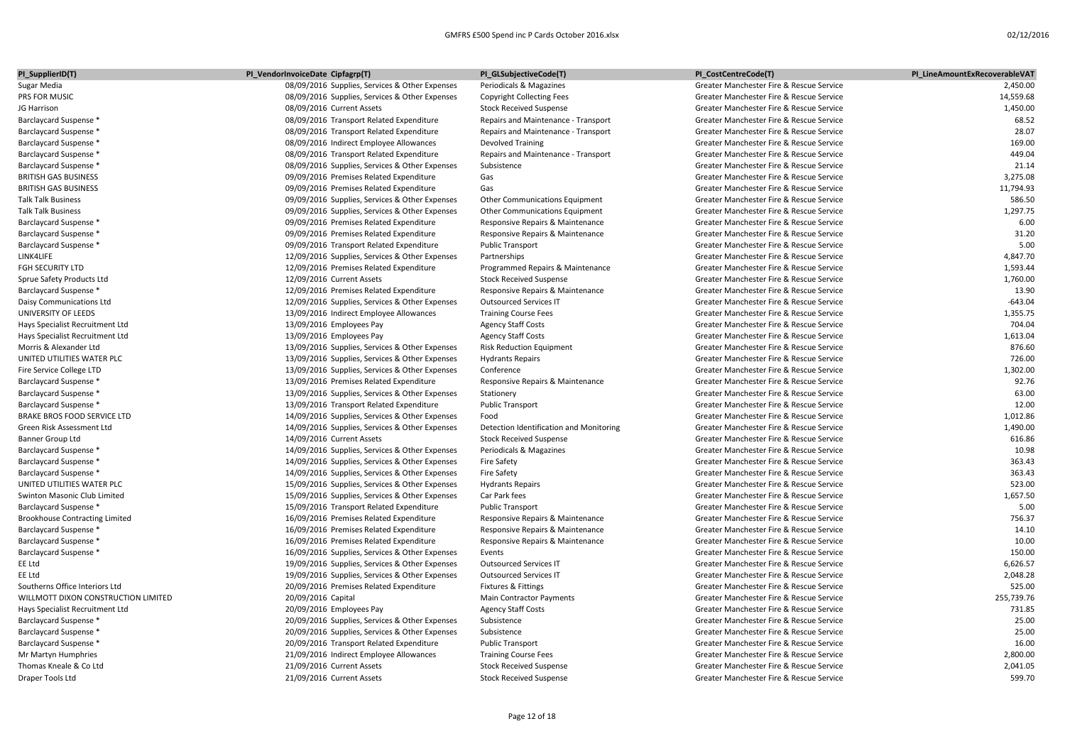| PI_SupplierID(T)                                 | PI_VendorInvoiceDate Cipfagrp(T)                                                           | PI_GLSubjectiveCode(T)                  | PI_CostCentreCode(T)                     | PI LineAmountExRecoverableVAT |
|--------------------------------------------------|--------------------------------------------------------------------------------------------|-----------------------------------------|------------------------------------------|-------------------------------|
| Sugar Media                                      | 08/09/2016 Supplies, Services & Other Expenses                                             | Periodicals & Magazines                 | Greater Manchester Fire & Rescue Service | 2,450.00                      |
| PRS FOR MUSIC                                    | 08/09/2016 Supplies, Services & Other Expenses                                             | <b>Copyright Collecting Fees</b>        | Greater Manchester Fire & Rescue Service | 14,559.68                     |
| JG Harrison                                      | 08/09/2016 Current Assets                                                                  | <b>Stock Received Suspense</b>          | Greater Manchester Fire & Rescue Service | 1,450.00                      |
| Barclaycard Suspense *                           | 08/09/2016 Transport Related Expenditure                                                   | Repairs and Maintenance - Transport     | Greater Manchester Fire & Rescue Service | 68.52                         |
| Barclaycard Suspense *                           | 08/09/2016 Transport Related Expenditure                                                   | Repairs and Maintenance - Transport     | Greater Manchester Fire & Rescue Service | 28.07                         |
| Barclaycard Suspense *                           | 08/09/2016 Indirect Employee Allowances                                                    | <b>Devolved Training</b>                | Greater Manchester Fire & Rescue Service | 169.00                        |
| Barclaycard Suspense *                           | 08/09/2016 Transport Related Expenditure                                                   | Repairs and Maintenance - Transport     | Greater Manchester Fire & Rescue Service | 449.04                        |
| Barclaycard Suspense *                           | 08/09/2016 Supplies, Services & Other Expenses                                             | Subsistence                             | Greater Manchester Fire & Rescue Service | 21.14                         |
| <b>BRITISH GAS BUSINESS</b>                      | 09/09/2016 Premises Related Expenditure                                                    | Gas                                     | Greater Manchester Fire & Rescue Service | 3,275.08                      |
| <b>BRITISH GAS BUSINESS</b>                      | 09/09/2016 Premises Related Expenditure                                                    | Gas                                     | Greater Manchester Fire & Rescue Service | 11,794.93                     |
| <b>Talk Talk Business</b>                        | 09/09/2016 Supplies, Services & Other Expenses                                             | Other Communications Equipment          | Greater Manchester Fire & Rescue Service | 586.50                        |
| <b>Talk Talk Business</b>                        | 09/09/2016 Supplies, Services & Other Expenses                                             | Other Communications Equipment          | Greater Manchester Fire & Rescue Service | 1,297.75                      |
| Barclaycard Suspense *                           | 09/09/2016 Premises Related Expenditure                                                    | Responsive Repairs & Maintenance        | Greater Manchester Fire & Rescue Service | 6.00                          |
| <b>Barclaycard Suspense *</b>                    | 09/09/2016 Premises Related Expenditure                                                    | Responsive Repairs & Maintenance        | Greater Manchester Fire & Rescue Service | 31.20                         |
| <b>Barclaycard Suspense *</b>                    | 09/09/2016 Transport Related Expenditure                                                   | <b>Public Transport</b>                 | Greater Manchester Fire & Rescue Service | 5.00                          |
| LINK4LIFE                                        | 12/09/2016 Supplies, Services & Other Expenses                                             | Partnerships                            | Greater Manchester Fire & Rescue Service | 4,847.70                      |
| FGH SECURITY LTD                                 | 12/09/2016 Premises Related Expenditure                                                    | Programmed Repairs & Maintenance        | Greater Manchester Fire & Rescue Service | 1,593.44                      |
| Sprue Safety Products Ltd                        | 12/09/2016 Current Assets                                                                  | <b>Stock Received Suspense</b>          | Greater Manchester Fire & Rescue Service | 1,760.00                      |
| Barclaycard Suspense *                           | 12/09/2016 Premises Related Expenditure                                                    | Responsive Repairs & Maintenance        | Greater Manchester Fire & Rescue Service | 13.90                         |
| Daisy Communications Ltd                         | 12/09/2016 Supplies, Services & Other Expenses                                             | <b>Outsourced Services IT</b>           | Greater Manchester Fire & Rescue Service | $-643.04$                     |
| UNIVERSITY OF LEEDS                              | 13/09/2016 Indirect Employee Allowances                                                    | <b>Training Course Fees</b>             | Greater Manchester Fire & Rescue Service | 1,355.75                      |
| Hays Specialist Recruitment Ltd                  | 13/09/2016 Employees Pay                                                                   | <b>Agency Staff Costs</b>               | Greater Manchester Fire & Rescue Service | 704.04                        |
| Hays Specialist Recruitment Ltd                  | 13/09/2016 Employees Pay                                                                   | <b>Agency Staff Costs</b>               | Greater Manchester Fire & Rescue Service | 1,613.04                      |
| Morris & Alexander Ltd                           | 13/09/2016 Supplies, Services & Other Expenses                                             | <b>Risk Reduction Equipment</b>         | Greater Manchester Fire & Rescue Service | 876.60                        |
| UNITED UTILITIES WATER PLC                       | 13/09/2016 Supplies, Services & Other Expenses                                             | <b>Hydrants Repairs</b>                 | Greater Manchester Fire & Rescue Service | 726.00                        |
| Fire Service College LTD                         | 13/09/2016 Supplies, Services & Other Expenses                                             | Conference                              | Greater Manchester Fire & Rescue Service | 1,302.00                      |
| Barclaycard Suspense *                           | 13/09/2016 Premises Related Expenditure                                                    | Responsive Repairs & Maintenance        | Greater Manchester Fire & Rescue Service | 92.76                         |
| Barclaycard Suspense *                           | 13/09/2016 Supplies, Services & Other Expenses                                             | Stationery                              | Greater Manchester Fire & Rescue Service | 63.00                         |
| Barclaycard Suspense *                           | 13/09/2016 Transport Related Expenditure                                                   | <b>Public Transport</b>                 | Greater Manchester Fire & Rescue Service | 12.00                         |
| BRAKE BROS FOOD SERVICE LTD                      | 14/09/2016 Supplies, Services & Other Expenses                                             | Food                                    | Greater Manchester Fire & Rescue Service | 1,012.86                      |
| Green Risk Assessment Ltd                        | 14/09/2016 Supplies, Services & Other Expenses                                             | Detection Identification and Monitoring | Greater Manchester Fire & Rescue Service | 1,490.00                      |
| Banner Group Ltd                                 | 14/09/2016 Current Assets                                                                  | <b>Stock Received Suspense</b>          | Greater Manchester Fire & Rescue Service | 616.86                        |
| Barclaycard Suspense *                           | 14/09/2016 Supplies, Services & Other Expenses                                             | Periodicals & Magazines                 | Greater Manchester Fire & Rescue Service | 10.98                         |
| Barclaycard Suspense *                           | 14/09/2016 Supplies, Services & Other Expenses                                             | Fire Safety                             | Greater Manchester Fire & Rescue Service | 363.43                        |
| <b>Barclaycard Suspense *</b>                    | 14/09/2016 Supplies, Services & Other Expenses                                             | <b>Fire Safety</b>                      | Greater Manchester Fire & Rescue Service | 363.43                        |
| UNITED UTILITIES WATER PLC                       | 15/09/2016 Supplies, Services & Other Expenses                                             | <b>Hydrants Repairs</b>                 | Greater Manchester Fire & Rescue Service | 523.00                        |
| Swinton Masonic Club Limited                     | 15/09/2016 Supplies, Services & Other Expenses                                             | Car Park fees                           | Greater Manchester Fire & Rescue Service | 1,657.50                      |
| Barclaycard Suspense *                           | 15/09/2016 Transport Related Expenditure                                                   | <b>Public Transport</b>                 | Greater Manchester Fire & Rescue Service | 5.00                          |
| <b>Brookhouse Contracting Limited</b>            | 16/09/2016 Premises Related Expenditure                                                    | Responsive Repairs & Maintenance        | Greater Manchester Fire & Rescue Service | 756.37                        |
| Barclaycard Suspense *                           | 16/09/2016 Premises Related Expenditure                                                    | Responsive Repairs & Maintenance        | Greater Manchester Fire & Rescue Service | 14.10                         |
| Barclaycard Suspense *                           | 16/09/2016 Premises Related Expenditure                                                    | Responsive Repairs & Maintenance        | Greater Manchester Fire & Rescue Service | 10.00                         |
| Barclaycard Suspense *                           | 16/09/2016 Supplies, Services & Other Expenses                                             | Events                                  | Greater Manchester Fire & Rescue Service | 150.00                        |
| EE Ltd                                           | 19/09/2016 Supplies, Services & Other Expenses                                             | <b>Outsourced Services IT</b>           | Greater Manchester Fire & Rescue Service | 6,626.57                      |
| EE Ltd                                           | 19/09/2016 Supplies, Services & Other Expenses                                             | <b>Outsourced Services IT</b>           | Greater Manchester Fire & Rescue Service | 2,048.28                      |
| Southerns Office Interiors Ltd                   | 20/09/2016 Premises Related Expenditure                                                    | Fixtures & Fittings                     | Greater Manchester Fire & Rescue Service | 525.00                        |
| WILLMOTT DIXON CONSTRUCTION LIMITED              | 20/09/2016 Capital                                                                         | Main Contractor Payments                | Greater Manchester Fire & Rescue Service | 255,739.76                    |
| Hays Specialist Recruitment Ltd                  |                                                                                            | <b>Agency Staff Costs</b>               | Greater Manchester Fire & Rescue Service | 731.85                        |
| Barclaycard Suspense *                           | 20/09/2016 Employees Pay<br>20/09/2016 Supplies, Services & Other Expenses                 | Subsistence                             | Greater Manchester Fire & Rescue Service | 25.00                         |
|                                                  |                                                                                            | Subsistence                             | Greater Manchester Fire & Rescue Service | 25.00                         |
| Barclaycard Suspense *<br>Barclaycard Suspense * | 20/09/2016 Supplies, Services & Other Expenses<br>20/09/2016 Transport Related Expenditure | <b>Public Transport</b>                 | Greater Manchester Fire & Rescue Service | 16.00                         |
|                                                  |                                                                                            |                                         | Greater Manchester Fire & Rescue Service |                               |
| Mr Martyn Humphries                              | 21/09/2016 Indirect Employee Allowances                                                    | <b>Training Course Fees</b>             |                                          | 2,800.00<br>2,041.05          |
| Thomas Kneale & Co Ltd                           | 21/09/2016 Current Assets                                                                  | <b>Stock Received Suspense</b>          | Greater Manchester Fire & Rescue Service | 599.70                        |
| Draper Tools Ltd                                 | 21/09/2016 Current Assets                                                                  | <b>Stock Received Suspense</b>          | Greater Manchester Fire & Rescue Service |                               |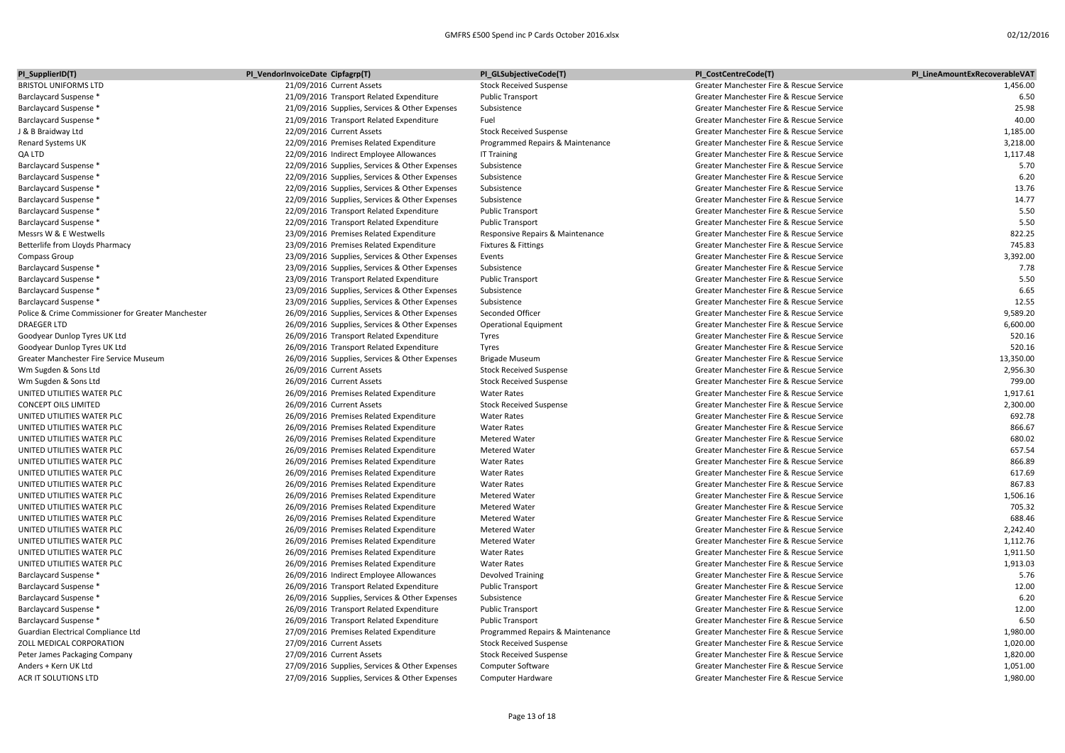| PI_SupplierID(T)                                   | PI_VendorInvoiceDate Cipfagrp(T)                                                           | PI_GLSubjectiveCode(T)           | PI_CostCentreCode(T)                     | PI LineAmountExRecoverableVAT |
|----------------------------------------------------|--------------------------------------------------------------------------------------------|----------------------------------|------------------------------------------|-------------------------------|
| <b>BRISTOL UNIFORMS LTD</b>                        | 21/09/2016 Current Assets                                                                  | <b>Stock Received Suspense</b>   | Greater Manchester Fire & Rescue Service | 1,456.00                      |
| Barclaycard Suspense *                             | 21/09/2016 Transport Related Expenditure                                                   | <b>Public Transport</b>          | Greater Manchester Fire & Rescue Service | 6.50                          |
| Barclaycard Suspense *                             | 21/09/2016 Supplies, Services & Other Expenses                                             | Subsistence                      | Greater Manchester Fire & Rescue Service | 25.98                         |
| Barclaycard Suspense *                             | 21/09/2016 Transport Related Expenditure                                                   | Fuel                             | Greater Manchester Fire & Rescue Service | 40.00                         |
| J & B Braidway Ltd                                 | 22/09/2016 Current Assets                                                                  | <b>Stock Received Suspense</b>   | Greater Manchester Fire & Rescue Service | 1,185.00                      |
| Renard Systems UK                                  | 22/09/2016 Premises Related Expenditure                                                    | Programmed Repairs & Maintenance | Greater Manchester Fire & Rescue Service | 3,218.00                      |
| QA LTD                                             | 22/09/2016 Indirect Employee Allowances                                                    | <b>IT Training</b>               | Greater Manchester Fire & Rescue Service | 1,117.48                      |
| Barclaycard Suspense *                             | 22/09/2016 Supplies, Services & Other Expenses                                             | Subsistence                      | Greater Manchester Fire & Rescue Service | 5.70                          |
| Barclaycard Suspense *                             | 22/09/2016 Supplies, Services & Other Expenses                                             | Subsistence                      | Greater Manchester Fire & Rescue Service | 6.20                          |
| Barclaycard Suspense *                             | 22/09/2016 Supplies, Services & Other Expenses                                             | Subsistence                      | Greater Manchester Fire & Rescue Service | 13.76                         |
| Barclaycard Suspense *                             | 22/09/2016 Supplies, Services & Other Expenses                                             | Subsistence                      | Greater Manchester Fire & Rescue Service | 14.77                         |
| Barclaycard Suspense *                             | 22/09/2016 Transport Related Expenditure                                                   | <b>Public Transport</b>          | Greater Manchester Fire & Rescue Service | 5.50                          |
| Barclaycard Suspense *                             | 22/09/2016 Transport Related Expenditure                                                   | <b>Public Transport</b>          | Greater Manchester Fire & Rescue Service | 5.50                          |
| Messrs W & E Westwells                             | 23/09/2016 Premises Related Expenditure                                                    | Responsive Repairs & Maintenance | Greater Manchester Fire & Rescue Service | 822.25                        |
| Betterlife from Lloyds Pharmacy                    | 23/09/2016 Premises Related Expenditure                                                    | Fixtures & Fittings              | Greater Manchester Fire & Rescue Service | 745.83                        |
| Compass Group                                      | 23/09/2016 Supplies, Services & Other Expenses                                             | Events                           | Greater Manchester Fire & Rescue Service | 3,392.00                      |
| Barclaycard Suspense *                             | 23/09/2016 Supplies, Services & Other Expenses                                             | Subsistence                      | Greater Manchester Fire & Rescue Service | 7.78                          |
| Barclaycard Suspense *                             | 23/09/2016 Transport Related Expenditure                                                   | <b>Public Transport</b>          | Greater Manchester Fire & Rescue Service | 5.50                          |
| Barclaycard Suspense *                             | 23/09/2016 Supplies, Services & Other Expenses                                             | Subsistence                      | Greater Manchester Fire & Rescue Service | 6.65                          |
| Barclaycard Suspense *                             | 23/09/2016 Supplies, Services & Other Expenses                                             | Subsistence                      | Greater Manchester Fire & Rescue Service | 12.55                         |
| Police & Crime Commissioner for Greater Manchester | 26/09/2016 Supplies, Services & Other Expenses                                             | Seconded Officer                 | Greater Manchester Fire & Rescue Service | 9,589.20                      |
| <b>DRAEGER LTD</b>                                 | 26/09/2016 Supplies, Services & Other Expenses                                             | <b>Operational Equipment</b>     | Greater Manchester Fire & Rescue Service | 6,600.00                      |
| Goodyear Dunlop Tyres UK Ltd                       | 26/09/2016 Transport Related Expenditure                                                   | Tyres                            | Greater Manchester Fire & Rescue Service | 520.16                        |
| Goodyear Dunlop Tyres UK Ltd                       |                                                                                            |                                  | Greater Manchester Fire & Rescue Service | 520.16                        |
| Greater Manchester Fire Service Museum             | 26/09/2016 Transport Related Expenditure<br>26/09/2016 Supplies, Services & Other Expenses | Tyres<br><b>Brigade Museum</b>   | Greater Manchester Fire & Rescue Service | 13,350.00                     |
| Wm Sugden & Sons Ltd                               | 26/09/2016 Current Assets                                                                  | <b>Stock Received Suspense</b>   | Greater Manchester Fire & Rescue Service | 2,956.30                      |
|                                                    | 26/09/2016 Current Assets                                                                  |                                  |                                          | 799.00                        |
| Wm Sugden & Sons Ltd                               |                                                                                            | <b>Stock Received Suspense</b>   | Greater Manchester Fire & Rescue Service |                               |
| UNITED UTILITIES WATER PLC                         | 26/09/2016 Premises Related Expenditure                                                    | <b>Water Rates</b>               | Greater Manchester Fire & Rescue Service | 1,917.61                      |
| <b>CONCEPT OILS LIMITED</b>                        | 26/09/2016 Current Assets                                                                  | <b>Stock Received Suspense</b>   | Greater Manchester Fire & Rescue Service | 2,300.00                      |
| UNITED UTILITIES WATER PLC                         | 26/09/2016 Premises Related Expenditure                                                    | <b>Water Rates</b>               | Greater Manchester Fire & Rescue Service | 692.78                        |
| UNITED UTILITIES WATER PLC                         | 26/09/2016 Premises Related Expenditure                                                    | <b>Water Rates</b>               | Greater Manchester Fire & Rescue Service | 866.67                        |
| UNITED UTILITIES WATER PLC                         | 26/09/2016 Premises Related Expenditure                                                    | <b>Metered Water</b>             | Greater Manchester Fire & Rescue Service | 680.02                        |
| UNITED UTILITIES WATER PLC                         | 26/09/2016 Premises Related Expenditure                                                    | <b>Metered Water</b>             | Greater Manchester Fire & Rescue Service | 657.54                        |
| UNITED UTILITIES WATER PLC                         | 26/09/2016 Premises Related Expenditure                                                    | <b>Water Rates</b>               | Greater Manchester Fire & Rescue Service | 866.89                        |
| UNITED UTILITIES WATER PLC                         | 26/09/2016 Premises Related Expenditure                                                    | <b>Water Rates</b>               | Greater Manchester Fire & Rescue Service | 617.69                        |
| UNITED UTILITIES WATER PLC                         | 26/09/2016 Premises Related Expenditure                                                    | <b>Water Rates</b>               | Greater Manchester Fire & Rescue Service | 867.83                        |
| UNITED UTILITIES WATER PLC                         | 26/09/2016 Premises Related Expenditure                                                    | <b>Metered Water</b>             | Greater Manchester Fire & Rescue Service | 1,506.16                      |
| UNITED UTILITIES WATER PLC                         | 26/09/2016 Premises Related Expenditure                                                    | <b>Metered Water</b>             | Greater Manchester Fire & Rescue Service | 705.32                        |
| UNITED UTILITIES WATER PLC                         | 26/09/2016 Premises Related Expenditure                                                    | Metered Water                    | Greater Manchester Fire & Rescue Service | 688.46                        |
| UNITED UTILITIES WATER PLC                         | 26/09/2016 Premises Related Expenditure                                                    | <b>Metered Water</b>             | Greater Manchester Fire & Rescue Service | 2,242.40                      |
| UNITED UTILITIES WATER PLC                         | 26/09/2016 Premises Related Expenditure                                                    | <b>Metered Water</b>             | Greater Manchester Fire & Rescue Service | 1,112.76                      |
| UNITED UTILITIES WATER PLC                         | 26/09/2016 Premises Related Expenditure                                                    | <b>Water Rates</b>               | Greater Manchester Fire & Rescue Service | 1,911.50                      |
| UNITED UTILITIES WATER PLC                         | 26/09/2016 Premises Related Expenditure                                                    | <b>Water Rates</b>               | Greater Manchester Fire & Rescue Service | 1,913.03                      |
| Barclaycard Suspense *                             | 26/09/2016 Indirect Employee Allowances                                                    | Devolved Training                | Greater Manchester Fire & Rescue Service | 5.76                          |
| <b>Barclaycard Suspense *</b>                      | 26/09/2016 Transport Related Expenditure                                                   | <b>Public Transport</b>          | Greater Manchester Fire & Rescue Service | 12.00                         |
| Barclaycard Suspense *                             | 26/09/2016 Supplies, Services & Other Expenses                                             | Subsistence                      | Greater Manchester Fire & Rescue Service | 6.20                          |
| Barclaycard Suspense *                             | 26/09/2016 Transport Related Expenditure                                                   | <b>Public Transport</b>          | Greater Manchester Fire & Rescue Service | 12.00                         |
| Barclaycard Suspense *                             | 26/09/2016 Transport Related Expenditure                                                   | <b>Public Transport</b>          | Greater Manchester Fire & Rescue Service | 6.50                          |
| Guardian Electrical Compliance Ltd                 | 27/09/2016 Premises Related Expenditure                                                    | Programmed Repairs & Maintenance | Greater Manchester Fire & Rescue Service | 1,980.00                      |
| ZOLL MEDICAL CORPORATION                           | 27/09/2016 Current Assets                                                                  | <b>Stock Received Suspense</b>   | Greater Manchester Fire & Rescue Service | 1,020.00                      |
| Peter James Packaging Company                      | 27/09/2016 Current Assets                                                                  | <b>Stock Received Suspense</b>   | Greater Manchester Fire & Rescue Service | 1,820.00                      |
| Anders + Kern UK Ltd                               | 27/09/2016 Supplies, Services & Other Expenses                                             | <b>Computer Software</b>         | Greater Manchester Fire & Rescue Service | 1,051.00                      |
| ACR IT SOLUTIONS LTD                               | 27/09/2016 Supplies, Services & Other Expenses                                             | Computer Hardware                | Greater Manchester Fire & Rescue Service | 1,980.00                      |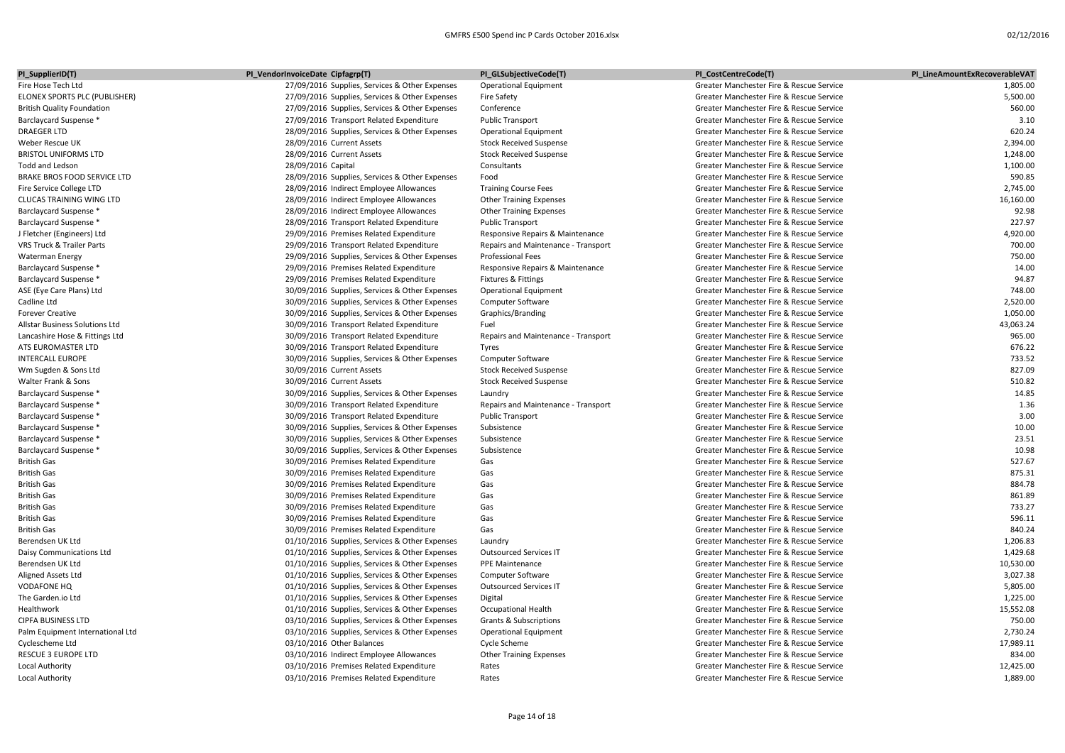| PI_SupplierID(T)                     | PI_VendorInvoiceDate Cipfagrp(T)               | PI_GLSubjectiveCode(T)              | PI_CostCentreCode(T)                     | PI_LineAmountExRecoverableVAT |
|--------------------------------------|------------------------------------------------|-------------------------------------|------------------------------------------|-------------------------------|
| Fire Hose Tech Ltd                   | 27/09/2016 Supplies, Services & Other Expenses | <b>Operational Equipment</b>        | Greater Manchester Fire & Rescue Service | 1,805.00                      |
| ELONEX SPORTS PLC (PUBLISHER)        | 27/09/2016 Supplies, Services & Other Expenses | <b>Fire Safety</b>                  | Greater Manchester Fire & Rescue Service | 5,500.00                      |
| <b>British Quality Foundation</b>    | 27/09/2016 Supplies, Services & Other Expenses | Conference                          | Greater Manchester Fire & Rescue Service | 560.00                        |
| Barclaycard Suspense *               | 27/09/2016 Transport Related Expenditure       | <b>Public Transport</b>             | Greater Manchester Fire & Rescue Service | 3.10                          |
| <b>DRAEGER LTD</b>                   | 28/09/2016 Supplies, Services & Other Expenses | <b>Operational Equipment</b>        | Greater Manchester Fire & Rescue Service | 620.24                        |
| Weber Rescue UK                      | 28/09/2016 Current Assets                      | <b>Stock Received Suspense</b>      | Greater Manchester Fire & Rescue Service | 2,394.00                      |
| <b>BRISTOL UNIFORMS LTD</b>          | 28/09/2016 Current Assets                      | <b>Stock Received Suspense</b>      | Greater Manchester Fire & Rescue Service | 1,248.00                      |
| Todd and Ledson                      | 28/09/2016 Capital                             | Consultants                         | Greater Manchester Fire & Rescue Service | 1,100.00                      |
| <b>BRAKE BROS FOOD SERVICE LTD</b>   | 28/09/2016 Supplies, Services & Other Expenses | Food                                | Greater Manchester Fire & Rescue Service | 590.85                        |
| Fire Service College LTD             | 28/09/2016 Indirect Employee Allowances        | <b>Training Course Fees</b>         | Greater Manchester Fire & Rescue Service | 2,745.00                      |
| <b>CLUCAS TRAINING WING LTD</b>      | 28/09/2016 Indirect Employee Allowances        | <b>Other Training Expenses</b>      | Greater Manchester Fire & Rescue Service | 16,160.00                     |
| <b>Barclaycard Suspense *</b>        | 28/09/2016 Indirect Employee Allowances        | <b>Other Training Expenses</b>      | Greater Manchester Fire & Rescue Service | 92.98                         |
| <b>Barclaycard Suspense *</b>        | 28/09/2016 Transport Related Expenditure       | <b>Public Transport</b>             | Greater Manchester Fire & Rescue Service | 227.97                        |
| J Fletcher (Engineers) Ltd           | 29/09/2016 Premises Related Expenditure        | Responsive Repairs & Maintenance    | Greater Manchester Fire & Rescue Service | 4,920.00                      |
| <b>VRS Truck &amp; Trailer Parts</b> | 29/09/2016 Transport Related Expenditure       | Repairs and Maintenance - Transport | Greater Manchester Fire & Rescue Service | 700.00                        |
| <b>Waterman Energy</b>               | 29/09/2016 Supplies, Services & Other Expenses | <b>Professional Fees</b>            | Greater Manchester Fire & Rescue Service | 750.00                        |
| Barclaycard Suspense *               | 29/09/2016 Premises Related Expenditure        | Responsive Repairs & Maintenance    | Greater Manchester Fire & Rescue Service | 14.00                         |
| <b>Barclaycard Suspense *</b>        | 29/09/2016 Premises Related Expenditure        | Fixtures & Fittings                 | Greater Manchester Fire & Rescue Service | 94.87                         |
| ASE (Eye Care Plans) Ltd             | 30/09/2016 Supplies, Services & Other Expenses | <b>Operational Equipment</b>        | Greater Manchester Fire & Rescue Service | 748.00                        |
| Cadline Ltd                          | 30/09/2016 Supplies, Services & Other Expenses | <b>Computer Software</b>            | Greater Manchester Fire & Rescue Service | 2,520.00                      |
| <b>Forever Creative</b>              | 30/09/2016 Supplies, Services & Other Expenses | Graphics/Branding                   | Greater Manchester Fire & Rescue Service | 1,050.00                      |
| Allstar Business Solutions Ltd       | 30/09/2016 Transport Related Expenditure       | Fuel                                | Greater Manchester Fire & Rescue Service | 43,063.24                     |
| Lancashire Hose & Fittings Ltd       | 30/09/2016 Transport Related Expenditure       | Repairs and Maintenance - Transport | Greater Manchester Fire & Rescue Service | 965.00                        |
| ATS EUROMASTER LTD                   | 30/09/2016 Transport Related Expenditure       | Tyres                               | Greater Manchester Fire & Rescue Service | 676.22                        |
| <b>INTERCALL EUROPE</b>              | 30/09/2016 Supplies, Services & Other Expenses | Computer Software                   | Greater Manchester Fire & Rescue Service | 733.52                        |
| Wm Sugden & Sons Ltd                 | 30/09/2016 Current Assets                      | <b>Stock Received Suspense</b>      | Greater Manchester Fire & Rescue Service | 827.09                        |
| Walter Frank & Sons                  | 30/09/2016 Current Assets                      | <b>Stock Received Suspense</b>      | Greater Manchester Fire & Rescue Service | 510.82                        |
| <b>Barclaycard Suspense *</b>        | 30/09/2016 Supplies, Services & Other Expenses | Laundry                             | Greater Manchester Fire & Rescue Service | 14.85                         |
| <b>Barclaycard Suspense *</b>        | 30/09/2016 Transport Related Expenditure       | Repairs and Maintenance - Transport | Greater Manchester Fire & Rescue Service | 1.36                          |
| Barclaycard Suspense *               | 30/09/2016 Transport Related Expenditure       | <b>Public Transport</b>             | Greater Manchester Fire & Rescue Service | 3.00                          |
| <b>Barclaycard Suspense *</b>        | 30/09/2016 Supplies, Services & Other Expenses | Subsistence                         | Greater Manchester Fire & Rescue Service | 10.00                         |
| <b>Barclaycard Suspense *</b>        | 30/09/2016 Supplies, Services & Other Expenses | Subsistence                         | Greater Manchester Fire & Rescue Service | 23.51                         |
| <b>Barclaycard Suspense *</b>        | 30/09/2016 Supplies, Services & Other Expenses | Subsistence                         | Greater Manchester Fire & Rescue Service | 10.98                         |
| <b>British Gas</b>                   | 30/09/2016 Premises Related Expenditure        | Gas                                 | Greater Manchester Fire & Rescue Service | 527.67                        |
| <b>British Gas</b>                   | 30/09/2016 Premises Related Expenditure        | Gas                                 | Greater Manchester Fire & Rescue Service | 875.31                        |
| <b>British Gas</b>                   | 30/09/2016 Premises Related Expenditure        | Gas                                 | Greater Manchester Fire & Rescue Service | 884.78                        |
| <b>British Gas</b>                   | 30/09/2016 Premises Related Expenditure        | Gas                                 | Greater Manchester Fire & Rescue Service | 861.89                        |
| <b>British Gas</b>                   | 30/09/2016 Premises Related Expenditure        | Gas                                 | Greater Manchester Fire & Rescue Service | 733.27                        |
| <b>British Gas</b>                   | 30/09/2016 Premises Related Expenditure        | Gas                                 | Greater Manchester Fire & Rescue Service | 596.11                        |
| <b>British Gas</b>                   | 30/09/2016 Premises Related Expenditure        | Gas                                 | Greater Manchester Fire & Rescue Service | 840.24                        |
| Berendsen UK Ltd                     | 01/10/2016 Supplies, Services & Other Expenses | Laundry                             | Greater Manchester Fire & Rescue Service | 1,206.83                      |
| Daisy Communications Ltd             | 01/10/2016 Supplies, Services & Other Expenses | <b>Outsourced Services IT</b>       | Greater Manchester Fire & Rescue Service | 1,429.68                      |
| Berendsen UK Ltd                     | 01/10/2016 Supplies, Services & Other Expenses | <b>PPE Maintenance</b>              | Greater Manchester Fire & Rescue Service | 10,530.00                     |
| Aligned Assets Ltd                   | 01/10/2016 Supplies, Services & Other Expenses | <b>Computer Software</b>            | Greater Manchester Fire & Rescue Service | 3,027.38                      |
| <b>VODAFONE HQ</b>                   | 01/10/2016 Supplies, Services & Other Expenses | <b>Outsourced Services IT</b>       | Greater Manchester Fire & Rescue Service | 5,805.00                      |
| The Garden.io Ltd                    | 01/10/2016 Supplies, Services & Other Expenses | Digital                             | Greater Manchester Fire & Rescue Service | 1,225.00                      |
| Healthwork                           | 01/10/2016 Supplies, Services & Other Expenses | <b>Occupational Health</b>          | Greater Manchester Fire & Rescue Service | 15,552.08                     |
| <b>CIPFA BUSINESS LTD</b>            | 03/10/2016 Supplies, Services & Other Expenses | Grants & Subscriptions              | Greater Manchester Fire & Rescue Service | 750.00                        |
| Palm Equipment International Ltd     | 03/10/2016 Supplies, Services & Other Expenses | <b>Operational Equipment</b>        | Greater Manchester Fire & Rescue Service | 2,730.24                      |
| Cyclescheme Ltd                      | 03/10/2016 Other Balances                      | Cycle Scheme                        | Greater Manchester Fire & Rescue Service | 17,989.11                     |
| <b>RESCUE 3 EUROPE LTD</b>           | 03/10/2016 Indirect Employee Allowances        | <b>Other Training Expenses</b>      | Greater Manchester Fire & Rescue Service | 834.00                        |
| Local Authority                      | 03/10/2016 Premises Related Expenditure        | Rates                               | Greater Manchester Fire & Rescue Service | 12,425.00                     |
| <b>Local Authority</b>               | 03/10/2016 Premises Related Expenditure        | Rates                               | Greater Manchester Fire & Rescue Service | 1,889.00                      |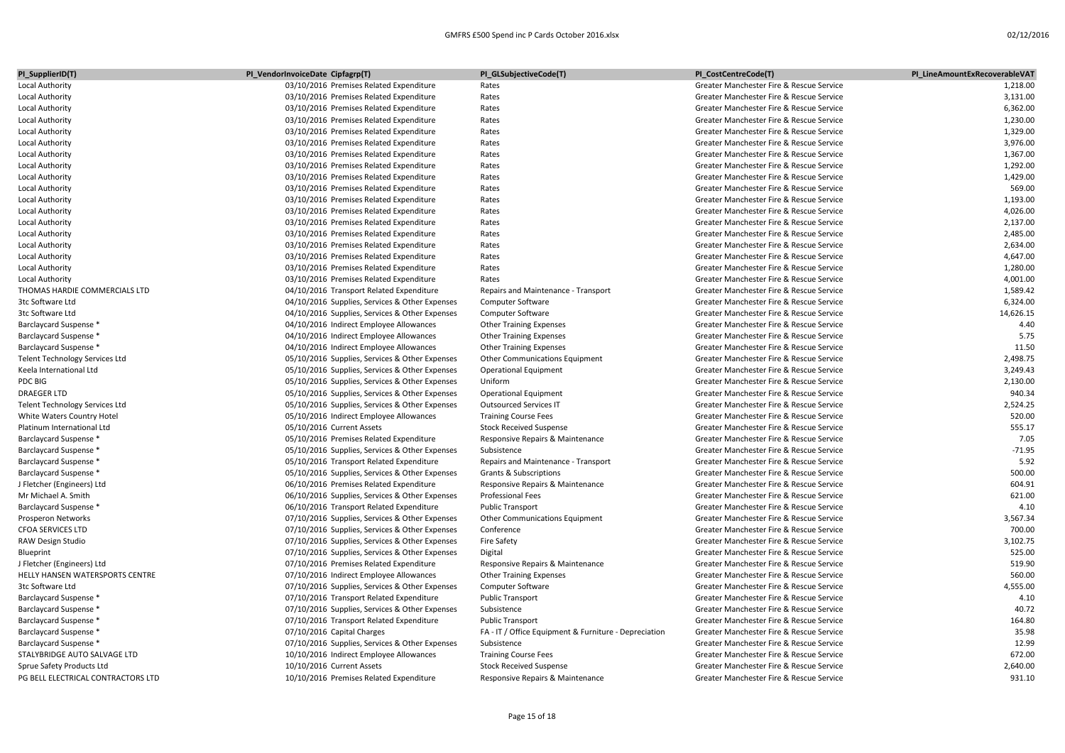| PI_SupplierID(T)                                 | PI_VendorInvoiceDate Cipfagrp(T)                                                           | PI_GLSubjectiveCode(T)                                | PI CostCentreCode(T)                     | PI LineAmountExRecoverableVAT |
|--------------------------------------------------|--------------------------------------------------------------------------------------------|-------------------------------------------------------|------------------------------------------|-------------------------------|
| Local Authority                                  | 03/10/2016 Premises Related Expenditure                                                    | Rates                                                 | Greater Manchester Fire & Rescue Service | 1,218.00                      |
| Local Authority                                  | 03/10/2016 Premises Related Expenditure                                                    | Rates                                                 | Greater Manchester Fire & Rescue Service | 3,131.00                      |
| Local Authority                                  | 03/10/2016 Premises Related Expenditure                                                    | Rates                                                 | Greater Manchester Fire & Rescue Service | 6,362.00                      |
| Local Authority                                  | 03/10/2016 Premises Related Expenditure                                                    | Rates                                                 | Greater Manchester Fire & Rescue Service | 1,230.00                      |
| Local Authority                                  | 03/10/2016 Premises Related Expenditure                                                    | Rates                                                 | Greater Manchester Fire & Rescue Service | 1,329.00                      |
| Local Authority                                  | 03/10/2016 Premises Related Expenditure                                                    | Rates                                                 | Greater Manchester Fire & Rescue Service | 3,976.00                      |
| Local Authority                                  | 03/10/2016 Premises Related Expenditure                                                    | Rates                                                 | Greater Manchester Fire & Rescue Service | 1,367.00                      |
| Local Authority                                  | 03/10/2016 Premises Related Expenditure                                                    | Rates                                                 | Greater Manchester Fire & Rescue Service | 1,292.00                      |
| Local Authority                                  | 03/10/2016 Premises Related Expenditure                                                    | Rates                                                 | Greater Manchester Fire & Rescue Service | 1,429.00                      |
| Local Authority                                  | 03/10/2016 Premises Related Expenditure                                                    | Rates                                                 | Greater Manchester Fire & Rescue Service | 569.00                        |
| Local Authority                                  | 03/10/2016 Premises Related Expenditure                                                    | Rates                                                 | Greater Manchester Fire & Rescue Service | 1,193.00                      |
| Local Authority                                  | 03/10/2016 Premises Related Expenditure                                                    | Rates                                                 | Greater Manchester Fire & Rescue Service | 4,026.00                      |
| Local Authority                                  | 03/10/2016 Premises Related Expenditure                                                    | Rates                                                 | Greater Manchester Fire & Rescue Service | 2,137.00                      |
| Local Authority                                  | 03/10/2016 Premises Related Expenditure                                                    | Rates                                                 | Greater Manchester Fire & Rescue Service | 2,485.00                      |
| Local Authority                                  | 03/10/2016 Premises Related Expenditure                                                    | Rates                                                 | Greater Manchester Fire & Rescue Service | 2,634.00                      |
| Local Authority                                  | 03/10/2016 Premises Related Expenditure                                                    | Rates                                                 | Greater Manchester Fire & Rescue Service | 4,647.00                      |
| Local Authority                                  | 03/10/2016 Premises Related Expenditure                                                    | Rates                                                 | Greater Manchester Fire & Rescue Service | 1,280.00                      |
| Local Authority                                  | 03/10/2016 Premises Related Expenditure                                                    | Rates                                                 | Greater Manchester Fire & Rescue Service | 4,001.00                      |
| THOMAS HARDIE COMMERCIALS LTD                    | 04/10/2016 Transport Related Expenditure                                                   | Repairs and Maintenance - Transport                   | Greater Manchester Fire & Rescue Service | 1,589.42                      |
| 3tc Software Ltd                                 | 04/10/2016 Supplies, Services & Other Expenses                                             | <b>Computer Software</b>                              | Greater Manchester Fire & Rescue Service | 6,324.00                      |
| 3tc Software Ltd                                 | 04/10/2016 Supplies, Services & Other Expenses                                             | <b>Computer Software</b>                              | Greater Manchester Fire & Rescue Service | 14,626.15                     |
| Barclaycard Suspense *                           | 04/10/2016 Indirect Employee Allowances                                                    | <b>Other Training Expenses</b>                        | Greater Manchester Fire & Rescue Service | 4.40                          |
| Barclaycard Suspense *                           | 04/10/2016 Indirect Employee Allowances                                                    | <b>Other Training Expenses</b>                        | Greater Manchester Fire & Rescue Service | 5.75                          |
| Barclaycard Suspense *                           | 04/10/2016 Indirect Employee Allowances                                                    | <b>Other Training Expenses</b>                        | Greater Manchester Fire & Rescue Service | 11.50                         |
| <b>Telent Technology Services Ltd</b>            | 05/10/2016 Supplies, Services & Other Expenses                                             | Other Communications Equipment                        | Greater Manchester Fire & Rescue Service | 2,498.75                      |
| Keela International Ltd                          | 05/10/2016 Supplies, Services & Other Expenses                                             | <b>Operational Equipment</b>                          | Greater Manchester Fire & Rescue Service | 3,249.43                      |
| PDC BIG                                          | 05/10/2016 Supplies, Services & Other Expenses                                             | Uniform                                               | Greater Manchester Fire & Rescue Service | 2,130.00                      |
| <b>DRAEGER LTD</b>                               | 05/10/2016 Supplies, Services & Other Expenses                                             | <b>Operational Equipment</b>                          | Greater Manchester Fire & Rescue Service | 940.34                        |
| Telent Technology Services Ltd                   | 05/10/2016 Supplies, Services & Other Expenses                                             | <b>Outsourced Services IT</b>                         | Greater Manchester Fire & Rescue Service | 2,524.25                      |
| White Waters Country Hotel                       | 05/10/2016 Indirect Employee Allowances                                                    | <b>Training Course Fees</b>                           | Greater Manchester Fire & Rescue Service | 520.00                        |
| Platinum International Ltd                       | 05/10/2016 Current Assets                                                                  | <b>Stock Received Suspense</b>                        | Greater Manchester Fire & Rescue Service | 555.17                        |
| Barclaycard Suspense *                           | 05/10/2016 Premises Related Expenditure                                                    | Responsive Repairs & Maintenance                      | Greater Manchester Fire & Rescue Service | 7.05                          |
| Barclaycard Suspense *                           | 05/10/2016 Supplies, Services & Other Expenses                                             | Subsistence                                           | Greater Manchester Fire & Rescue Service | $-71.95$                      |
| Barclaycard Suspense *                           | 05/10/2016 Transport Related Expenditure                                                   | Repairs and Maintenance - Transport                   | Greater Manchester Fire & Rescue Service | 5.92                          |
| Barclaycard Suspense *                           | 05/10/2016 Supplies, Services & Other Expenses                                             | <b>Grants &amp; Subscriptions</b>                     | Greater Manchester Fire & Rescue Service | 500.00                        |
| J Fletcher (Engineers) Ltd                       | 06/10/2016 Premises Related Expenditure                                                    | Responsive Repairs & Maintenance                      | Greater Manchester Fire & Rescue Service | 604.91                        |
| Mr Michael A. Smith                              | 06/10/2016 Supplies, Services & Other Expenses                                             | <b>Professional Fees</b>                              | Greater Manchester Fire & Rescue Service | 621.00                        |
| Barclaycard Suspense *                           | 06/10/2016 Transport Related Expenditure                                                   | <b>Public Transport</b>                               | Greater Manchester Fire & Rescue Service | 4.10                          |
| Prosperon Networks                               | 07/10/2016 Supplies, Services & Other Expenses                                             | Other Communications Equipment                        | Greater Manchester Fire & Rescue Service | 3,567.34                      |
| <b>CFOA SERVICES LTD</b>                         | 07/10/2016 Supplies, Services & Other Expenses                                             | Conference                                            | Greater Manchester Fire & Rescue Service | 700.00                        |
| RAW Design Studio                                | 07/10/2016 Supplies, Services & Other Expenses                                             | <b>Fire Safety</b>                                    | Greater Manchester Fire & Rescue Service | 3,102.75                      |
| Blueprint                                        | 07/10/2016 Supplies, Services & Other Expenses                                             | Digital                                               | Greater Manchester Fire & Rescue Service | 525.00                        |
| J Fletcher (Engineers) Ltd                       | 07/10/2016 Premises Related Expenditure                                                    | Responsive Repairs & Maintenance                      | Greater Manchester Fire & Rescue Service | 519.90                        |
| HELLY HANSEN WATERSPORTS CENTRE                  | 07/10/2016 Indirect Employee Allowances                                                    | <b>Other Training Expenses</b>                        | Greater Manchester Fire & Rescue Service | 560.00                        |
| 3tc Software Ltd                                 | 07/10/2016 Supplies, Services & Other Expenses                                             | <b>Computer Software</b>                              | Greater Manchester Fire & Rescue Service | 4,555.00                      |
| Barclaycard Suspense *                           | 07/10/2016 Transport Related Expenditure                                                   | <b>Public Transport</b>                               | Greater Manchester Fire & Rescue Service | 4.10                          |
|                                                  |                                                                                            | Subsistence                                           | Greater Manchester Fire & Rescue Service | 40.72                         |
| Barclaycard Suspense *<br>Barclaycard Suspense * | 07/10/2016 Supplies, Services & Other Expenses<br>07/10/2016 Transport Related Expenditure | <b>Public Transport</b>                               | Greater Manchester Fire & Rescue Service | 164.80                        |
| Barclaycard Suspense *                           | 07/10/2016 Capital Charges                                                                 | FA - IT / Office Equipment & Furniture - Depreciation | Greater Manchester Fire & Rescue Service | 35.98                         |
|                                                  |                                                                                            |                                                       | Greater Manchester Fire & Rescue Service | 12.99                         |
| Barclaycard Suspense *                           | 07/10/2016 Supplies, Services & Other Expenses                                             | Subsistence                                           |                                          | 672.00                        |
| STALYBRIDGE AUTO SALVAGE LTD                     | 10/10/2016 Indirect Employee Allowances                                                    | <b>Training Course Fees</b>                           | Greater Manchester Fire & Rescue Service |                               |
| Sprue Safety Products Ltd                        | 10/10/2016 Current Assets                                                                  | <b>Stock Received Suspense</b>                        | Greater Manchester Fire & Rescue Service | 2,640.00                      |
| PG BELL ELECTRICAL CONTRACTORS LTD               | 10/10/2016 Premises Related Expenditure                                                    | Responsive Repairs & Maintenance                      | Greater Manchester Fire & Rescue Service | 931.10                        |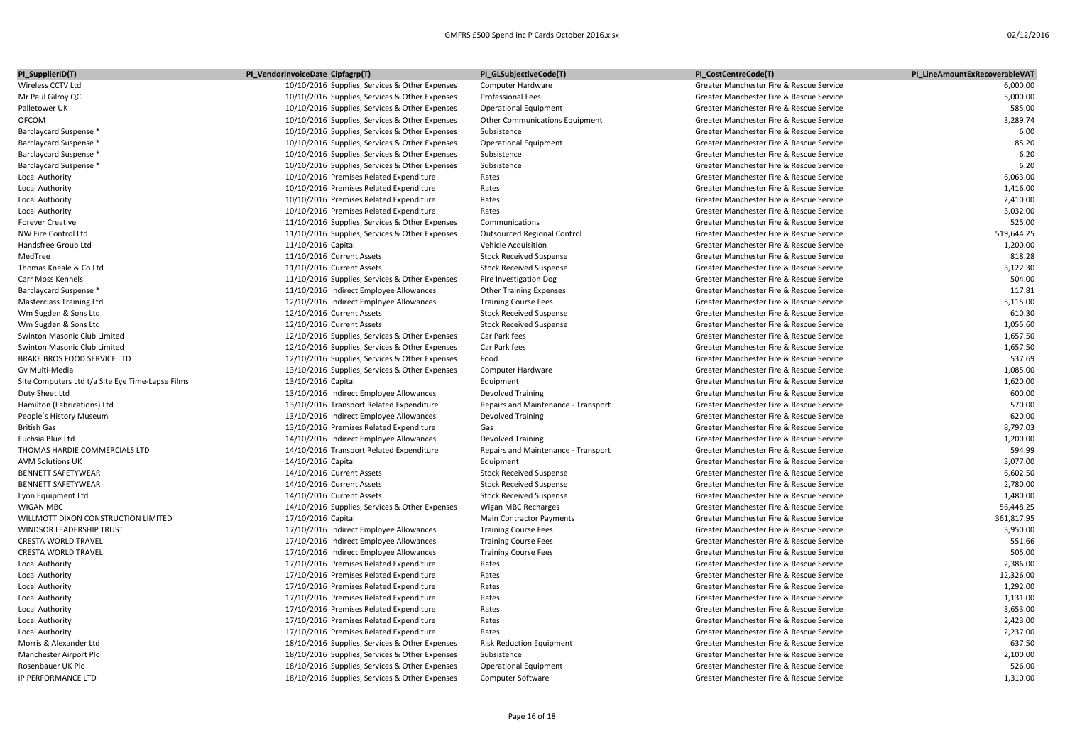| PI_SupplierID(T)                                 | PI_VendorInvoiceDate Cipfagrp(T)                                                   | PI_GLSubjectiveCode(T)              | PI_CostCentreCode(T)                                                                 | PI LineAmountExRecoverableVAT |
|--------------------------------------------------|------------------------------------------------------------------------------------|-------------------------------------|--------------------------------------------------------------------------------------|-------------------------------|
| Wireless CCTV Ltd                                | 10/10/2016 Supplies, Services & Other Expenses                                     | Computer Hardware                   | Greater Manchester Fire & Rescue Service                                             | 6,000.00                      |
| Mr Paul Gilroy QC                                | 10/10/2016 Supplies, Services & Other Expenses                                     | <b>Professional Fees</b>            | Greater Manchester Fire & Rescue Service                                             | 5,000.00                      |
| Palletower UK                                    | 10/10/2016 Supplies, Services & Other Expenses                                     | <b>Operational Equipment</b>        | Greater Manchester Fire & Rescue Service                                             | 585.00                        |
| <b>OFCOM</b>                                     | 10/10/2016 Supplies, Services & Other Expenses                                     | Other Communications Equipment      | Greater Manchester Fire & Rescue Service                                             | 3,289.74                      |
| <b>Barclaycard Suspense *</b>                    | 10/10/2016 Supplies, Services & Other Expenses                                     | Subsistence                         | Greater Manchester Fire & Rescue Service                                             | 6.00                          |
| Barclaycard Suspense *                           | 10/10/2016 Supplies, Services & Other Expenses                                     | <b>Operational Equipment</b>        | Greater Manchester Fire & Rescue Service                                             | 85.20                         |
| Barclaycard Suspense *                           | 10/10/2016 Supplies, Services & Other Expenses                                     | Subsistence                         | Greater Manchester Fire & Rescue Service                                             | 6.20                          |
| Barclaycard Suspense *                           | 10/10/2016 Supplies, Services & Other Expenses                                     | Subsistence                         | Greater Manchester Fire & Rescue Service                                             | 6.20                          |
| <b>Local Authority</b>                           | 10/10/2016 Premises Related Expenditure                                            | Rates                               | Greater Manchester Fire & Rescue Service                                             | 6,063.00                      |
| <b>Local Authority</b>                           | 10/10/2016 Premises Related Expenditure                                            | Rates                               | Greater Manchester Fire & Rescue Service                                             | 1,416.00                      |
| <b>Local Authority</b>                           | 10/10/2016 Premises Related Expenditure                                            | Rates                               | Greater Manchester Fire & Rescue Service                                             | 2,410.00                      |
| <b>Local Authority</b>                           | 10/10/2016 Premises Related Expenditure                                            | Rates                               | Greater Manchester Fire & Rescue Service                                             | 3,032.00                      |
| <b>Forever Creative</b>                          | 11/10/2016 Supplies, Services & Other Expenses                                     | Communications                      | Greater Manchester Fire & Rescue Service                                             | 525.00                        |
| NW Fire Control Ltd                              | 11/10/2016 Supplies, Services & Other Expenses                                     | <b>Outsourced Regional Control</b>  | Greater Manchester Fire & Rescue Service                                             | 519,644.25                    |
| Handsfree Group Ltd                              | 11/10/2016 Capital                                                                 | Vehicle Acquisition                 | Greater Manchester Fire & Rescue Service                                             | 1,200.00                      |
| MedTree                                          | 11/10/2016 Current Assets                                                          | <b>Stock Received Suspense</b>      | Greater Manchester Fire & Rescue Service                                             | 818.28                        |
| Thomas Kneale & Co Ltd                           | 11/10/2016 Current Assets                                                          | <b>Stock Received Suspense</b>      | Greater Manchester Fire & Rescue Service                                             | 3,122.30                      |
| Carr Moss Kennels                                | 11/10/2016 Supplies, Services & Other Expenses                                     | Fire Investigation Dog              | Greater Manchester Fire & Rescue Service                                             | 504.00                        |
| <b>Barclaycard Suspense *</b>                    | 11/10/2016 Indirect Employee Allowances                                            | <b>Other Training Expenses</b>      | Greater Manchester Fire & Rescue Service                                             | 117.81                        |
| <b>Masterclass Training Ltd</b>                  | 12/10/2016 Indirect Employee Allowances                                            | <b>Training Course Fees</b>         | Greater Manchester Fire & Rescue Service                                             | 5,115.00                      |
| Wm Sugden & Sons Ltd                             | 12/10/2016 Current Assets                                                          | <b>Stock Received Suspense</b>      | Greater Manchester Fire & Rescue Service                                             | 610.30                        |
| Wm Sugden & Sons Ltd                             | 12/10/2016 Current Assets                                                          | <b>Stock Received Suspense</b>      | Greater Manchester Fire & Rescue Service                                             | 1,055.60                      |
| Swinton Masonic Club Limited                     | 12/10/2016 Supplies, Services & Other Expenses                                     | Car Park fees                       | Greater Manchester Fire & Rescue Service                                             | 1,657.50                      |
| Swinton Masonic Club Limited                     | 12/10/2016 Supplies, Services & Other Expenses                                     | Car Park fees                       | Greater Manchester Fire & Rescue Service                                             | 1,657.50                      |
| <b>BRAKE BROS FOOD SERVICE LTD</b>               | 12/10/2016 Supplies, Services & Other Expenses                                     | Food                                | Greater Manchester Fire & Rescue Service                                             | 537.69                        |
| Gv Multi-Media                                   | 13/10/2016 Supplies, Services & Other Expenses                                     | Computer Hardware                   | Greater Manchester Fire & Rescue Service                                             | 1,085.00                      |
| Site Computers Ltd t/a Site Eye Time-Lapse Films | 13/10/2016 Capital                                                                 | Equipment                           | Greater Manchester Fire & Rescue Service                                             | 1,620.00                      |
| Duty Sheet Ltd                                   | 13/10/2016 Indirect Employee Allowances                                            | <b>Devolved Training</b>            | Greater Manchester Fire & Rescue Service                                             | 600.00                        |
| Hamilton (Fabrications) Ltd                      | 13/10/2016 Transport Related Expenditure                                           | Repairs and Maintenance - Transport | Greater Manchester Fire & Rescue Service                                             | 570.00                        |
| People's History Museum                          | 13/10/2016 Indirect Employee Allowances                                            | Devolved Training                   | Greater Manchester Fire & Rescue Service                                             | 620.00                        |
| <b>British Gas</b>                               | 13/10/2016 Premises Related Expenditure                                            | Gas                                 | Greater Manchester Fire & Rescue Service                                             | 8,797.03                      |
| Fuchsia Blue Ltd                                 | 14/10/2016 Indirect Employee Allowances                                            | <b>Devolved Training</b>            | Greater Manchester Fire & Rescue Service                                             | 1,200.00                      |
| THOMAS HARDIE COMMERCIALS LTD                    | 14/10/2016 Transport Related Expenditure                                           | Repairs and Maintenance - Transport | Greater Manchester Fire & Rescue Service                                             | 594.99                        |
| <b>AVM Solutions UK</b>                          | 14/10/2016 Capital                                                                 | Equipment                           | Greater Manchester Fire & Rescue Service                                             | 3,077.00                      |
| <b>BENNETT SAFETYWEAR</b>                        | 14/10/2016 Current Assets                                                          | <b>Stock Received Suspense</b>      | Greater Manchester Fire & Rescue Service                                             | 6,602.50                      |
| <b>BENNETT SAFETYWEAR</b>                        | 14/10/2016 Current Assets                                                          | <b>Stock Received Suspense</b>      | Greater Manchester Fire & Rescue Service                                             | 2,780.00                      |
| Lyon Equipment Ltd                               | 14/10/2016 Current Assets                                                          | <b>Stock Received Suspense</b>      | Greater Manchester Fire & Rescue Service                                             | 1,480.00                      |
| <b>WIGAN MBC</b>                                 | 14/10/2016 Supplies, Services & Other Expenses                                     | Wigan MBC Recharges                 | Greater Manchester Fire & Rescue Service                                             | 56,448.25                     |
| WILLMOTT DIXON CONSTRUCTION LIMITED              | 17/10/2016 Capital                                                                 | <b>Main Contractor Payments</b>     | Greater Manchester Fire & Rescue Service                                             | 361,817.95                    |
| WINDSOR LEADERSHIP TRUST                         | 17/10/2016 Indirect Employee Allowances                                            | <b>Training Course Fees</b>         | Greater Manchester Fire & Rescue Service                                             | 3,950.00                      |
| <b>CRESTA WORLD TRAVEL</b>                       | 17/10/2016 Indirect Employee Allowances                                            | <b>Training Course Fees</b>         | Greater Manchester Fire & Rescue Service                                             | 551.66                        |
| CRESTA WORLD TRAVEL                              | 17/10/2016 Indirect Employee Allowances                                            | <b>Training Course Fees</b>         | Greater Manchester Fire & Rescue Service                                             | 505.00                        |
| <b>Local Authority</b>                           | 17/10/2016 Premises Related Expenditure                                            | Rates                               | Greater Manchester Fire & Rescue Service                                             | 2,386.00                      |
| Local Authority                                  | 17/10/2016 Premises Related Expenditure                                            | Rates                               | Greater Manchester Fire & Rescue Service                                             | 12,326.00                     |
| Local Authority                                  | 17/10/2016 Premises Related Expenditure                                            | Rates                               | Greater Manchester Fire & Rescue Service                                             | 1,292.00                      |
| Local Authority                                  | 17/10/2016 Premises Related Expenditure                                            | Rates                               | Greater Manchester Fire & Rescue Service                                             | 1,131.00                      |
|                                                  |                                                                                    | Rates                               | Greater Manchester Fire & Rescue Service                                             | 3,653.00                      |
| <b>Local Authority</b>                           | 17/10/2016 Premises Related Expenditure<br>17/10/2016 Premises Related Expenditure | Rates                               | Greater Manchester Fire & Rescue Service                                             | 2,423.00                      |
| <b>Local Authority</b>                           |                                                                                    | Rates                               | Greater Manchester Fire & Rescue Service                                             | 2,237.00                      |
| <b>Local Authority</b>                           | 17/10/2016 Premises Related Expenditure                                            |                                     |                                                                                      | 637.50                        |
| Morris & Alexander Ltd                           | 18/10/2016 Supplies, Services & Other Expenses                                     | <b>Risk Reduction Equipment</b>     | Greater Manchester Fire & Rescue Service                                             |                               |
| Manchester Airport Plc                           | 18/10/2016 Supplies, Services & Other Expenses                                     | Subsistence                         | Greater Manchester Fire & Rescue Service                                             | 2,100.00<br>526.00            |
| Rosenbauer UK Plc<br><b>IP PERFORMANCE LTD</b>   | 18/10/2016 Supplies, Services & Other Expenses                                     | <b>Operational Equipment</b>        | Greater Manchester Fire & Rescue Service<br>Greater Manchester Fire & Rescue Service | 1,310.00                      |
|                                                  | 18/10/2016 Supplies, Services & Other Expenses                                     | <b>Computer Software</b>            |                                                                                      |                               |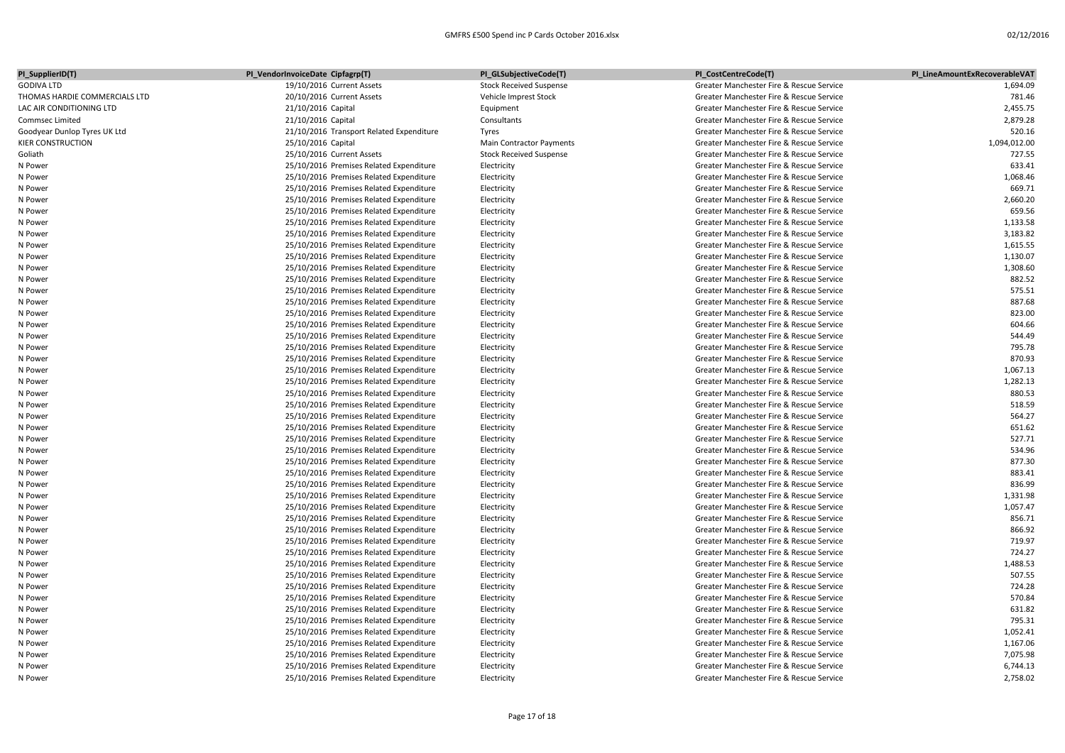| PI_SupplierID(T)              | PI_VendorInvoiceDate Cipfagrp(T)         | PI_GLSubjectiveCode(T)         | PI_CostCentreCode(T)                     | PI LineAmountExRecoverableVAT |
|-------------------------------|------------------------------------------|--------------------------------|------------------------------------------|-------------------------------|
| <b>GODIVA LTD</b>             | 19/10/2016 Current Assets                | <b>Stock Received Suspense</b> | Greater Manchester Fire & Rescue Service | 1,694.09                      |
| THOMAS HARDIE COMMERCIALS LTD | 20/10/2016 Current Assets                | Vehicle Imprest Stock          | Greater Manchester Fire & Rescue Service | 781.46                        |
| LAC AIR CONDITIONING LTD      | 21/10/2016 Capital                       | Equipment                      | Greater Manchester Fire & Rescue Service | 2,455.75                      |
| Commsec Limited               | 21/10/2016 Capital                       | Consultants                    | Greater Manchester Fire & Rescue Service | 2,879.28                      |
| Goodyear Dunlop Tyres UK Ltd  | 21/10/2016 Transport Related Expenditure | Tyres                          | Greater Manchester Fire & Rescue Service | 520.16                        |
| <b>KIER CONSTRUCTION</b>      | 25/10/2016 Capital                       | Main Contractor Payments       | Greater Manchester Fire & Rescue Service | 1,094,012.00                  |
| Goliath                       | 25/10/2016 Current Assets                | <b>Stock Received Suspense</b> | Greater Manchester Fire & Rescue Service | 727.55                        |
| N Power                       | 25/10/2016 Premises Related Expenditure  | Electricity                    | Greater Manchester Fire & Rescue Service | 633.41                        |
| N Power                       | 25/10/2016 Premises Related Expenditure  | Electricity                    | Greater Manchester Fire & Rescue Service | 1,068.46                      |
| N Power                       | 25/10/2016 Premises Related Expenditure  | Electricity                    | Greater Manchester Fire & Rescue Service | 669.71                        |
| N Power                       | 25/10/2016 Premises Related Expenditure  | Electricity                    | Greater Manchester Fire & Rescue Service | 2,660.20                      |
| N Power                       | 25/10/2016 Premises Related Expenditure  | Electricity                    | Greater Manchester Fire & Rescue Service | 659.56                        |
| N Power                       | 25/10/2016 Premises Related Expenditure  | Electricity                    | Greater Manchester Fire & Rescue Service | 1,133.58                      |
| N Power                       | 25/10/2016 Premises Related Expenditure  | Electricity                    | Greater Manchester Fire & Rescue Service | 3,183.82                      |
| N Power                       | 25/10/2016 Premises Related Expenditure  | Electricity                    | Greater Manchester Fire & Rescue Service | 1,615.55                      |
| N Power                       | 25/10/2016 Premises Related Expenditure  | Electricity                    | Greater Manchester Fire & Rescue Service | 1,130.07                      |
| N Power                       | 25/10/2016 Premises Related Expenditure  | Electricity                    | Greater Manchester Fire & Rescue Service | 1,308.60                      |
| N Power                       | 25/10/2016 Premises Related Expenditure  | Electricity                    | Greater Manchester Fire & Rescue Service | 882.52                        |
| N Power                       | 25/10/2016 Premises Related Expenditure  | Electricity                    | Greater Manchester Fire & Rescue Service | 575.51                        |
| N Power                       | 25/10/2016 Premises Related Expenditure  | Electricity                    | Greater Manchester Fire & Rescue Service | 887.68                        |
| N Power                       | 25/10/2016 Premises Related Expenditure  | Electricity                    | Greater Manchester Fire & Rescue Service | 823.00                        |
| N Power                       | 25/10/2016 Premises Related Expenditure  | Electricity                    | Greater Manchester Fire & Rescue Service | 604.66                        |
| N Power                       | 25/10/2016 Premises Related Expenditure  | Electricity                    | Greater Manchester Fire & Rescue Service | 544.49                        |
| N Power                       | 25/10/2016 Premises Related Expenditure  | Electricity                    | Greater Manchester Fire & Rescue Service | 795.78                        |
| N Power                       | 25/10/2016 Premises Related Expenditure  | Electricity                    | Greater Manchester Fire & Rescue Service | 870.93                        |
| N Power                       | 25/10/2016 Premises Related Expenditure  | Electricity                    | Greater Manchester Fire & Rescue Service | 1,067.13                      |
| N Power                       | 25/10/2016 Premises Related Expenditure  | Electricity                    | Greater Manchester Fire & Rescue Service | 1,282.13                      |
| N Power                       | 25/10/2016 Premises Related Expenditure  | Electricity                    | Greater Manchester Fire & Rescue Service | 880.53                        |
| N Power                       | 25/10/2016 Premises Related Expenditure  | Electricity                    | Greater Manchester Fire & Rescue Service | 518.59                        |
| N Power                       | 25/10/2016 Premises Related Expenditure  | Electricity                    | Greater Manchester Fire & Rescue Service | 564.27                        |
| N Power                       | 25/10/2016 Premises Related Expenditure  | Electricity                    | Greater Manchester Fire & Rescue Service | 651.62                        |
| N Power                       | 25/10/2016 Premises Related Expenditure  | Electricity                    | Greater Manchester Fire & Rescue Service | 527.71                        |
| N Power                       | 25/10/2016 Premises Related Expenditure  | Electricity                    | Greater Manchester Fire & Rescue Service | 534.96                        |
| N Power                       | 25/10/2016 Premises Related Expenditure  | Electricity                    | Greater Manchester Fire & Rescue Service | 877.30                        |
| N Power                       | 25/10/2016 Premises Related Expenditure  | Electricity                    | Greater Manchester Fire & Rescue Service | 883.41                        |
| N Power                       | 25/10/2016 Premises Related Expenditure  | Electricity                    | Greater Manchester Fire & Rescue Service | 836.99                        |
| N Power                       | 25/10/2016 Premises Related Expenditure  | Electricity                    | Greater Manchester Fire & Rescue Service | 1,331.98                      |
| N Power                       | 25/10/2016 Premises Related Expenditure  | Electricity                    | Greater Manchester Fire & Rescue Service | 1,057.47                      |
| N Power                       | 25/10/2016 Premises Related Expenditure  | Electricity                    | Greater Manchester Fire & Rescue Service | 856.71                        |
| N Power                       | 25/10/2016 Premises Related Expenditure  | Electricity                    | Greater Manchester Fire & Rescue Service | 866.92                        |
| N Power                       | 25/10/2016 Premises Related Expenditure  | Electricity                    | Greater Manchester Fire & Rescue Service | 719.97                        |
| N Power                       | 25/10/2016 Premises Related Expenditure  | Electricity                    | Greater Manchester Fire & Rescue Service | 724.27                        |
| N Power                       | 25/10/2016 Premises Related Expenditure  | Electricity                    | Greater Manchester Fire & Rescue Service | 1,488.53                      |
| N Power                       | 25/10/2016 Premises Related Expenditure  | Electricity                    | Greater Manchester Fire & Rescue Service | 507.55                        |
| N Power                       | 25/10/2016 Premises Related Expenditure  | Electricity                    | Greater Manchester Fire & Rescue Service | 724.28                        |
| N Power                       | 25/10/2016 Premises Related Expenditure  | Electricity                    | Greater Manchester Fire & Rescue Service | 570.84                        |
| N Power                       | 25/10/2016 Premises Related Expenditure  | Electricity                    | Greater Manchester Fire & Rescue Service | 631.82                        |
| N Power                       | 25/10/2016 Premises Related Expenditure  | Electricity                    | Greater Manchester Fire & Rescue Service | 795.31                        |
| N Power                       | 25/10/2016 Premises Related Expenditure  | Electricity                    | Greater Manchester Fire & Rescue Service | 1,052.41                      |
| N Power                       | 25/10/2016 Premises Related Expenditure  | Electricity                    | Greater Manchester Fire & Rescue Service | 1,167.06                      |
| N Power                       | 25/10/2016 Premises Related Expenditure  | Electricity                    | Greater Manchester Fire & Rescue Service | 7,075.98                      |
| N Power                       | 25/10/2016 Premises Related Expenditure  | Electricity                    | Greater Manchester Fire & Rescue Service | 6,744.13                      |
| N Power                       | 25/10/2016 Premises Related Expenditure  | Electricity                    | Greater Manchester Fire & Rescue Service | 2,758.02                      |